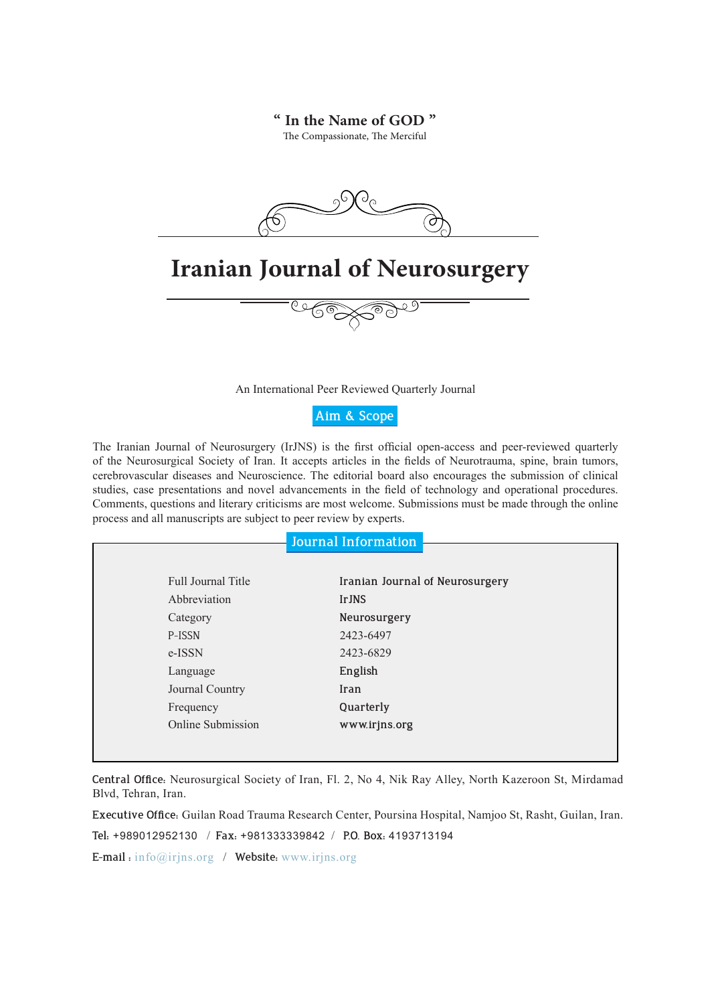#### **" In the Name of GOD "**

The Compassionate, The Merciful



An International Peer Reviewed Quarterly Journal

**Aim & Scope**

The Iranian Journal of Neurosurgery (IrJNS) is the first official open-access and peer-reviewed quarterly of the Neurosurgical Society of Iran. It accepts articles in the fields of Neurotrauma, spine, brain tumors, cerebrovascular diseases and Neuroscience. The editorial board also encourages the submission of clinical studies, case presentations and novel advancements in the field of technology and operational procedures. Comments, questions and literary criticisms are most welcome. Submissions must be made through the online process and all manuscripts are subject to peer review by experts.

| Journal Information |  |  |
|---------------------|--|--|
|                     |  |  |
|                     |  |  |
|                     |  |  |

| Full Journal Title | Iranian Journal of Neurosurgery |
|--------------------|---------------------------------|
| Abbreviation       | <b>IrJNS</b>                    |
| Category           | Neurosurgery                    |
| P-ISSN             | 2423-6497                       |
| e-ISSN             | 2423-6829                       |
| Language           | English                         |
| Journal Country    | Iran                            |
| Frequency          | Quarterly                       |
| Online Submission  | www.irjns.org                   |

**Central Office:** Neurosurgical Society of Iran, Fl. 2, No 4, Nik Ray Alley, North Kazeroon St, Mirdamad Blvd, Tehran, Iran.

**Executive Office:** Guilan Road Trauma Research Center, Poursina Hospital, Namjoo St, Rasht, Guilan, Iran.

**Tel:** +989012952130 / **Fax:** +981333339842 / **P.O. Box:** 4193713194

**E-mail :** info@irjns.org / **Website:** www.irjns.org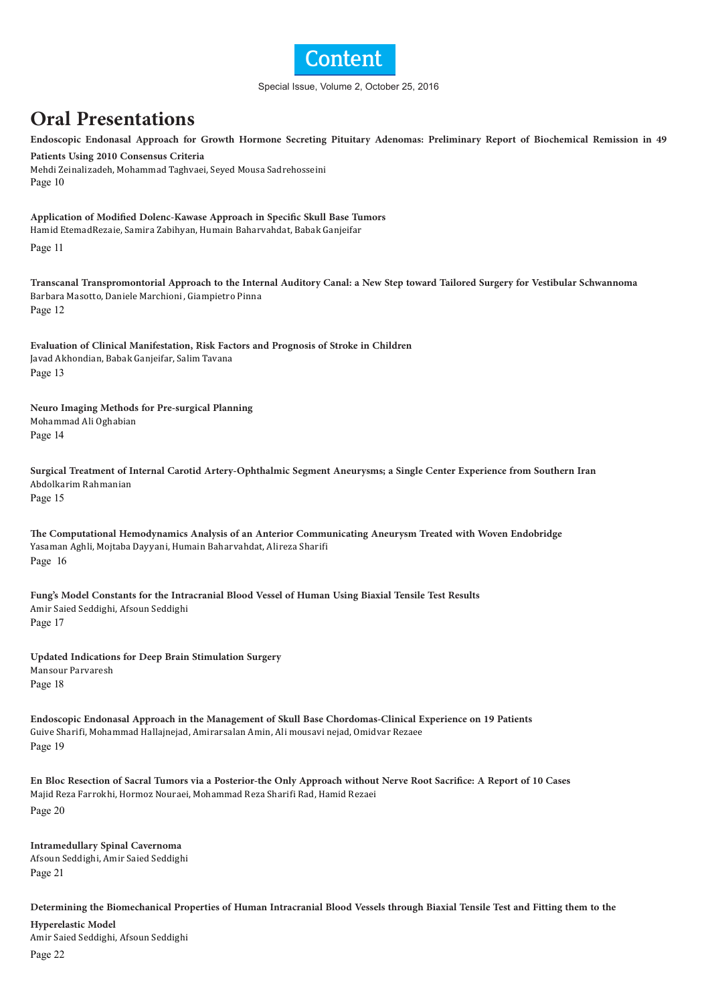

#### Special Issue, Volume 2, October 25, 2016

## **Oral Presentations**

**Endoscopic Endonasal Approach for Growth Hormone Secreting Pituitary Adenomas: Preliminary Report of Biochemical Remission in 49** 

**Patients Using 2010 Consensus Criteria** Mehdi Zeinalizadeh, Mohammad Taghvaei, Seyed Mousa Sadrehosseini Page 10

**Application of Modified Dolenc-Kawase Approach in Specific Skull Base Tumors**

Hamid EtemadRezaie, Samira Zabihyan, Humain Baharvahdat, Babak Ganjeifar

Page 11

**Transcanal Transpromontorial Approach to the Internal Auditory Canal: a New Step toward Tailored Surgery for Vestibular Schwannoma** Barbara Masotto, Daniele Marchioni, Giampietro Pinna Page 12

**Evaluation of Clinical Manifestation, Risk Factors and Prognosis of Stroke in Children** Javad Akhondian, Babak Ganjeifar, Salim Tavana Page 13

**Neuro Imaging Methods for Pre-surgical Planning** Mohammad Ali Oghabian Page 14

**Surgical Treatment of Internal Carotid Artery-Ophthalmic Segment Aneurysms; a Single Center Experience from Southern Iran** Abdolkarim Rahmanian Page 15

**The Computational Hemodynamics Analysis of an Anterior Communicating Aneurysm Treated with Woven Endobridge** Yasaman Aghli, Mojtaba Dayyani, Humain Baharvahdat, Alireza Sharifi Page16

**Fung's Model Constants for the Intracranial Blood Vessel of Human Using Biaxial Tensile Test Results** Amir Saied Seddighi, Afsoun Seddighi Page 17

**Updated Indications for Deep Brain Stimulation Surgery** Mansour Parvaresh Page 18

**Endoscopic Endonasal Approach in the Management of Skull Base Chordomas-Clinical Experience on 19 Patients** Guive Sharifi, Mohammad Hallajnejad, Amirarsalan Amin, Ali mousavi nejad, Omidvar Rezaee Page 19

**En Bloc Resection of Sacral Tumors via a Posterior-the Only Approach without Nerve Root Sacrifice: A Report of 10 Cases** Majid Reza Farrokhi, Hormoz Nouraei, Mohammad Reza Sharifi Rad, Hamid Rezaei Page 20

**Intramedullary Spinal Cavernoma** Afsoun Seddighi, Amir Saied Seddighi Page 21

**Determining the Biomechanical Properties of Human Intracranial Blood Vessels through Biaxial Tensile Test and Fitting them to the Hyperelastic Model** Amir Saied Seddighi, Afsoun Seddighi

Page 22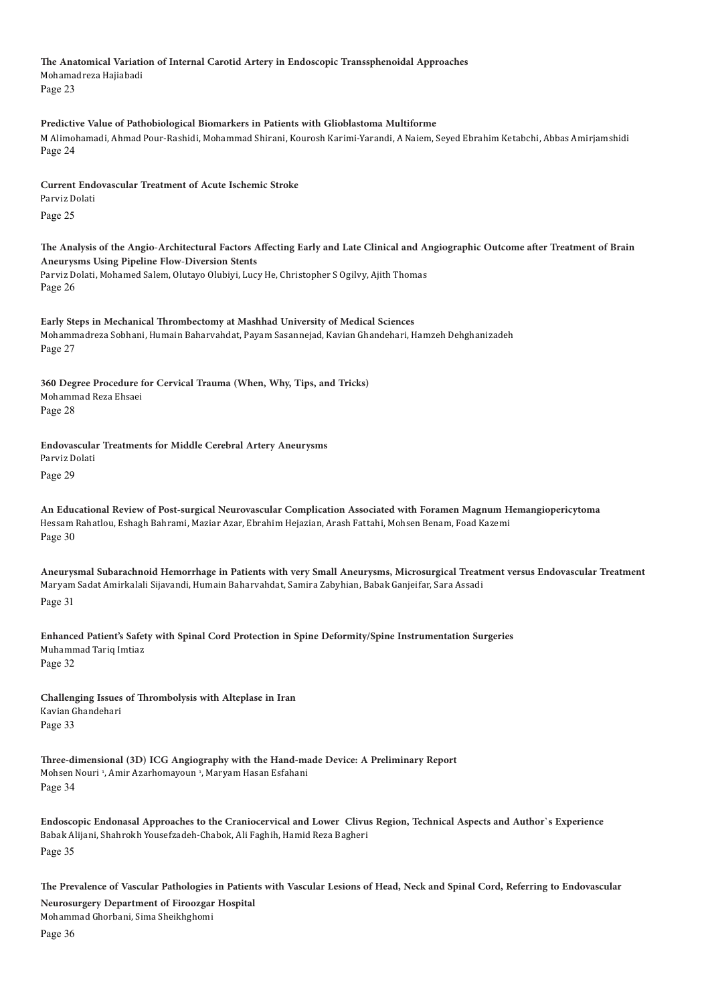**The Anatomical Variation of Internal Carotid Artery in Endoscopic Transsphenoidal Approaches** Mohamadreza Hajiabadi Page 23

**Predictive Value of Pathobiological Biomarkers in Patients with Glioblastoma Multiforme** M Alimohamadi, Ahmad Pour-Rashidi, Mohammad Shirani, Kourosh Karimi-Yarandi, A Naiem, Seyed Ebrahim Ketabchi, Abbas Amirjamshidi Page 24

**Current Endovascular Treatment of Acute Ischemic Stroke** Parviz Dolati Page 25

**The Analysis of the Angio-Architectural Factors Affecting Early and Late Clinical and Angiographic Outcome after Treatment of Brain Aneurysms Using Pipeline Flow-Diversion Stents** Parviz Dolati, Mohamed Salem, Olutayo Olubiyi, Lucy He, Christopher S Ogilvy, Ajith Thomas Page 26

**Early Steps in Mechanical Thrombectomy at Mashhad University of Medical Sciences** Mohammadreza Sobhani, Humain Baharvahdat, Payam Sasannejad, Kavian Ghandehari, Hamzeh Dehghanizadeh Page 27

**360 Degree Procedure for Cervical Trauma (When, Why, Tips, and Tricks)** Mohammad Reza Ehsaei Page 28

**Endovascular Treatments for Middle Cerebral Artery Aneurysms** Parviz Dolati

Page 29

**An Educational Review of Post-surgical Neurovascular Complication Associated with Foramen Magnum Hemangiopericytoma** Hessam Rahatlou, Eshagh Bahrami, Maziar Azar, Ebrahim Hejazian, Arash Fattahi, Mohsen Benam, Foad Kazemi Page 30

**Aneurysmal Subarachnoid Hemorrhage in Patients with very Small Aneurysms, Microsurgical Treatment versus Endovascular Treatment** Maryam Sadat Amirkalali Sijavandi, Humain Baharvahdat, Samira Zabyhian, Babak Ganjeifar, Sara Assadi Page 31

**Enhanced Patient's Safety with Spinal Cord Protection in Spine Deformity/Spine Instrumentation Surgeries** Muhammad Tariq Imtiaz Page 32

**Challenging Issues of Thrombolysis with Alteplase in Iran** Kavian Ghandehari Page 33

**Three-dimensional (3D) ICG Angiography with the Hand-made Device: A Preliminary Report** Mohsen Nouri <sup>1</sup>, Amir Azarhomayoun <sup>1</sup>, Maryam Hasan Esfahani Page 34

**Endoscopic Endonasal Approaches to the Craniocervical and Lower Clivus Region, Technical Aspects and Author`s Experience** Babak Alijani, Shahrokh Yousefzadeh-Chabok, Ali Faghih, Hamid Reza Bagheri Page 35

**The Prevalence of Vascular Pathologies in Patients with Vascular Lesions of Head, Neck and Spinal Cord, Referring to Endovascular Neurosurgery Department of Firoozgar Hospital** Mohammad Ghorbani, Sima Sheikhghomi Page 36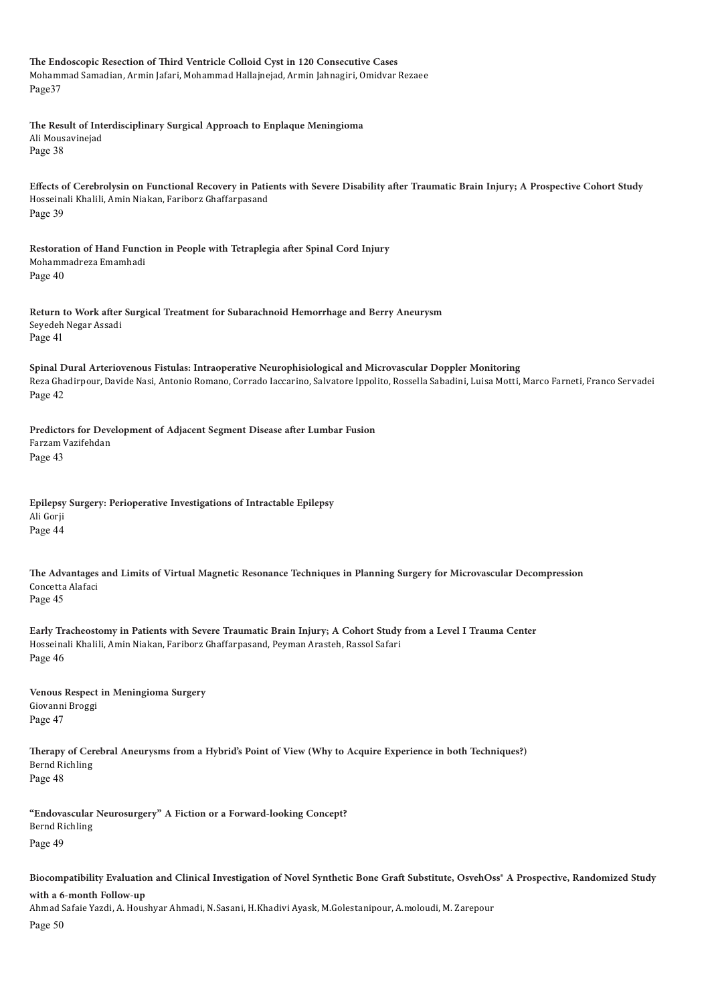**The Endoscopic Resection of Third Ventricle Colloid Cyst in 120 Consecutive Cases** Mohammad Samadian, Armin Jafari, Mohammad Hallajnejad, Armin Jahnagiri, Omidvar Rezaee Page37 **The Result of Interdisciplinary Surgical Approach to Enplaque Meningioma** Ali Mousavinejad Page 38 **Effects of Cerebrolysin on Functional Recovery in Patients with Severe Disability after Traumatic Brain Injury; A Prospective Cohort Study** Hosseinali Khalili, Amin Niakan, Fariborz Ghaffarpasand Page 39 **Restoration of Hand Function in People with Tetraplegia after Spinal Cord Injury** Mohammadreza Emamhadi Page 40 **Return to Work after Surgical Treatment for Subarachnoid Hemorrhage and Berry Aneurysm** Seyedeh Negar Assadi Page 41 **Spinal Dural Arteriovenous Fistulas: Intraoperative Neurophisiological and Microvascular Doppler Monitoring** Reza Ghadirpour, Davide Nasi, Antonio Romano, Corrado Iaccarino, Salvatore Ippolito, Rossella Sabadini, Luisa Motti, Marco Farneti, Franco Servadei Page 42 **Predictors for Development of Adjacent Segment Disease after Lumbar Fusion** Farzam Vazifehdan Page 43 **Epilepsy Surgery: Perioperative Investigations of Intractable Epilepsy** Ali Gorji Page 44 **The Advantages and Limits of Virtual Magnetic Resonance Techniques in Planning Surgery for Microvascular Decompression** Concetta Alafaci Page 45 **Early Tracheostomy in Patients with Severe Traumatic Brain Injury; A Cohort Study from a Level I Trauma Center** Hosseinali Khalili, Amin Niakan, Fariborz Ghaffarpasand, Peyman Arasteh, Rassol Safari Page 46 **Venous Respect in Meningioma Surgery** Giovanni Broggi Page 47 **Therapy of Cerebral Aneurysms from a Hybrid's Point of View (Why to Acquire Experience in both Techniques?)** Bernd Richling Page 48 **"Endovascular Neurosurgery" A Fiction or a Forward-looking Concept?** Bernd Richling Page 49

**Biocompatibility Evaluation and Clinical Investigation of Novel Synthetic Bone Graft Substitute, OsvehOss® A Prospective, Randomized Study** 

#### **with a 6-month Follow-up**

Ahmad Safaie Yazdi, A. Houshyar Ahmadi, N.Sasani, H.Khadivi Ayask, M.Golestanipour, A.moloudi, M. Zarepour

Page 50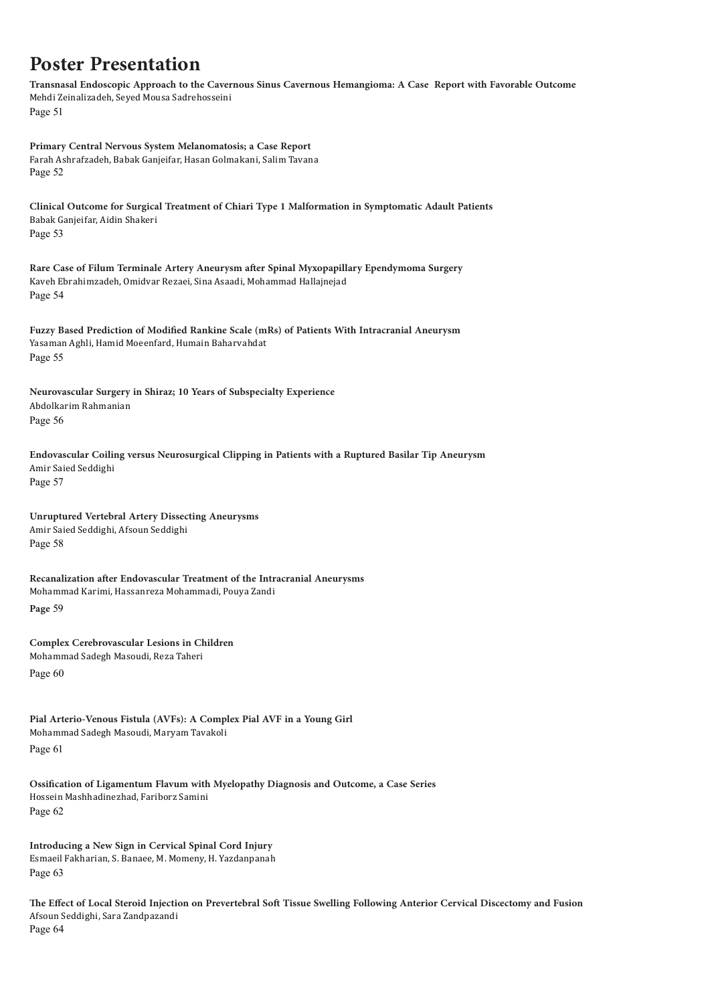## **Poster Presentation**

**Transnasal Endoscopic Approach to the Cavernous Sinus Cavernous Hemangioma: A Case Report with Favorable Outcome** Mehdi Zeinalizadeh, Seyed Mousa Sadrehosseini Page 51

**Primary Central Nervous System Melanomatosis; a Case Report** Farah Ashrafzadeh, Babak Ganjeifar, Hasan Golmakani, Salim Tavana Page 52

**Clinical Outcome for Surgical Treatment of Chiari Type 1 Malformation in Symptomatic Adault Patients** Babak Ganjeifar, Aidin Shakeri Page 53

**Rare Case of Filum Terminale Artery Aneurysm after Spinal Myxopapillary Ependymoma Surgery** Kaveh Ebrahimzadeh, Omidvar Rezaei, Sina Asaadi, Mohammad Hallajnejad Page 54

**Fuzzy Based Prediction of Modified Rankine Scale (mRs) of Patients With Intracranial Aneurysm** Yasaman Aghli, Hamid Moeenfard, Humain Baharvahdat Page 55

**Neurovascular Surgery in Shiraz; 10 Years of Subspecialty Experience** Abdolkarim Rahmanian Page 56

**Endovascular Coiling versus Neurosurgical Clipping in Patients with a Ruptured Basilar Tip Aneurysm** Amir Saied Seddighi Page 57

**Unruptured Vertebral Artery Dissecting Aneurysms** Amir Saied Seddighi, Afsoun Seddighi Page 58

**Recanalization after Endovascular Treatment of the Intracranial Aneurysms** Mohammad Karimi, Hassanreza Mohammadi, Pouya Zandi

**Page** 59

**Complex Cerebrovascular Lesions in Children** Mohammad Sadegh Masoudi, Reza Taheri Page 60

**Pial Arterio-Venous Fistula (AVFs): A Complex Pial AVF in a Young Girl** Mohammad Sadegh Masoudi, Maryam Tavakoli

Page 61

**Ossification of Ligamentum Flavum with Myelopathy Diagnosis and Outcome, a Case Series** Hossein Mashhadinezhad, Fariborz Samini Page 62

**Introducing a New Sign in Cervical Spinal Cord Injury** Esmaeil Fakharian, S. Banaee, M. Momeny, H. Yazdanpanah Page 63

**The Effect of Local Steroid Injection on Prevertebral Soft Tissue Swelling Following Anterior Cervical Discectomy and Fusion** Afsoun Seddighi, Sara Zandpazandi Page 64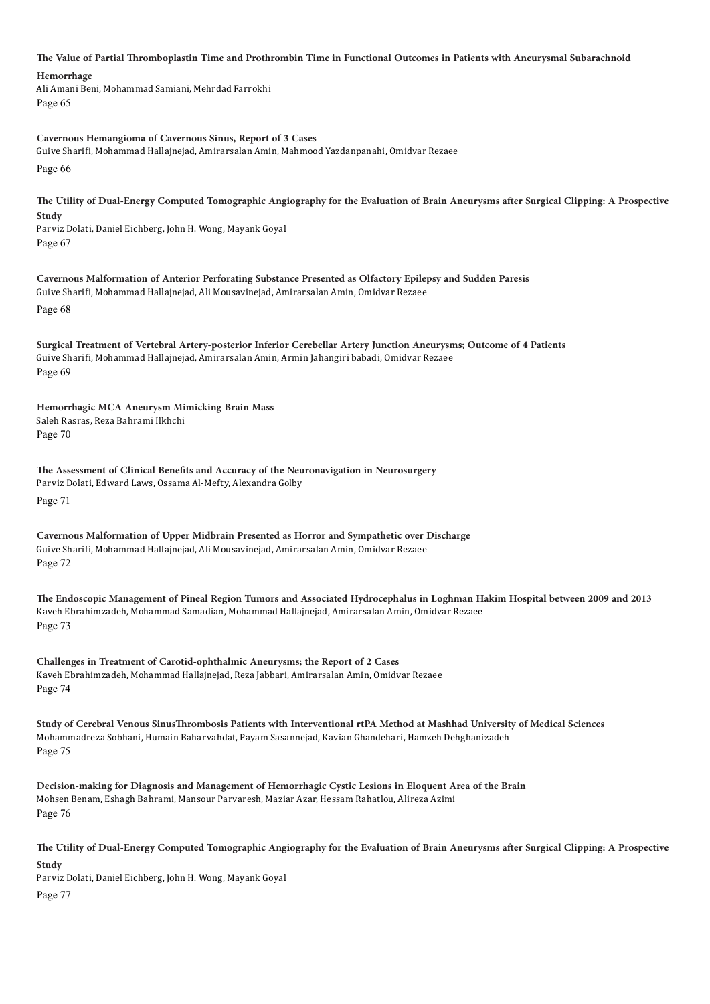**The Value of Partial Thromboplastin Time and Prothrombin Time in Functional Outcomes in Patients with Aneurysmal Subarachnoid** 

**Hemorrhage**

Ali Amani Beni, Mohammad Samiani, Mehrdad Farrokhi Page 65

**Cavernous Hemangioma of Cavernous Sinus, Report of 3 Cases** Guive Sharifi, Mohammad Hallajnejad, Amirarsalan Amin, Mahmood Yazdanpanahi, Omidvar Rezaee Page 66

**The Utility of Dual-Energy Computed Tomographic Angiography for the Evaluation of Brain Aneurysms after Surgical Clipping: A Prospective Study** Parviz Dolati, Daniel Eichberg, John H. Wong, Mayank Goyal Page 67

**Cavernous Malformation of Anterior Perforating Substance Presented as Olfactory Epilepsy and Sudden Paresis** Guive Sharifi, Mohammad Hallajnejad, Ali Mousavinejad, Amirarsalan Amin, Omidvar Rezaee Page 68

**Surgical Treatment of Vertebral Artery-posterior Inferior Cerebellar Artery Junction Aneurysms; Outcome of 4 Patients** Guive Sharifi, Mohammad Hallajnejad, Amirarsalan Amin, Armin Jahangiri babadi, Omidvar Rezaee Page 69

**Hemorrhagic MCA Aneurysm Mimicking Brain Mass** Saleh Rasras, Reza Bahrami Ilkhchi Page 70

**The Assessment of Clinical Benefits and Accuracy of the Neuronavigation in Neurosurgery** Parviz Dolati, Edward Laws, Ossama Al-Mefty, Alexandra Golby Page 71

**Cavernous Malformation of Upper Midbrain Presented as Horror and Sympathetic over Discharge** Guive Sharifi, Mohammad Hallajnejad, Ali Mousavinejad, Amirarsalan Amin, Omidvar Rezaee Page 72

**The Endoscopic Management of Pineal Region Tumors and Associated Hydrocephalus in Loghman Hakim Hospital between 2009 and 2013** Kaveh Ebrahimzadeh, Mohammad Samadian, Mohammad Hallajnejad, Amirarsalan Amin, Omidvar Rezaee Page 73

**Challenges in Treatment of Carotid-ophthalmic Aneurysms; the Report of 2 Cases** Kaveh Ebrahimzadeh, Mohammad Hallajnejad, Reza Jabbari, Amirarsalan Amin, Omidvar Rezaee Page 74

**Study of Cerebral Venous SinusThrombosis Patients with Interventional rtPA Method at Mashhad University of Medical Sciences** Mohammadreza Sobhani, Humain Baharvahdat, Payam Sasannejad, Kavian Ghandehari, Hamzeh Dehghanizadeh Page 75

**Decision-making for Diagnosis and Management of Hemorrhagic Cystic Lesions in Eloquent Area of the Brain** Mohsen Benam, Eshagh Bahrami, Mansour Parvaresh, Maziar Azar, Hessam Rahatlou, Alireza Azimi Page 76

**The Utility of Dual-Energy Computed Tomographic Angiography for the Evaluation of Brain Aneurysms after Surgical Clipping: A Prospective Study** Parviz Dolati, Daniel Eichberg, John H. Wong, Mayank Goyal

Page 77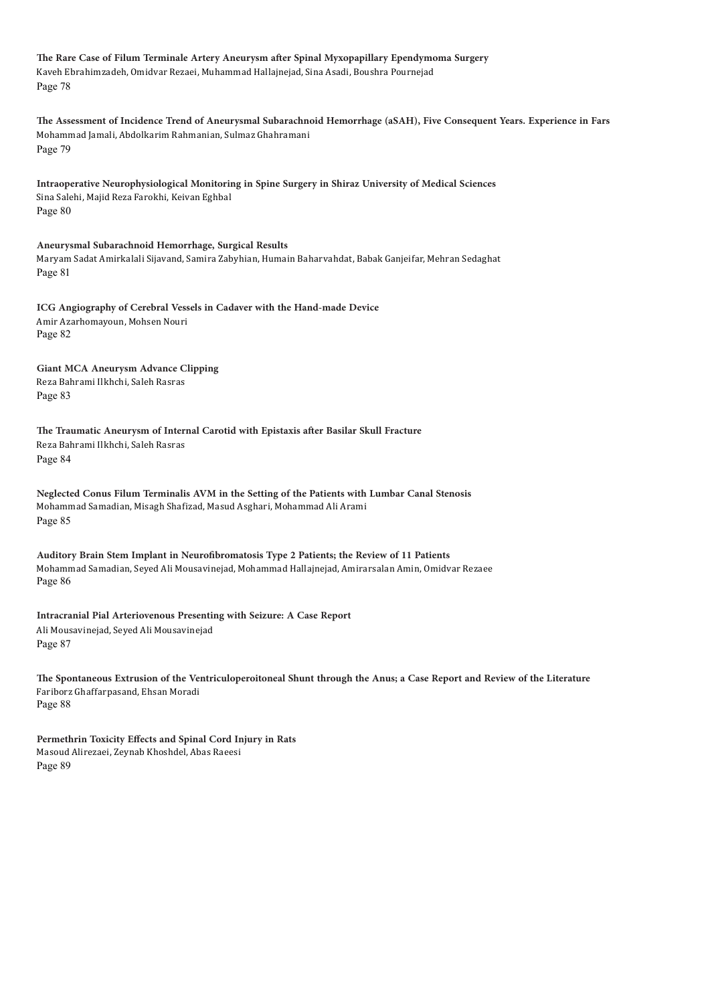**The Rare Case of Filum Terminale Artery Aneurysm after Spinal Myxopapillary Ependymoma Surgery** Kaveh Ebrahimzadeh, Omidvar Rezaei, Muhammad Hallajnejad, Sina Asadi, Boushra Pournejad Page 78

**The Assessment of Incidence Trend of Aneurysmal Subarachnoid Hemorrhage (aSAH), Five Consequent Years. Experience in Fars** Mohammad Jamali, Abdolkarim Rahmanian, Sulmaz Ghahramani Page 79

**Intraoperative Neurophysiological Monitoring in Spine Surgery in Shiraz University of Medical Sciences** Sina Salehi, Majid Reza Farokhi, Keivan Eghbal Page 80

**Aneurysmal Subarachnoid Hemorrhage, Surgical Results** Maryam Sadat Amirkalali Sijavand, Samira Zabyhian, Humain Baharvahdat, Babak Ganjeifar, Mehran Sedaghat Page 81

**ICG Angiography of Cerebral Vessels in Cadaver with the Hand-made Device** Amir Azarhomayoun, Mohsen Nouri Page 82

**Giant MCA Aneurysm Advance Clipping** Reza Bahrami Ilkhchi, Saleh Rasras Page 83

**The Traumatic Aneurysm of Internal Carotid with Epistaxis after Basilar Skull Fracture** Reza Bahrami Ilkhchi, Saleh Rasras Page 84

**Neglected Conus Filum Terminalis AVM in the Setting of the Patients with Lumbar Canal Stenosis** Mohammad Samadian, Misagh Shafizad, Masud Asghari, Mohammad Ali Arami Page 85

**Auditory Brain Stem Implant in Neurofibromatosis Type 2 Patients; the Review of 11 Patients** Mohammad Samadian, Seyed Ali Mousavinejad, Mohammad Hallajnejad, Amirarsalan Amin, Omidvar Rezaee Page 86

**Intracranial Pial Arteriovenous Presenting with Seizure: A Case Report** Ali Mousavinejad, Seyed Ali Mousavinejad Page 87

**The Spontaneous Extrusion of the Ventriculoperoitoneal Shunt through the Anus; a Case Report and Review of the Literature**  Fariborz Ghaffarpasand, Ehsan Moradi Page 88

**Permethrin Toxicity Effects and Spinal Cord Injury in Rats** Masoud Alirezaei, Zeynab Khoshdel, Abas Raeesi Page 89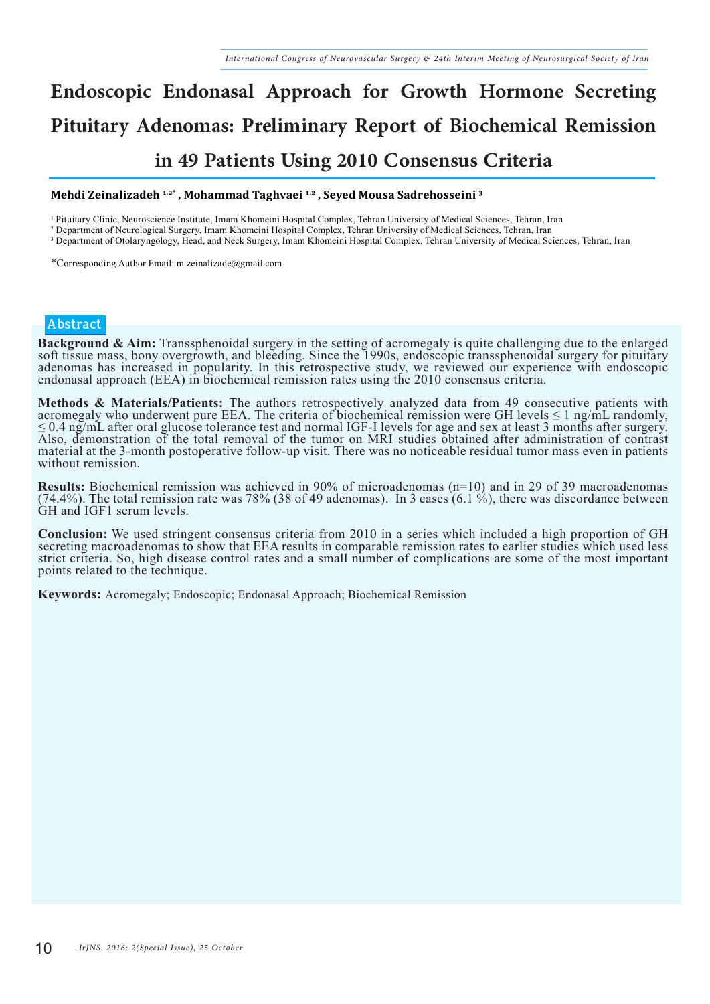# **Endoscopic Endonasal Approach for Growth Hormone Secreting Pituitary Adenomas: Preliminary Report of Biochemical Remission in 49 Patients Using 2010 Consensus Criteria**

#### **Mehdi Zeinalizadeh 1,2\* , Mohammad Taghvaei 1,2 , Seyed Mousa Sadrehosseini 3**

1 Pituitary Clinic, Neuroscience Institute, Imam Khomeini Hospital Complex, Tehran University of Medical Sciences, Tehran, Iran

2 Department of Neurological Surgery, Imam Khomeini Hospital Complex, Tehran University of Medical Sciences, Tehran, Iran

<sup>3</sup> Department of Otolaryngology, Head, and Neck Surgery, Imam Khomeini Hospital Complex, Tehran University of Medical Sciences, Tehran, Iran

\*Corresponding Author Email: m.zeinalizade@gmail.com

#### **Abstract**

**Background & Aim:** Transsphenoidal surgery in the setting of acromegaly is quite challenging due to the enlarged soft tissue mass, bony overgrowth, and bleeding. Since the 1990s, endoscopic transsphenoidal surgery for pit adenomas has increased in popularity. In this retrospective study, we reviewed our experience with endoscopic endonasal approach (EEA) in biochemical remission rates using the 2010 consensus criteria.

**Methods & Materials/Patients:** The authors retrospectively analyzed data from 49 consecutive patients with acromegaly who underwent pure EEA. The criteria of biochemical remission were GH levels ≤ 1 ng/mL randomly, ≤ 0.4 ng/mL after oral glucose tolerance test and normal IGF-I levels for age and sex at least 3 months after surgery. Also, demonstration of the total removal of the tumor on MRI studies obtained after administration of contrast material at the 3-month postoperative follow-up visit. There was no noticeable residual tumor mass even in patients without remission.

**Results:** Biochemical remission was achieved in 90% of microadenomas (n=10) and in 29 of 39 macroadenomas (74.4%). The total remission rate was 78% (38 of 49 adenomas). In 3 cases (6.1 %), there was discordance between GH and IGF1 serum levels.

**Conclusion:** We used stringent consensus criteria from 2010 in a series which included a high proportion of GH secreting macroadenomas to show that EEA results in comparable remission rates to earlier studies which used l strict criteria. So, high disease control rates and a small number of complications are some of the most important points related to the technique.

**Keywords:** Acromegaly; Endoscopic; Endonasal Approach; Biochemical Remission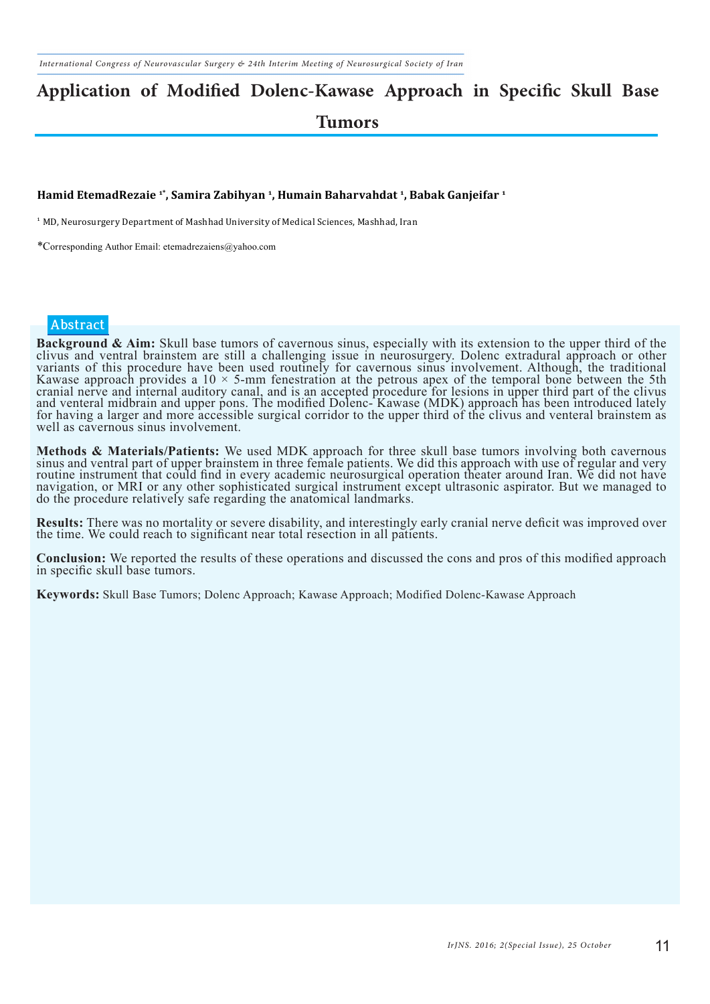## **Application of Modified Dolenc-Kawase Approach in Specific Skull Base Tumors**

#### **Hamid EtemadRezaie 1\*, Samira Zabihyan 1, Humain Baharvahdat 1, Babak Ganjeifar 1**

<sup>1</sup> MD, Neurosurgery Department of Mashhad University of Medical Sciences, Mashhad, Iran

\*Corresponding Author Email: etemadrezaiens@yahoo.com

#### **Abstract**

**Background & Aim:** Skull base tumors of cavernous sinus, especially with its extension to the upper third of the clivus and ventral brainstem are still a challenging issue in neurosurgery. Dolenc extradural approach or ot variants of this procedure have been used routinely for cavernous sinus involvement. Although, the traditional Kawase approach provides a  $10 \times 5$ -mm fenestration at the petrous apex of the temporal bone between the 5th cranial nerve and internal auditory canal, and is an accepted procedure for lesions in upper third part of the clivus and venteral midbrain and upper pons. The modified Dolenc- Kawase (MDK) approach has been introduced lately for having a larger and more accessible surgical corridor to the upper third of the clivus and venteral brainstem as well as cavernous sinus involvement.

Methods & Materials/Patients: We used MDK approach for three skull base tumors involving both cavernous<br>sinus and ventral part of upper brainstem in three female patients. We did this approach with use of regular and very routine instrument that could find in every academic neurosurgical operation theater around Iran. We did not have navigation, or MRI or any other sophisticated surgical instrument except ultrasonic aspirator. But we managed to do the procedure relatively safe regarding the anatomical landmarks.

**Results:** There was no mortality or severe disability, and interestingly early cranial nerve deficit was improved over the time. We could reach to significant near total resection in all patients.

**Conclusion:** We reported the results of these operations and discussed the cons and pros of this modified approach in specific skull base tumors.

**Keywords:** Skull Base Tumors; Dolenc Approach; Kawase Approach; Modified Dolenc-Kawase Approach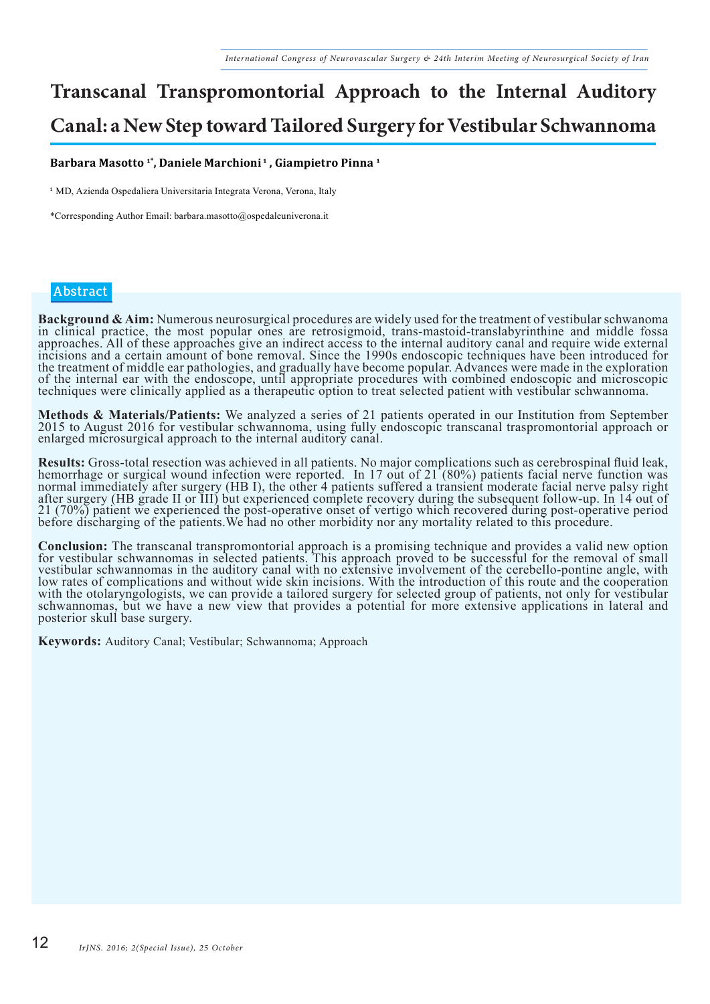## **Transcanal Transpromontorial Approach to the Internal Auditory Canal: a New Step toward Tailored Surgery for Vestibular Schwannoma**

#### **Barbara Masotto 1\*, Daniele Marchioni 1 , Giampietro Pinna 1**

<sup>1</sup> MD, Azienda Ospedaliera Universitaria Integrata Verona, Verona, Italy

\*Corresponding Author Email: barbara.masotto@ospedaleuniverona.it

#### **Abstract**

Background & Aim: Numerous neurosurgical procedures are widely used for the treatment of vestibular schwanoma<br>in clinical practice, the most popular ones are retrosigmoid, trans-mastoid-translabyrinthine and middle fossa approaches. All of these approaches give an indirect access to the internal auditory canal and require wide external incisions and a certain amount of bone removal. Since the 1990s endoscopic techniques have been introduced for the treatment of middle ear pathologies, and gradually have become popular. Advances were made in the exploration of the internal ear with the endoscope, until appropriate procedures with combined endoscopic and microscopic techniques were clinically applied as a therapeutic option to treat selected patient with vestibular schwannoma.

Methods & Materials/Patients: We analyzed a series of 21 patients operated in our Institution from September 2015 to August 2016 for vestibular schwannoma, using fully endoscopic transcanal traspromontorial approach or enlarged microsurgical approach to the internal auditory canal.

**Results:** Gross-total resection was achieved in all patients. No major complications such as cerebrospinal fluid leak, hemorrhage or surgical wound infection were reported. In 17 out of 21 (80%) patients facial nerve func normal immediately after surgery (HB I), the other 4 patients suffered a transient moderate facial nerve palsy right after surgery (HB grade II or III) but experienced complete recovery during the subsequent follow-up. In 14 out of 21 (70%) patient we experienced the post-operative onset of vertigo which recovered during post-operative period before discharging of the patients. We had no other morbidity nor any mortality related to this procedure.

**Conclusion:** The transcanal transpromontorial approach is a promising technique and provides a valid new option<br>for vestibular schwannomas in selected patients. This approach proved to be successful for the removal of sma vestibular schwannomas in the auditory canal with no extensive involvement of the cerebello-pontine angle, with low rates of complications and without wide skin incisions. With the introduction of this route and the cooperation with the otolaryngologists, we can provide a tailored surgery for selected group of patients, not only for vestibular schwannomas, but we have a new view that provides a potential for more extensive applications in lateral and posterior skull base surgery.

**Keywords:** Auditory Canal; Vestibular; Schwannoma; Approach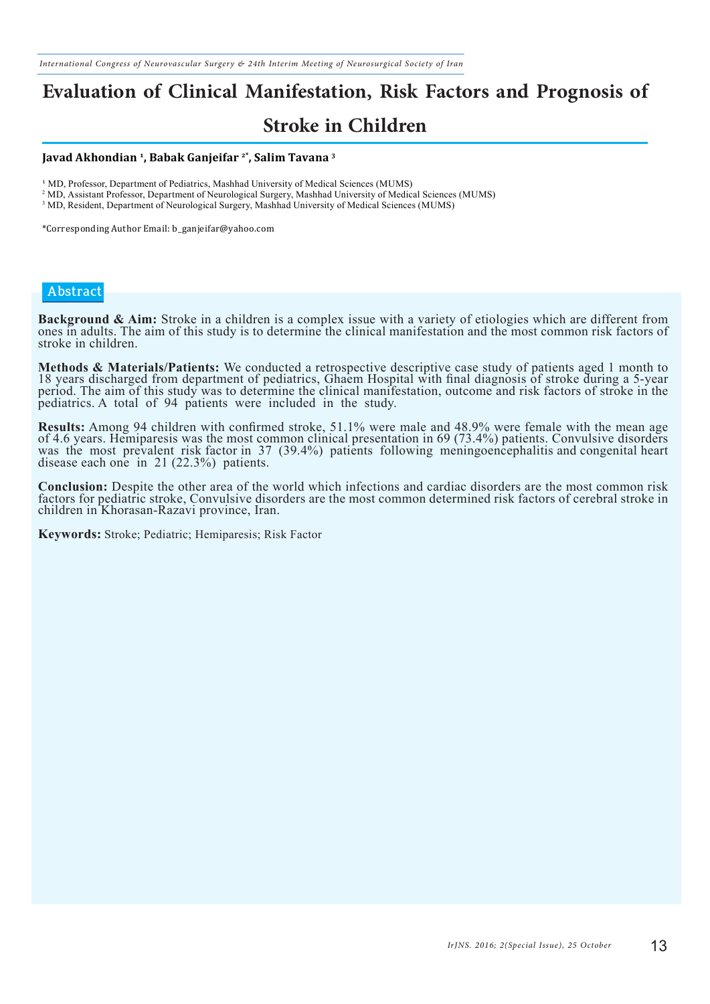*International Congress of Neurovascular Surgery & 24th Interim Meeting of Neurosurgical Society of Iran*

## **Evaluation of Clinical Manifestation, Risk Factors and Prognosis of**

### **Stroke in Children**

#### **Javad Akhondian 1, Babak Ganjeifar 2\*, Salim Tavana 3**

<sup>1</sup> MD, Professor, Department of Pediatrics, Mashhad University of Medical Sciences (MUMS)

2 MD, Assistant Professor, Department of Neurological Surgery, Mashhad University of Medical Sciences (MUMS)

<sup>3</sup> MD, Resident, Department of Neurological Surgery, Mashhad University of Medical Sciences (MUMS)

\*Corresponding Author Email: b\_ganjeifar@yahoo.com

#### **Abstract**

Background & Aim: Stroke in a children is a complex issue with a variety of etiologies which are different from<br>ones in adults. The aim of this study is to determine the clinical manifestation and the most common risk fact stroke in children.

Methods & Materials/Patients: We conducted a retrospective descriptive case study of patients aged 1 month to 18 years discharged from department of pediatrics, Ghaem Hospital with final diagnosis of stroke during a 5-year period. The aim of this study was to determine the clinical manifestation, outcome and risk factors of stroke in the pediatrics. A total of 94 patients were included in the study.

**Results:** Among 94 children with confirmed stroke, 51.1% were male and 48.9% were female with the mean age of 4.6 years. Hemiparesis was the most common clinical presentation in 69 (73.4%) patients. Convulsive disorders was the most prevalent risk factor in 37 (39.4%) patients following meningoencephalitis and congenital heart disease each one in 21 (22.3%) patients.

**Conclusion:** Despite the other area of the world which infections and cardiac disorders are the most common risk factors for pediatric stroke, Convulsive disorders are the most common determined risk factors of cerebral s children in Khorasan-Razavi province, Iran.

**Keywords:** Stroke; Pediatric; Hemiparesis; Risk Factor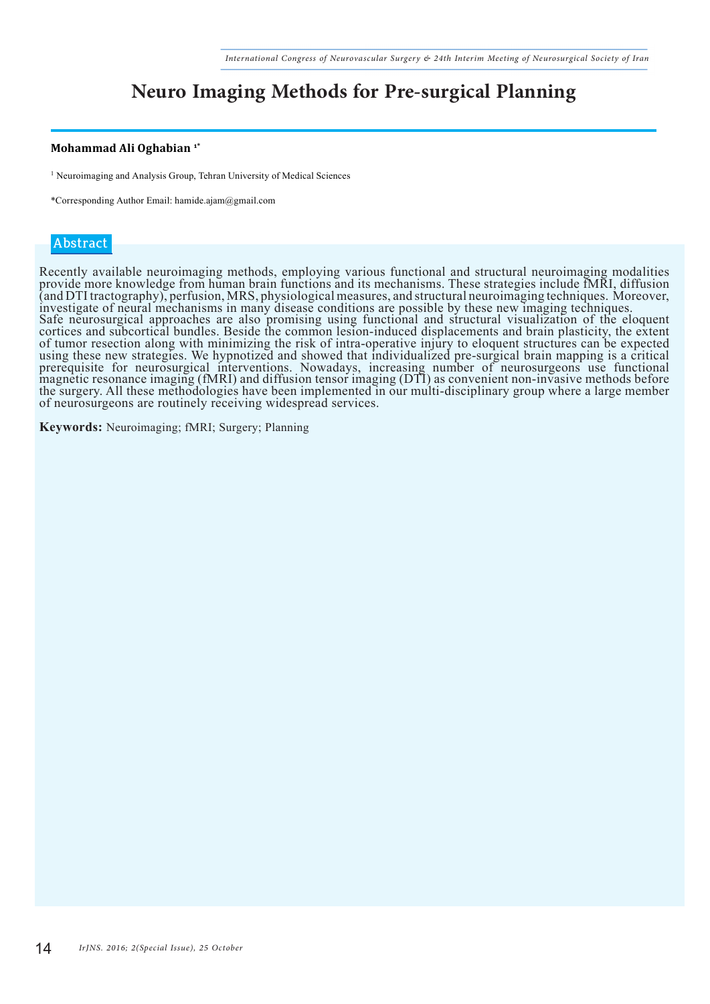## **Neuro Imaging Methods for Pre-surgical Planning**

#### **Mohammad Ali Oghabian 1\***

<sup>1</sup> Neuroimaging and Analysis Group, Tehran University of Medical Sciences

\*Corresponding Author Email: hamide.ajam@gmail.com

#### **Abstract**

Recently available neuroimaging methods, employing various functional and structural neuroimaging modalities provide more knowledge from human brain functions and its mechanisms. These strategies include fMRI, diffusion (and DTI tractography), perfusion, MRS, physiological measures, and structural neuroimaging techniques. Moreover, investigate of neural mechanisms in many disease conditions are possible by these new imaging techniques. Safe neurosurgical approaches are also promising using functional and structural visualization of the eloquent cortices and subcortical bundles. Beside the common lesion-induced displacements and brain plasticity, the extent of tumor resection along with minimizing the risk of intra-operative injury to eloquent structures can be expected using these new strategies. We hypnotized and showed that individualized pre-surgical brain mapping is a critical prerequisite for neurosurgical interventions. Nowadays, increasing number of neurosurgeons use functional magnetic resonance imaging (fMRI) and diffusion tensor imaging (DTI) as convenient non-invasive methods before the surgery. All these methodologies have been implemented in our multi-disciplinary group where a large member of neurosurgeons are routinely receiving widespread services.

**Keywords:** Neuroimaging; fMRI; Surgery; Planning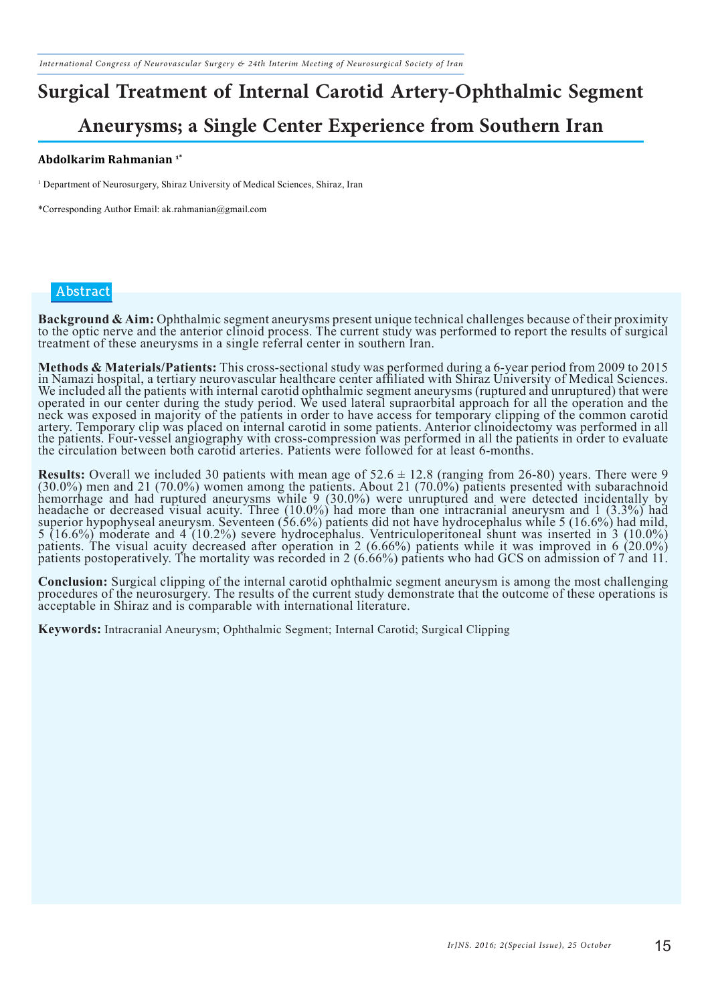# **Surgical Treatment of Internal Carotid Artery-Ophthalmic Segment**

### **Aneurysms; a Single Center Experience from Southern Iran**

#### **Abdolkarim Rahmanian 1\***

<sup>1</sup> Department of Neurosurgery, Shiraz University of Medical Sciences, Shiraz, Iran

\*Corresponding Author Email: ak.rahmanian@gmail.com

#### **Abstract**

Background & Aim: Ophthalmic segment aneurysms present unique technical challenges because of their proximity<br>to the optic nerve and the anterior clinoid process. The current study was performed to report the results of su treatment of these aneurysms in a single referral center in southern Iran.

Methods & Materials/Patients: This cross-sectional study was performed during a 6-year period from 2009 to 2015<br>in Namazi hospital, a tertiary neurovascular healthcare center affiliated with Shiraz University of Medical Sc We included all the patients with internal carotid ophthalmic segment aneurysms (ruptured and unruptured) that were operated in our center during the study period. We used lateral supraorbital approach for all the operation and the neck was exposed in majority of the patients in order to have access for temporary clipping of the common carotid<br>artery. Temporary clip was placed on internal carotid in some patients. Anterior clinoidectomy was performed the patients. Four-vessel angiography with cross-compression was performed in all the patients in order to evaluate the circulation between both carotid arteries. Patients were followed for at least 6-months.

**Results:** Overall we included 30 patients with mean age of  $52.6 \pm 12.8$  (ranging from 26-80) years. There were 9 (30.0%) men and 21 (70.0%) women among the patients. About 21 (70.0%) patients presented with subarachnoid hemorrhage and had ruptured aneurysms while 9 (30.0%) were unruptured and were detected incidentally by headache or decreased visual acuity. Three (10.0%) had more than one intracranial aneurysm and 1 (3.3%) had superior hypophyseal aneurysm. Seventeen (56.6%) patients did not have hydrocephalus while 5 (16.6%) had mild, 5 (16.6%) moderate and 4 (10.2%) severe hydrocephalus. Ventriculoperitoneal shunt was inserted in 3 (10.0%) patients. The visual acuity decreased after operation in 2 (6.66%) patients while it was improved in 6 (20.0%) patients postoperatively. The mortality was recorded in 2 (6.66%) patients who had GCS on admission of 7 and 11.

**Conclusion:** Surgical clipping of the internal carotid ophthalmic segment aneurysm is among the most challenging procedures of the neurosurgery. The results of the current study demonstrate that the outcome of these opera acceptable in Shiraz and is comparable with international literature.

**Keywords:** Intracranial Aneurysm; Ophthalmic Segment; Internal Carotid; Surgical Clipping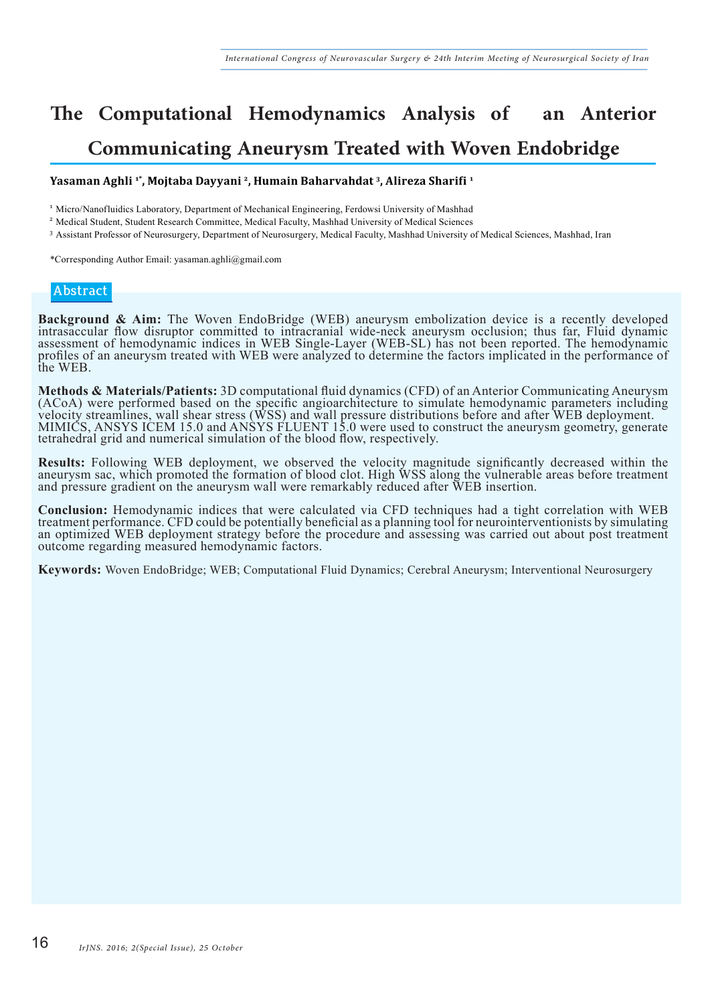## **The Computational Hemodynamics Analysis of an Anterior Communicating Aneurysm Treated with Woven Endobridge**

#### **Yasaman Aghli 1\*, Mojtaba Dayyani 2, Humain Baharvahdat 3, Alireza Sharifi 1**

<sup>1</sup> Micro/Nanofluidics Laboratory, Department of Mechanical Engineering, Ferdowsi University of Mashhad

<sup>2</sup> Medical Student, Student Research Committee, Medical Faculty, Mashhad University of Medical Sciences

<sup>3</sup> Assistant Professor of Neurosurgery, Department of Neurosurgery, Medical Faculty, Mashhad University of Medical Sciences, Mashhad, Iran

\*Corresponding Author Email: yasaman.aghli@gmail.com

#### **Abstract**

**Background & Aim:** The Woven EndoBridge (WEB) aneurysm embolization device is a recently developed intrasaccular flow disruptor committed to intracranial wide-neck aneurysm occlusion; thus far, Fluid dynamic assessment of hemodynamic indices in WEB Single-Layer (WEB-SL) has not been reported. The hemodynamic profiles of an aneurysm treated with WEB were analyzed to determine the factors implicated in the performance of the WEB.

Methods & Materials/Patients: 3D computational fluid dynamics (CFD) of an Anterior Communicating Aneurysm (ACoA) were performed based on the specific angioarchitecture to simulate hemodynamic parameters including velocity tetrahedral grid and numerical simulation of the blood flow, respectively.

**Results:** Following WEB deployment, we observed the velocity magnitude significantly decreased within the aneurysm sac, which promoted the formation of blood clot. High WSS along the vulnerable areas before treatment and pressure gradient on the aneurysm wall were remarkably reduced after WEB insertion.

**Conclusion:** Hemodynamic indices that were calculated via CFD techniques had a tight correlation with WEB treatment performance. CFD could be potentially beneficial as a planning tool for neurointerventionists by simulati an optimized WEB deployment strategy before the procedure and assessing was carried out about post treatment outcome regarding measured hemodynamic factors.

**Keywords:** Woven EndoBridge; WEB; Computational Fluid Dynamics; Cerebral Aneurysm; Interventional Neurosurgery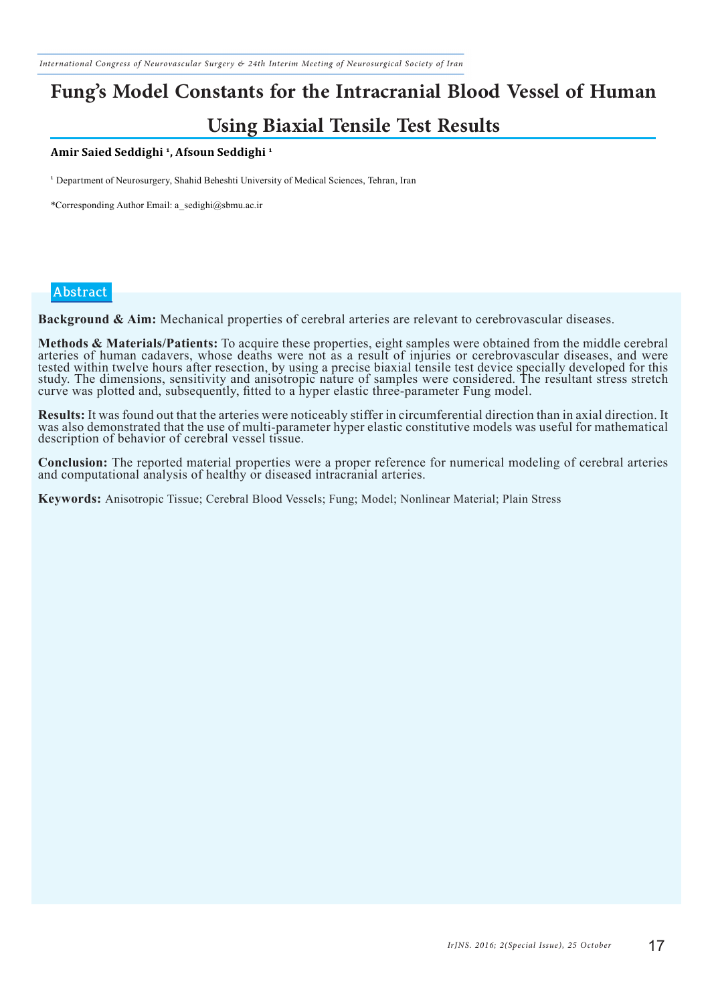## **Fung's Model Constants for the Intracranial Blood Vessel of Human**

### **Using Biaxial Tensile Test Results**

#### **Amir Saied Seddighi 1, Afsoun Seddighi 1**

<sup>1</sup> Department of Neurosurgery, Shahid Beheshti University of Medical Sciences, Tehran, Iran

\*Corresponding Author Email: a\_sedighi@sbmu.ac.ir

#### **Abstract**

**Background & Aim:** Mechanical properties of cerebral arteries are relevant to cerebrovascular diseases.

Methods & Materials/Patients: To acquire these properties, eight samples were obtained from the middle cerebral arteries of human cadavers, whose deaths were not as a result of injuries or cerebrovascular diseases, and wer tested within twelve hours after resection, by using a precise biaxial tensile test device specially developed for this study. The dimensions, sensitivity and anisotropic nature of samples were considered. The resultant stress stretch curve was plotted and, subsequently, fitted to a hyper elastic three-parameter Fung model.

Results: It was found out that the arteries were noticeably stiffer in circumferential direction than in axial direction. It was also demonstrated that the use of multi-parameter hyper elastic constitutive models was usefu description of behavior of cerebral vessel tissue.

**Conclusion:** The reported material properties were a proper reference for numerical modeling of cerebral arteries and computational analysis of healthy or diseased intracranial arteries.

**Keywords:** Anisotropic Tissue; Cerebral Blood Vessels; Fung; Model; Nonlinear Material; Plain Stress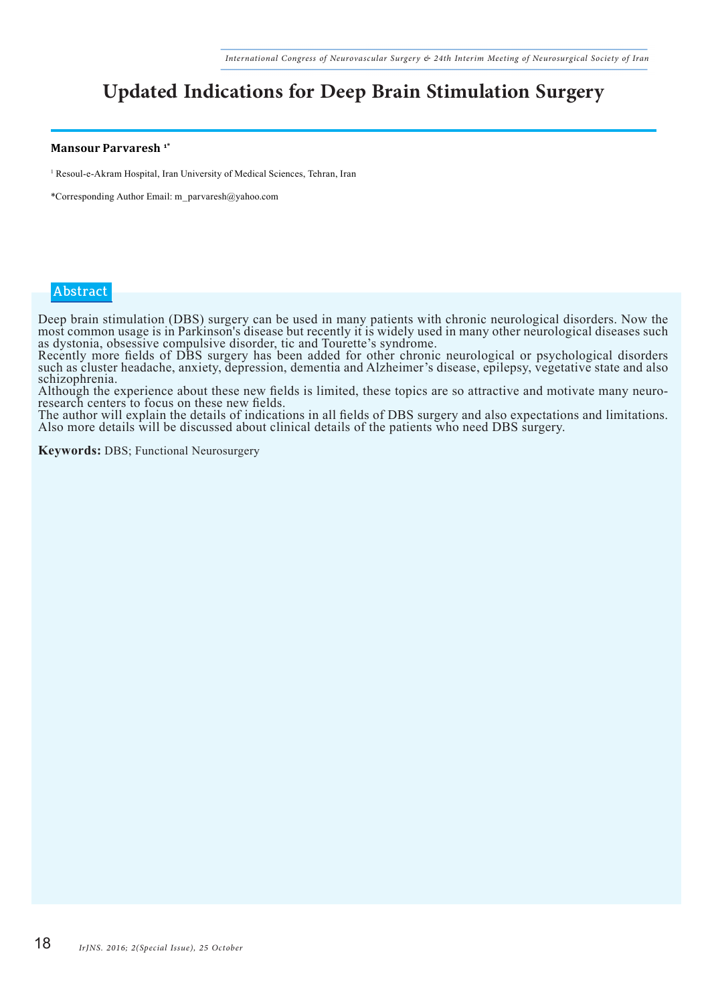## **Updated Indications for Deep Brain Stimulation Surgery**

#### **Mansour Parvaresh 1\***

<sup>1</sup> Resoul-e-Akram Hospital, Iran University of Medical Sciences, Tehran, Iran

\*Corresponding Author Email: m\_parvaresh@yahoo.com

#### **Abstract**

Deep brain stimulation (DBS) surgery can be used in many patients with chronic neurological disorders. Now the most common usage is in Parkinson's disease but recently it is widely used in many other neurological diseases such as dystonia, obsessive compulsive disorder, tic and Tourette's syndrome.

Recently more fields of DBS surgery has been added for other chronic neurological or psychological disorders such as cluster headache, anxiety, depression, dementia and Alzheimer's disease, epilepsy, vegetative state and also schizophrenia.

Although the experience about these new fields is limited, these topics are so attractive and motivate many neuroresearch centers to focus on these new fields.

The author will explain the details of indications in all fields of DBS surgery and also expectations and limitations. Also more details will be discussed about clinical details of the patients who need DBS surgery.

**Keywords:** DBS; Functional Neurosurgery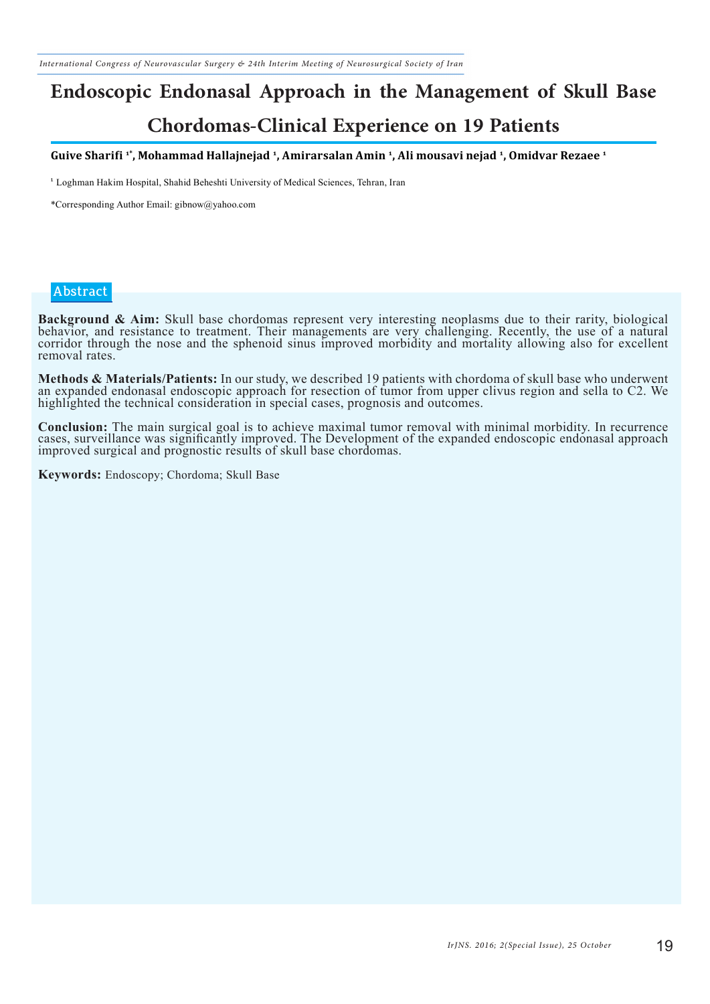## **Endoscopic Endonasal Approach in the Management of Skull Base Chordomas-Clinical Experience on 19 Patients**

**Guive Sharifi 1\*, Mohammad Hallajnejad 1, Amirarsalan Amin 1, Ali mousavi nejad 1, Omidvar Rezaee 1**

<sup>1</sup> Loghman Hakim Hospital, Shahid Beheshti University of Medical Sciences, Tehran, Iran

\*Corresponding Author Email: gibnow@yahoo.com

#### **Abstract**

**Background & Aim:** Skull base chordomas represent very interesting neoplasms due to their rarity, biological behavior, and resistance to treatment. Their managements are very challenging. Recently, the use of a natural corridor through the nose and the sphenoid sinus improved morbidity and mortality allowing also for excellent removal rates.

**Methods & Materials/Patients:** In our study, we described 19 patients with chordoma of skull base who underwent an expanded endonasal endoscopic approach for resection of tumor from upper clivus region and sella to C2. We highlighted the technical consideration in special cases, prognosis and outcomes.

**Conclusion:** The main surgical goal is to achieve maximal tumor removal with minimal morbidity. In recurrence cases, surveillance was significantly improved. The Development of the expanded endoscopic endonasal approach improved surgical and prognostic results of skull base chordomas.

**Keywords:** Endoscopy; Chordoma; Skull Base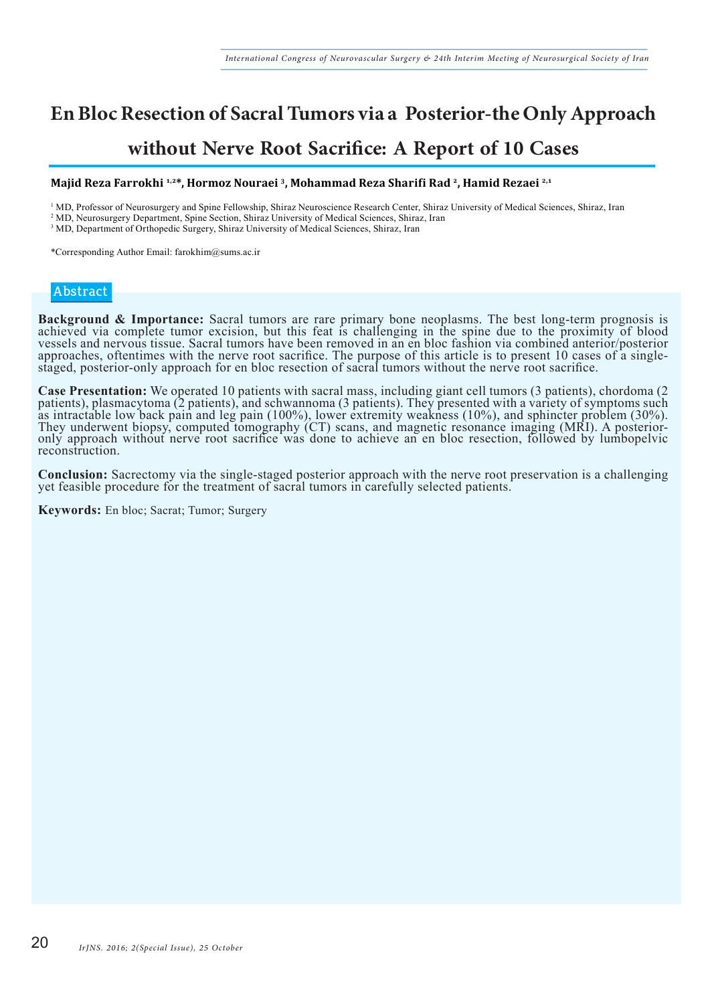## **En Bloc Resection of Sacral Tumors via a Posterior-the OnlyApproach without Nerve Root Sacrifice: A Report of 10 Cases**

#### **Majid Reza Farrokhi 1,2\*, Hormoz Nouraei 3, Mohammad Reza Sharifi Rad 2, Hamid Rezaei 2,1**

<sup>1</sup> MD, Professor of Neurosurgery and Spine Fellowship, Shiraz Neuroscience Research Center, Shiraz University of Medical Sciences, Shiraz, Iran

<sup>2</sup> MD, Neurosurgery Department, Spine Section, Shiraz University of Medical Sciences, Shiraz, Iran

<sup>3</sup> MD, Department of Orthopedic Surgery, Shiraz University of Medical Sciences, Shiraz, Iran

\*Corresponding Author Email: farokhim@sums.ac.ir

#### **Abstract**

**Background & Importance:** Sacral tumors are rare primary bone neoplasms. The best long-term prognosis is achieved via complete tumor excision, but this feat is challenging in the spine due to the proximity of blood vessels and nervous tissue. Sacral tumors have been removed in an en bloc fashion via combined anterior/posterior approaches, oftentimes with the nerve root sacrifice. The purpose of this article is to present 10 cases of a singlestaged, posterior-only approach for en bloc resection of sacral tumors without the nerve root sacrifice.

Case Presentation: We operated 10 patients with sacral mass, including giant cell tumors (3 patients), chordoma (2 patients), plasmacytoma (2 patients), and schwannoma (3 patients). They presented with a variety of symptom as intractable low back pain and leg pain (100%), lower extremity weakness (10%), and sphincter problem (30%). They underwent biopsy, computed tomography (CT) scans, and magnetic resonance imaging (MRI). A posterioronly approach without nerve root sacrifice was done to achieve an en bloc resection, followed by lumbopelvic reconstruction.

**Conclusion:** Sacrectomy via the single-staged posterior approach with the nerve root preservation is a challenging yet feasible procedure for the treatment of sacral tumors in carefully selected patients.

**Keywords:** En bloc; Sacrat; Tumor; Surgery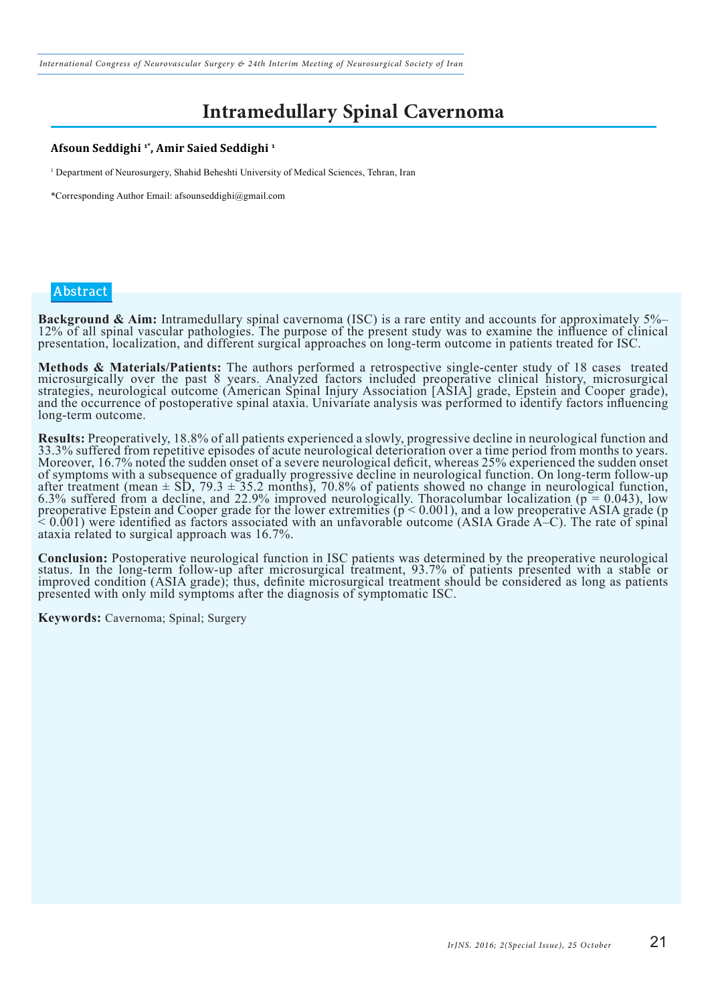*International Congress of Neurovascular Surgery & 24th Interim Meeting of Neurosurgical Society of Iran*

## **Intramedullary Spinal Cavernoma**

#### **Afsoun Seddighi 1\*, Amir Saied Seddighi 1**

1 Department of Neurosurgery, Shahid Beheshti University of Medical Sciences, Tehran, Iran

\*Corresponding Author Email: afsounseddighi@gmail.com

#### **Abstract**

**Background & Aim:** Intramedullary spinal cavernoma (ISC) is a rare entity and accounts for approximately  $5\%$ -12% of all spinal vascular pathologies. The purpose of the present study was to examine the influence of clin presentation, localization, and different surgical approaches on long-term outcome in patients treated for ISC.

**Methods & Materials/Patients:** The authors performed a retrospective single-center study of 18 cases treated microsurgically over the past 8 years. Analyzed factors included preoperative clinical history, microsurgical strategies, neurological outcome (American Spinal Injury Association [ASIA] grade, Epstein and Cooper grade), and the occurrence of postoperative spinal ataxia. Univariate analysis was performed to identify factors influencing long-term outcome.

**Results:** Preoperatively, 18.8% of all patients experienced a slowly, progressive decline in neurological function and 33.3% suffered from repetitive episodes of acute neurological deterioration over a time period from mo Moreover, 16.7% noted the sudden onset of a severe neurological deficit, whereas 25% experienced the sudden onset of symptoms with a subsequence of gradually progressive decline in neurological function. On long-term follow-up after treatment (mean  $\pm$  SD, 79.3  $\pm$  35.2 months), 70.8% of patients showed no change in neurological function, 6.3% suffered from a decline, and 22.9% improved neurologically. Thoracolumbar localization ( $p = 0.043$ ), low preoperative Epstein and Cooper grade for the lower extremities  $(p < 0.001)$ , and a low preoperative ASIA grade (p  $\approx 0.001$ ) were identified as factors associated with an unfavorable outcome (ASIA Grade A–C). The rate of spinal ataxia related to surgical approach was 16.7%.

Conclusion: Postoperative neurological function in ISC patients was determined by the preoperative neurological<br>status. In the long-term follow-up after microsurgical treatment, 93.7% of patients presented with a stable or improved condition (ASIA grade); thus, definite microsurgical treatment should be considered as long as patients presented with only mild symptoms after the diagnosis of symptomatic ISC.

**Keywords:** Cavernoma; Spinal; Surgery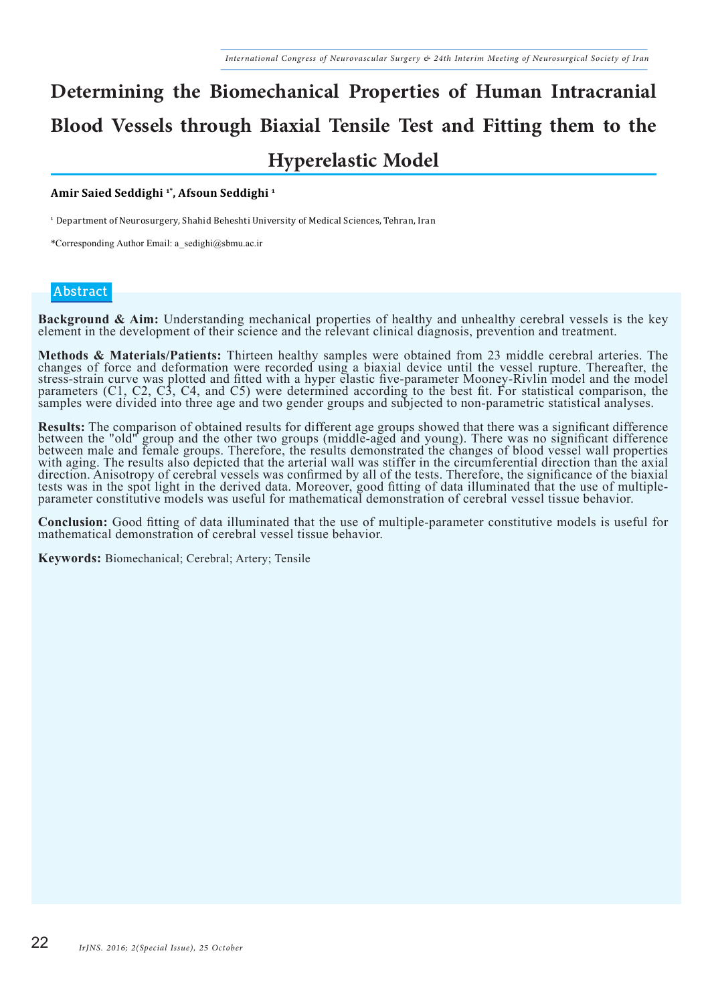# **Determining the Biomechanical Properties of Human Intracranial Blood Vessels through Biaxial Tensile Test and Fitting them to the Hyperelastic Model**

#### **Amir Saied Seddighi 1\*, Afsoun Seddighi 1**

<sup>1</sup> Department of Neurosurgery, Shahid Beheshti University of Medical Sciences, Tehran, Iran

\*Corresponding Author Email: a\_sedighi@sbmu.ac.ir

#### **Abstract**

**Background & Aim:** Understanding mechanical properties of healthy and unhealthy cerebral vessels is the key element in the development of their science and the relevant clinical diagnosis, prevention and treatment.

Methods & Materials/Patients: Thirteen healthy samples were obtained from 23 middle cerebral arteries. The changes of force and deformation were recorded using a biaxial device until the vessel rupture. Thereafter, the stress-strain curve was plotted and fitted with a hyper elastic five-parameter Mooney-Rivlin model and the model parameters (C1, C2, C3, C4, and C5) were determined according to the best fit. For statistical comparison, the samples were divided into three age and two gender groups and subjected to non-parametric statistical analyses.

**Results:** The comparison of obtained results for different age groups showed that there was a significant difference between the "old" group and the other two groups (middle-aged and young). There was no significant diffe between male and female groups. Therefore, the results demonstrated the changes of blood vessel wall properties with aging. The results also depicted that the arterial wall was stiffer in the circumferential direction than the axial direction. Anisotropy of cerebral vessels was confirmed by all of the tests. Therefore, the significance of the biaxial tests was in the spot light in the derived data. Moreover, good fitting of data illuminated that the use of multipleparameter constitutive models was useful for mathematical demonstration of cerebral vessel tissue behavior.

**Conclusion:** Good fitting of data illuminated that the use of multiple-parameter constitutive models is useful for mathematical demonstration of cerebral vessel tissue behavior.

**Keywords:** Biomechanical; Cerebral; Artery; Tensile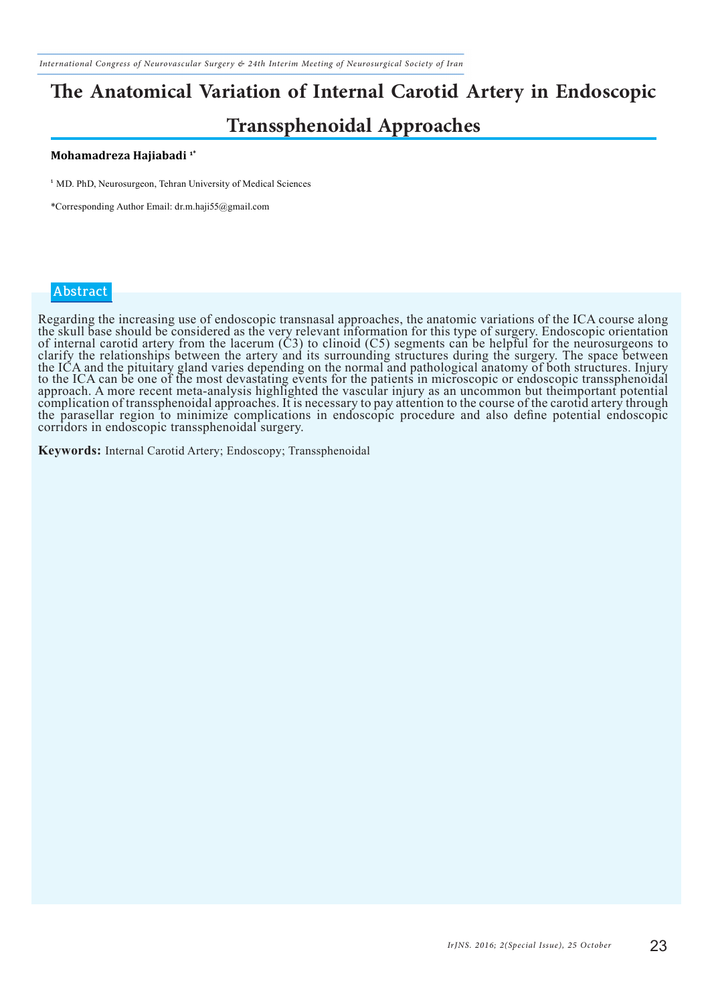*International Congress of Neurovascular Surgery & 24th Interim Meeting of Neurosurgical Society of Iran*

# **The Anatomical Variation of Internal Carotid Artery in Endoscopic**

### **Transsphenoidal Approaches**

#### **Mohamadreza Hajiabadi 1\***

<sup>1</sup> MD. PhD, Neurosurgeon, Tehran University of Medical Sciences

\*Corresponding Author Email: dr.m.haji55@gmail.com

#### **Abstract**

Regarding the increasing use of endoscopic transnasal approaches, the anatomic variations of the ICA course along the skull base should be considered as the very relevant information for this type of surgery. Endoscopic orientation of internal carotid artery from the lacerum  $(C3)$  to clinoid  $(C5)$  segments can be helpful for the neurosurgeons to clarify the relationships between the artery and its surrounding structures during the surgery. The space between the ICA and the pituitary gland varies depending on the normal and pathological anatomy of both structures. Injury to the ICA can be one of the most devastating events for the patients in microscopic or endoscopic transsphenoidal approach. A more recent meta-analysis highlighted the vascular injury as an uncommon but theimportant potential complication of transsphenoidal approaches. It is necessary to pay attention to the course of the carotid artery through the parasellar region to minimize complications in endoscopic procedure and also define potential endoscopic corridors in endoscopic transsphenoidal surgery.

**Keywords:** Internal Carotid Artery; Endoscopy; Transsphenoidal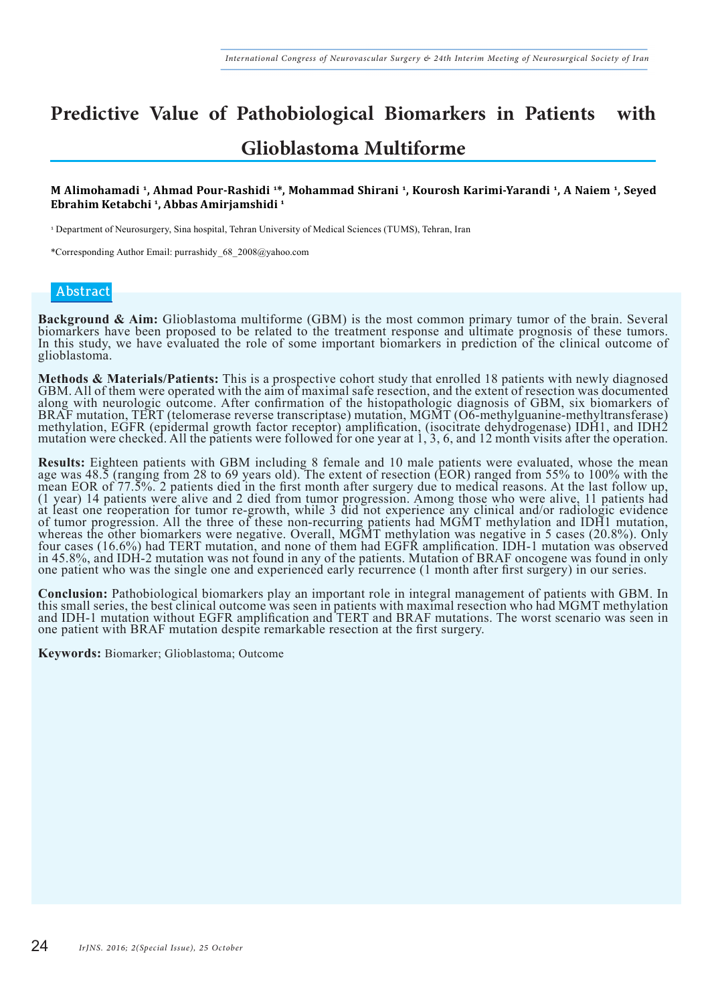# **Predictive Value of Pathobiological Biomarkers in Patients with**

### **Glioblastoma Multiforme**

#### **M Alimohamadi 1, Ahmad Pour-Rashidi 1 \*, Mohammad Shirani 1, Kourosh Karimi-Yarandi 1, A Naiem 1, Seyed Ebrahim Ketabchi 1, Abbas Amirjamshidi 1**

<sup>1</sup> Department of Neurosurgery, Sina hospital, Tehran University of Medical Sciences (TUMS), Tehran, Iran

\*Corresponding Author Email: purrashidy\_68\_2008@yahoo.com

#### **Abstract**

**Background & Aim:** Glioblastoma multiforme (GBM) is the most common primary tumor of the brain. Several biomarkers have been proposed to be related to the treatment response and ultimate prognosis of these tumors. In this study, we have evaluated the role of some important biomarkers in prediction of the clinical outcome of glioblastoma.

Methods & Materials/Patients: This is a prospective cohort study that enrolled 18 patients with newly diagnosed GBM. All of them were operated with the aim of maximal safe resection, and the extent of resection was documen along with neurologic outcome. After confirmation of the histopathologic diagnosis of GBM, six biomarkers of BRAF mutation, TERT (telomerase reverse transcriptase) mutation, MGMT (O6-methylguanine-methyltransferase) methylation, EGFR (epidermal growth factor receptor) amplification, (isocitrate dehydrogenase) IDH1, and IDH2 mutation were checked. All the patients were followed for one year at 1, 3, 6, and 12 month visits after the operation.

**Results:** Eighteen patients with GBM including 8 female and 10 male patients were evaluated, whose the mean age was 48.5 (ranging from 28 to 69 years old). The extent of resection (EOR) ranged from 55% to 100% with the mean EOR of 77.5%. 2 patients died in the first month after surgery due to medical reasons. At the last follow up, (1 year) 14 patients were alive and 2 died from tumor progression. Among those who were alive, 11 patients had at least one reoperation for tumor re-growth, while 3 did not experience any clinical and/or radiologic evidence of tumor progression. All the three of these non-recurring patients had MGMT methylation and IDH1 mutation, whereas the other biomarkers were negative. Overall, MGMT methylation was negative in 5 cases (20.8%). Only four cases (16.6%) had TERT mutation, and none of them had EGFR amplification. IDH-1 mutation was observed in 45.8%, and IDH-2 mutation was not found in any of the patients. Mutation of BRAF oncogene was found in only one patient who was the single one and experienced early recurrence (1 month after first surgery) in our series.

**Conclusion:** Pathobiological biomarkers play an important role in integral management of patients with GBM. In this small series, the best clinical outcome was seen in patients with maximal resection who had MGMT methylat and IDH-1 mutation without EGFR amplification and TERT and BRAF mutations. The worst scenario was seen in one patient with BRAF mutation despite remarkable resection at the first surgery.

**Keywords:** Biomarker; Glioblastoma; Outcome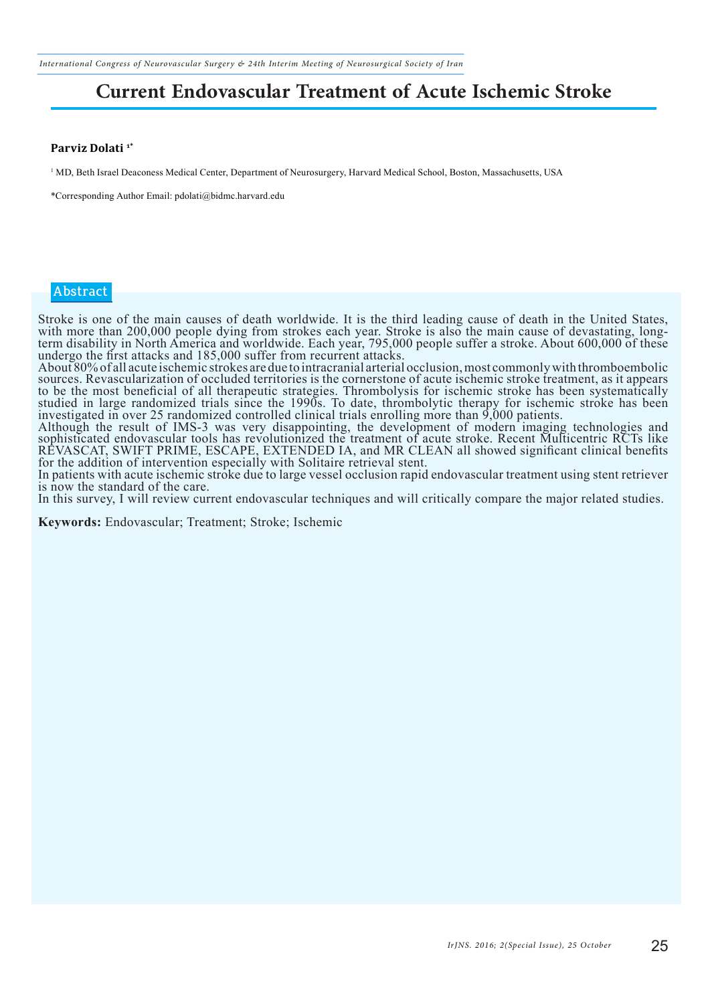*International Congress of Neurovascular Surgery & 24th Interim Meeting of Neurosurgical Society of Iran*

## **Current Endovascular Treatment of Acute Ischemic Stroke**

#### **Parviz Dolati 1\***

1 MD, Beth Israel Deaconess Medical Center, Department of Neurosurgery, Harvard Medical School, Boston, Massachusetts, USA

\*Corresponding Author Email: pdolati@bidmc.harvard.edu

#### **Abstract**

Stroke is one of the main causes of death worldwide. It is the third leading cause of death in the United States, with more than 200,000 people dying from strokes each year. Stroke is also the main cause of devastating, longterm disability in North America and worldwide. Each year, 795,000 people suffer a stroke. About 600,000 of these undergo the first attacks and 185,000 suffer from recurrent attacks.

About 80% of all acute ischemic strokes are due to intracranial arterial occlusion, most commonly with thromboembolic sources. Revascularization of occluded territories is the cornerstone of acute ischemic stroke treatment, as it appears to be the most beneficial of all therapeutic strategies. Thrombolysis for ischemic stroke has been systematically studied in large randomized trials since the 1990s. To date, thrombolytic therapy for ischemic stroke has been investigated in over 25 randomized controlled clinical trials enrolling more than 9,000 patients. Although the result of IMS-3 was very disappointing, the development of modern imaging technologies and

sophisticated endovascular tools has revolutionized the treatment of acute stroke. Recent Multicentric RCTs like REVASCAT, SWIFT PRIME, ESCAPE, EXTENDED IA, and MR CLEAN all showed significant clinical benefits for the addition of intervention especially with Solitaire retrieval stent.

In patients with acute ischemic stroke due to large vessel occlusion rapid endovascular treatment using stent retriever is now the standard of the care.

In this survey, I will review current endovascular techniques and will critically compare the major related studies.

**Keywords:** Endovascular; Treatment; Stroke; Ischemic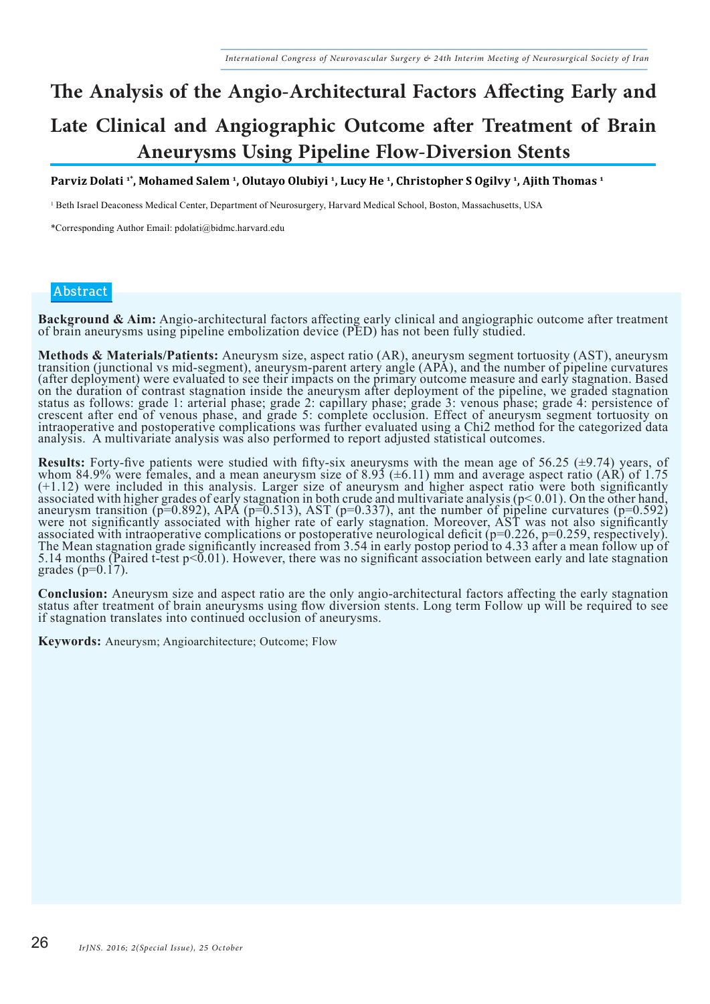## **The Analysis of the Angio-Architectural Factors Affecting Early and Late Clinical and Angiographic Outcome after Treatment of Brain Aneurysms Using Pipeline Flow-Diversion Stents**

**Parviz Dolati 1\*, Mohamed Salem 1, Olutayo Olubiyi 1, Lucy He 1, Christopher S Ogilvy 1, Ajith Thomas 1**

1 Beth Israel Deaconess Medical Center, Department of Neurosurgery, Harvard Medical School, Boston, Massachusetts, USA

\*Corresponding Author Email: pdolati@bidmc.harvard.edu

#### **Abstract**

**Background & Aim:** Angio-architectural factors affecting early clinical and angiographic outcome after treatment of brain aneurysms using pipeline embolization device (PED) has not been fully studied.

Methods & Materials/Patients: Aneurysm size, aspect ratio (AR), aneurysm segment tortuosity (AST), aneurysm<br>transition (junctional vs mid-segment), aneurysm-parent artery angle (APA), and the number of pipeline curvatures (after deployment) were evaluated to see their impacts on the primary outcome measure and early stagnation. Based on the duration of contrast stagnation inside the aneurysm after deployment of the pipeline, we graded stagnation status as follows: grade 1: arterial phase; grade 2: capillary phase; grade 3: venous phase; grade 4: persistence of crescent after end of venous phase, and grade 5: complete occlusion. Effect of aneurysm segment tortuosity on intraoperative and postoperative complications was further evaluated using a Chi2 method for the categorized data analysis. A multivariate analysis was also performed to report adjusted statistical outcomes.

**Results:** Forty-five patients were studied with fifty-six aneurysms with the mean age of 56.25 ( $\pm$ 9.74) years, of whom 84.9% were females, and a mean aneurysm size of 8.93 ( $\pm$ 6.11) mm and average aspect ratio (AR) of (+1.12) were included in this analysis. Larger size of aneurysm and higher aspect ratio were both significantly associated with higher grades of early stagnation in both crude and multivariate analysis ( $p \le 0.01$ ). On the other hand, aneurysm transition ( $p=0.892$ ), APA ( $p=0.513$ ), AST ( $p=0.337$ ), ant the number of pipeline curvatures ( $p=0.592$ ) were not significantly associated with higher rate of early stagnation. Moreover, AST was not also significantly associated with intraoperative complications or postoperative neurological deficit (p=0.226, p=0.259, respectively). The Mean stagnation grade significantly increased from 3.54 in early postop period to 4.33 after a mean follow up of 5.14 months (Paired t-test  $p<0.01$ ). However, there was no significant association between early and late stagnation grades ( $p=0.17$ ).

**Conclusion:** Aneurysm size and aspect ratio are the only angio-architectural factors affecting the early stagnation status after treatment of brain aneurysms using flow diversion stents. Long term Follow up will be requir if stagnation translates into continued occlusion of aneurysms.

**Keywords:** Aneurysm; Angioarchitecture; Outcome; Flow **r**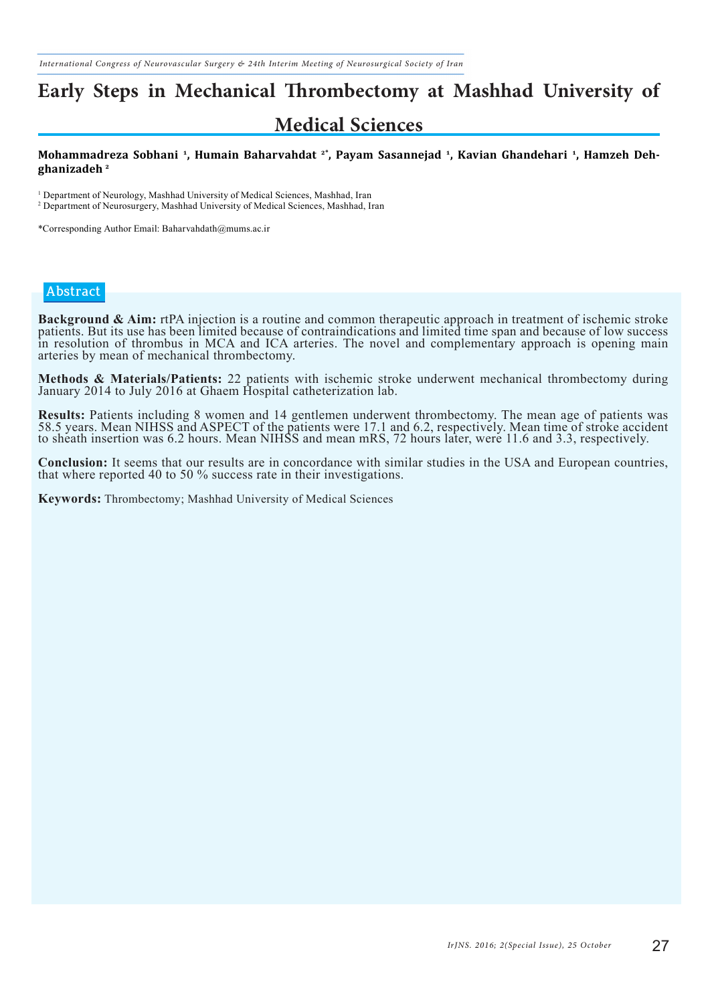## **Early Steps in Mechanical Thrombectomy at Mashhad University of Medical Sciences**

#### **Mohammadreza Sobhani 1, Humain Baharvahdat 2\*, Payam Sasannejad 1, Kavian Ghandehari 1, Hamzeh Dehghanizadeh 2**

<sup>1</sup> Department of Neurology, Mashhad University of Medical Sciences, Mashhad, Iran 2 Department of Neurosurgery, Mashhad University of Medical Sciences, Mashhad, Iran

\*Corresponding Author Email: Baharvahdath@mums.ac.ir

#### **Abstract**

Background & Aim: rtPA injection is a routine and common therapeutic approach in treatment of ischemic stroke patients. But its use has been limited because of contraindications and limited time span and because of low suc in resolution of thrombus in MCA and ICA arteries. The novel and complementary approach is opening main arteries by mean of mechanical thrombectomy.

**Methods & Materials/Patients:** 22 patients with ischemic stroke underwent mechanical thrombectomy during January 2014 to July 2016 at Ghaem Hospital catheterization lab.

**Results:** Patients including 8 women and 14 gentlemen underwent thrombectomy. The mean age of patients was 58.5 years. Mean NIHSS and ASPECT of the patients were 17.1 and 6.2, respectively. Mean time of stroke accident to sheath insertion was 6.2 hours. Mean NIHSS and mean mRS, 72 hours later, were 11.6 and 3.3, respectively.

**Conclusion:** It seems that our results are in concordance with similar studies in the USA and European countries, that where reported 40 to 50 % success rate in their investigations.

**Keywords:** Thrombectomy; Mashhad University of Medical Sciences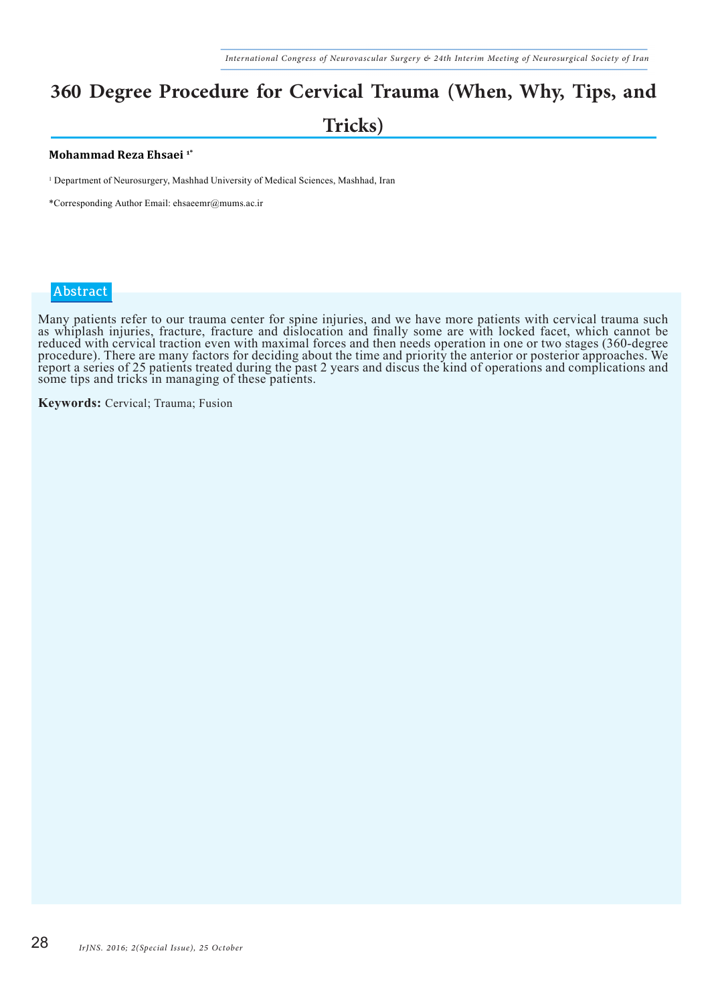## **360 Degree Procedure for Cervical Trauma (When, Why, Tips, and Tricks)**

#### **Mohammad Reza Ehsaei 1\***

1 Department of Neurosurgery, Mashhad University of Medical Sciences, Mashhad, Iran

\*Corresponding Author Email: ehsaeemr@mums.ac.ir

#### **Abstract**

Many patients refer to our trauma center for spine injuries, and we have more patients with cervical trauma such as whiplash injuries, fracture, fracture and dislocation and finally some are with locked facet, which cannot be reduced with cervical traction even with maximal forces and then needs operation in one or two stages (360-degree procedure). There are many factors for deciding about the time and priority the anterior or posterior approaches. We report a series of 25 patients treated during the past 2 years and discus the kind of operations and complications and some tips and tricks in managing of these patients.

**Keywords:** Cervical; Trauma; Fusion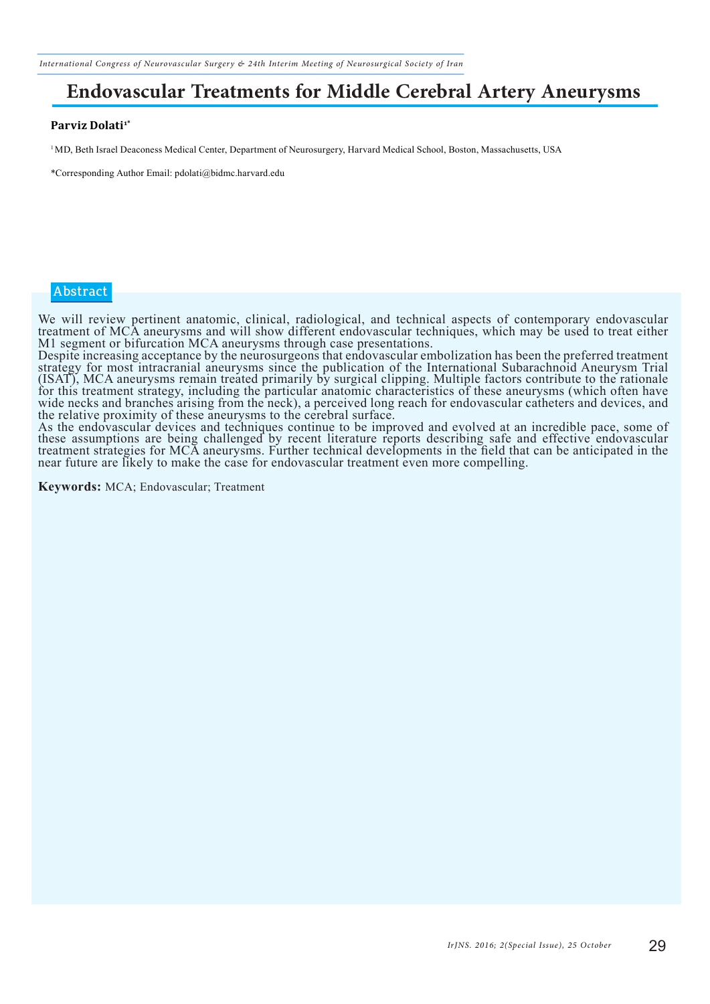*International Congress of Neurovascular Surgery & 24th Interim Meeting of Neurosurgical Society of Iran*

### **Endovascular Treatments for Middle Cerebral Artery Aneurysms**

#### Parviz Dolati<sup>1\*</sup>

<sup>1</sup>MD, Beth Israel Deaconess Medical Center, Department of Neurosurgery, Harvard Medical School, Boston, Massachusetts, USA

\*Corresponding Author Email: pdolati@bidmc.harvard.edu

#### **Abstract**

We will review pertinent anatomic, clinical, radiological, and technical aspects of contemporary endovascular treatment of MCA aneurysms and will show different endovascular techniques, which may be used to treat either M1 segment or bifurcation MCA aneurysms through case presentations.

Despite increasing acceptance by the neurosurgeons that endovascular embolization has been the preferred treatment strategy for most intracranial aneurysms since the publication of the International Subarachnoid Aneurysm Trial (ISAT), MCA aneurysms remain treated primarily by surgical clipping. Multiple factors contribute to the rationale for this treatment strategy, including the particular anatomic characteristics of these aneurysms (which often have wide necks and branches arising from the neck), a perceived long reach for endovascular catheters and devices, and the relative proximity of these aneurysms to the cerebral surface.

As the endovascular devices and techniques continue to be improved and evolved at an incredible pace, some of these assumptions are being challenged by recent literature reports describing safe and effective endovascular treatment strategies for MCA aneurysms. Further technical developments in the field that can be anticipated in the near future are likely to make the case for endovascular treatment even more compelling.

**Keywords:** MCA; Endovascular; Treatment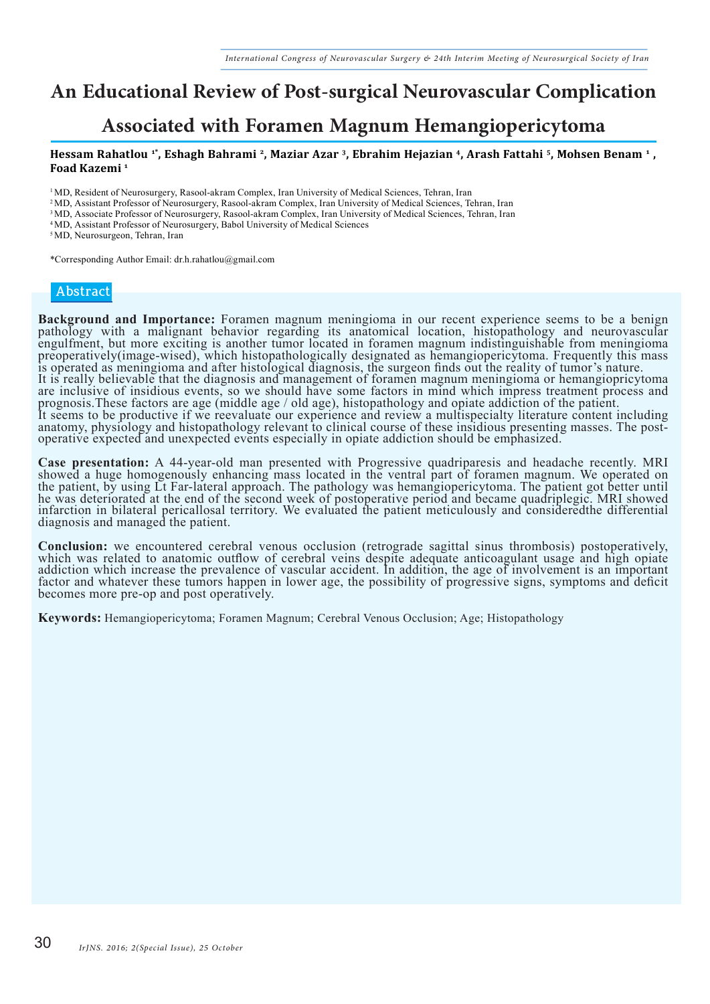## **An Educational Review of Post-surgical Neurovascular Complication**

### **Associated with Foramen Magnum Hemangiopericytoma**

#### **Hessam Rahatlou 1\*, Eshagh Bahrami 2, Maziar Azar 3, Ebrahim Hejazian 4, Arash Fattahi 5, Mohsen Benam 1 , Foad Kazemi 1**

<sup>1</sup>MD, Resident of Neurosurgery, Rasool-akram Complex, Iran University of Medical Sciences, Tehran, Iran

2 MD, Assistant Professor of Neurosurgery, Rasool-akram Complex, Iran University of Medical Sciences, Tehran, Iran

3 MD, Associate Professor of Neurosurgery, Rasool-akram Complex, Iran University of Medical Sciences, Tehran, Iran

4 MD, Assistant Professor of Neurosurgery, Babol University of Medical Sciences

<sup>5</sup>MD, Neurosurgeon, Tehran, Iran

\*Corresponding Author Email: dr.h.rahatlou@gmail.com

#### **Abstract**

**Background and Importance:** Foramen magnum meningioma in our recent experience seems to be a benign pathology with a malignant behavior regarding its anatomical location, histopathology and neurovascular engulfment, but more exciting is another tumor located in foramen magnum indistinguishable from meningioma preoperatively(image-wised), which histopathologically designated as hemangiopericytoma. Frequently this mass is operated as meningioma and after histological diagnosis, the surgeon finds out the reality of tumor's nature. It is really believable that the diagnosis and management of foramen magnum meningioma or hemangiopricytoma are inclusive of insidious events, so we should have some factors in mind which impress treatment process and prognosis.These factors are age (middle age / old age), histopathology and opiate addiction of the patient. It seems to be productive if we reevaluate our experience and review a multispecialty literature content including anatomy, physiology and histopathology relevant to clinical course of these insidious presenting masses. The postoperative expected and unexpected events especially in opiate addiction should be emphasized.

**Case presentation:** A 44-year-old man presented with Progressive quadriparesis and headache recently. MRI showed a huge homogenously enhancing mass located in the ventral part of foramen magnum. We operated on the patient, by using Lt Far-lateral approach. The pathology was hemangiopericytoma. The patient got better until he was deteriorated at the end of the second week of postoperative period and became quadriplegic. MRI showed infarction in bilateral pericallosal territory. We evaluated the patient meticulously and consideredthe differential diagnosis and managed the patient.

**Conclusion:** we encountered cerebral venous occlusion (retrograde sagittal sinus thrombosis) postoperatively, which was related to anatomic outflow of cerebral veins despite adequate anticoagulant usage and high opiate addiction which increase the prevalence of vascular accident. In addition, the age of involvement is an important factor and whatever these tumors happen in lower age, the possibility of progressive signs, symptoms and deficit becomes more pre-op and post operatively.

**Keywords:** Hemangiopericytoma; Foramen Magnum; Cerebral Venous Occlusion; Age; Histopathology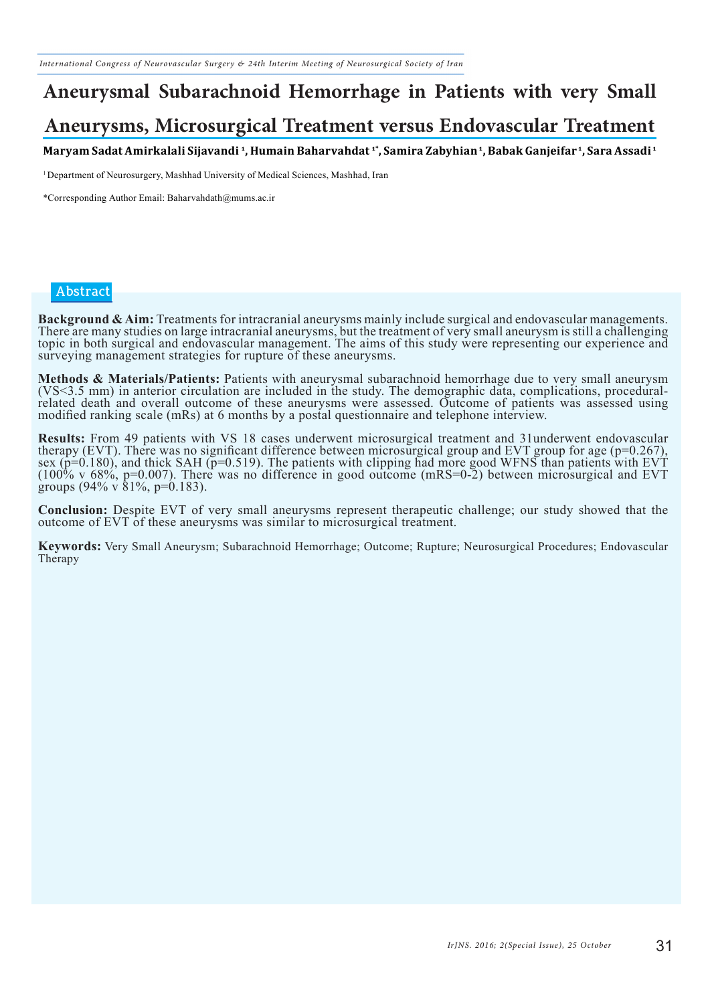# **Aneurysmal Subarachnoid Hemorrhage in Patients with very Small**

### **Aneurysms, Microsurgical Treatment versus Endovascular Treatment**

**Maryam Sadat Amirkalali Sijavandi 1, Humain Baharvahdat 1\*, Samira Zabyhian 1, Babak Ganjeifar 1, Sara Assadi 1**

<sup>1</sup> Department of Neurosurgery, Mashhad University of Medical Sciences, Mashhad, Iran

\*Corresponding Author Email: Baharvahdath@mums.ac.ir

#### **Abstract**

Background & Aim: Treatments for intracranial aneurysms mainly include surgical and endovascular managements.<br>There are many studies on large intracranial aneurysms, but the treatment of very small aneurysm is still a chal topic in both surgical and endovascular management. The aims of this study were representing our experience and surveying management strategies for rupture of these aneurysms.

**Methods & Materials/Patients:** Patients with aneurysmal subarachnoid hemorrhage due to very small aneurysm (VS<3.5 mm) in anterior circulation are included in the study. The demographic data, complications, proceduralrelated death and overall outcome of these aneurysms were assessed. Outcome of patients was assessed using modified ranking scale (mRs) at 6 months by a postal questionnaire and telephone interview.

**Results:** From 49 patients with VS 18 cases underwent microsurgical treatment and 31underwent endovascular therapy (EVT). There was no significant difference between microsurgical group and EVT group for age (p=0.267), sex (p=0.180), and thick SAH (p=0.519). The patients with clipping had more good WFNS than patients with EVT (100% v 68%, p=0.007). There was no difference in good outcome (mRS=0-2) between microsurgical and EVT groups (94% v 81%, p=0.183).

**Conclusion:** Despite EVT of very small aneurysms represent therapeutic challenge; our study showed that the outcome of EVT of these aneurysms was similar to microsurgical treatment.

**Keywords:** Very Small Aneurysm; Subarachnoid Hemorrhage; Outcome; Rupture; Neurosurgical Procedures; Endovascular Therapy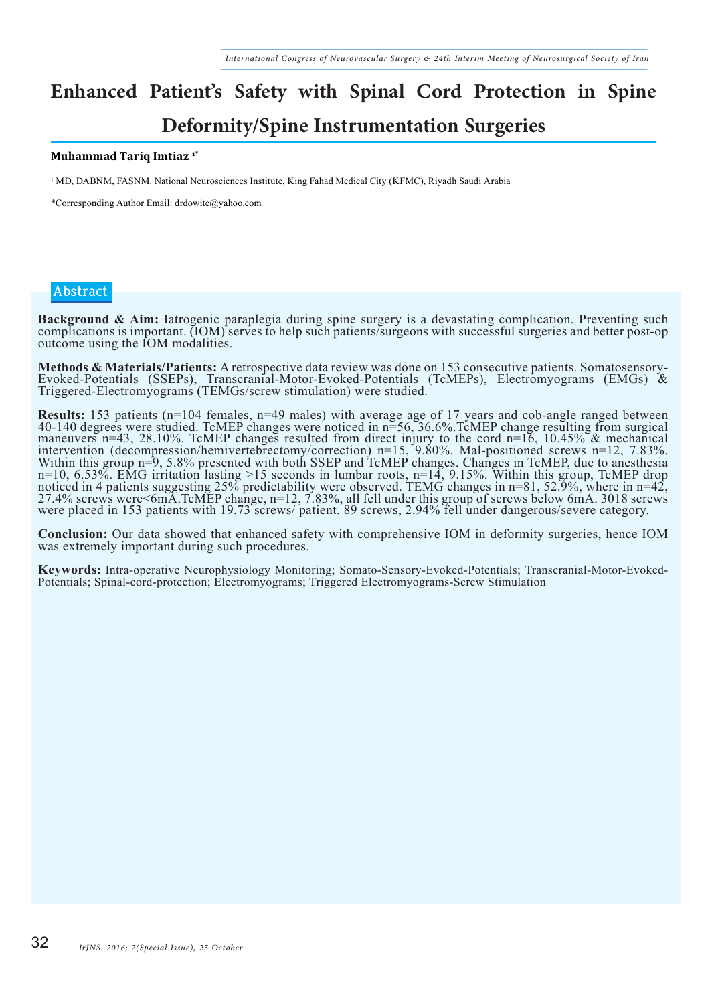# **Enhanced Patient's Safety with Spinal Cord Protection in Spine**

### **Deformity/Spine Instrumentation Surgeries**

#### **Muhammad Tariq Imtiaz 1\***

<sup>1</sup> MD, DABNM, FASNM. National Neurosciences Institute, King Fahad Medical City (KFMC), Riyadh Saudi Arabia

\*Corresponding Author Email: drdowite@yahoo.com

#### **Abstract**

Background & Aim: Iatrogenic paraplegia during spine surgery is a devastating complication. Preventing such complications is important. (IOM) serves to help such patients/surgeons with successful surgeries and better postoutcome using the IOM modalities.

**Methods & Materials/Patients:** A retrospective data review was done on 153 consecutive patients. Somatosensory-<br>Evoked-Potentials (SSEPs), Transcranial-Motor-Evoked-Potentials (TcMEPs), Electromyograms (EMGs) & Triggered-Electromyograms (TEMGs/screw stimulation) were studied.

**Results:** 153 patients (n=104 females, n=49 males) with average age of 17 years and cob-angle ranged between 40-140 degrees were studied. TcMEP changes were noticed in n=56, 36.6%.TcMEP change resulting from surgical maneuvers n=43, 28.10%. TcMEP changes resulted from direct injury to the cord n=16, 10.45% & mechanical intervention (decompression/hemivertebrectomy/correction) n=15, 9.80%. Mal-positioned screws n=12, 7.83%. Within this group n=9, 5.8% presented with both SSEP and TcMEP changes. Changes in TcMEP, due to anesthesia n=10, 6.53%. EMG irritation lasting >15 seconds in lumbar roots, n=14, 9.15%. Within this group, TcMEP drop noticed in 4 patients suggesting 25% predictability were observed. TEMG changes in n=81, 52.9%, where in n=42, 27.4% screws were<6mA.TcMEP change, n=12, 7.83%, all fell under this group of screws below 6mA. 3018 screws were placed in 153 patients with 19.73 screws/ patient. 89 screws, 2.94% fell under dangerous/severe category.

**Conclusion:** Our data showed that enhanced safety with comprehensive IOM in deformity surgeries, hence IOM was extremely important during such procedures.

**Keywords:** Intra-operative Neurophysiology Monitoring; Somato-Sensory-Evoked-Potentials; Transcranial-Motor-Evoked-Potentials; Spinal-cord-protection; Electromyograms; Triggered Electromyograms-Screw Stimulation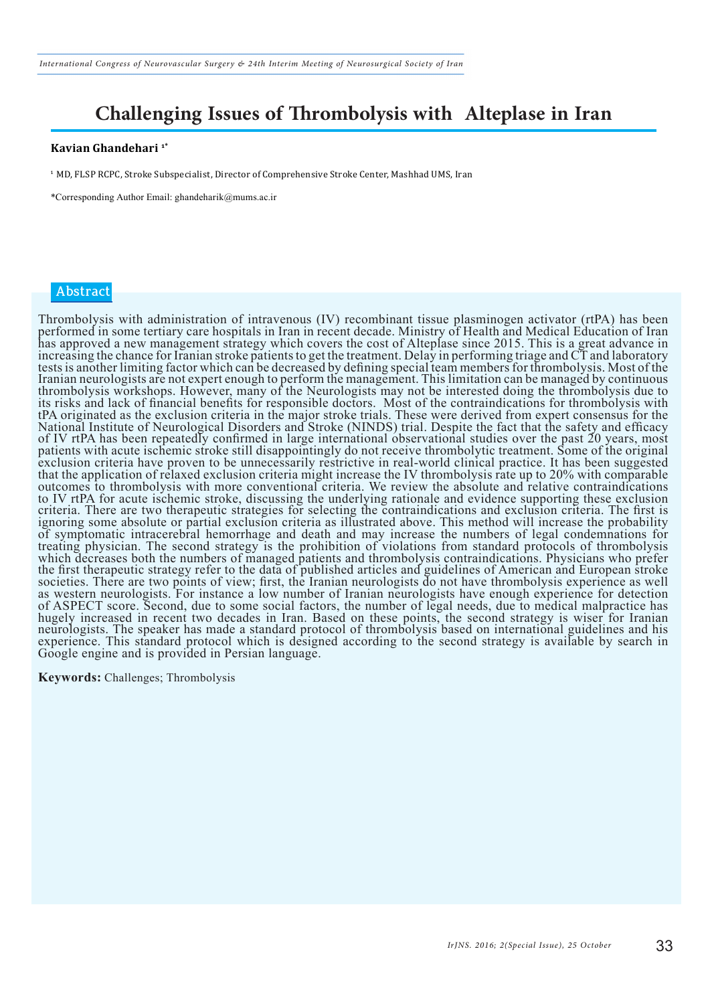## **Challenging Issues of Thrombolysis with Alteplase in Iran**

#### **Kavian Ghandehari 1\***

<sup>1</sup> MD, FLSP RCPC, Stroke Subspecialist, Director of Comprehensive Stroke Center, Mashhad UMS, Iran

\*Corresponding Author Email: ghandeharik@mums.ac.ir

#### **Abstract**

Thrombolysis with administration of intravenous (IV) recombinant tissue plasminogen activator (rtPA) has been performed in some tertiary care hospitals in Iran in recent decade. Ministry of Health and Medical Education of Iran has approved a new management strategy which covers the cost of Alteplase since 2015. This is a great advance in increasing the chance for Iranian stroke patients to get the treatment. Delay in performing triage and CT and laboratory tests is another limiting factor which can be decreased by defining special team members for thrombolysis. Most of the Iranian neurologists are not expert enough to perform the management. This limitation can be managed by continuous thrombolysis workshops. However, many of the Neurologists may not be interested doing the thrombolysis due to its risks and lack of financial benefits for responsible doctors. Most of the contraindications for thrombolysis with tPA originated as the exclusion criteria in the major stroke trials. These were derived from expert consensus for the National Institute of Neurological Disorders and Stroke (NINDS) trial. Despite the fact that the safety and efficacy of IV rtPA has been repeatedly confirmed in large international observational studies over the past 20 years, most patients with acute ischemic stroke still disappointingly do not receive thrombolytic treatment. Some of the original exclusion criteria have proven to be unnecessarily restrictive in real-world clinical practice. It has been suggested that the application of relaxed exclusion criteria might increase the IV thrombolysis rate up to 20% with comparable outcomes to thrombolysis with more conventional criteria. We review the absolute and relative contraindications to IV rtPA for acute ischemic stroke, discussing the underlying rationale and evidence supporting these exclusion criteria. There are two therapeutic strategies for selecting the contraindications and exclusion criteria. The first is ignoring some absolute or partial exclusion criteria as illustrated above. This method will increase the probability of symptomatic intracerebral hemorrhage and death and may increase the numbers of legal condemnations for treating physician. The second strategy is the prohibition of violations from standard protocols of thrombolysis which decreases both the numbers of managed patients and thrombolysis contraindications. Physicians who prefer the first therapeutic strategy refer to the data of published articles and guidelines of American and European stroke societies. There are two points of view; first, the Iranian neurologists do not have thrombolysis experience as well as western neurologists. For instance a low number of Iranian neurologists have enough experience for detection of ASPECT score. Second, due to some social factors, the number of legal needs, due to medical malpractice has hugely increased in recent two decades in Iran. Based on these points, the second strategy is wiser for Iranian neurologists. The speaker has made a standard protocol of thrombolysis based on international guidelines and his experience. This standard protocol which is designed according to the second strategy is available by search in Google engine and is provided in Persian language.

**Keywords:** Challenges; Thrombolysis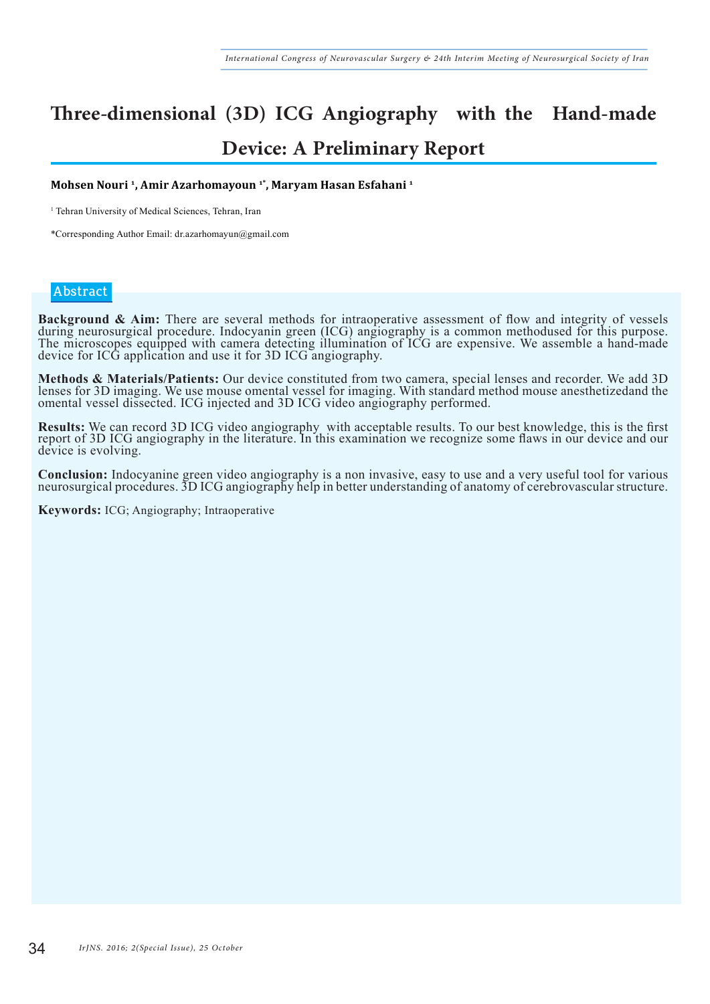## **Three-dimensional (3D) ICG Angiography with the Hand-made Device: A Preliminary Report**

#### **Mohsen Nouri 1, Amir Azarhomayoun 1\*, Maryam Hasan Esfahani 1**

<sup>1</sup> Tehran University of Medical Sciences, Tehran, Iran

\*Corresponding Author Email: dr.azarhomayun@gmail.com

#### **Abstract**

**Background & Aim:** There are several methods for intraoperative assessment of flow and integrity of vessels during neurosurgical procedure. Indocyanin green (ICG) angiography is a common methodused for this purpose. The microscopes equipped with camera detecting illumination of ICG are expensive. We assemble a hand-made device for ICG application and use it for 3D ICG angiography.

Methods & Materials/Patients: Our device constituted from two camera, special lenses and recorder. We add 3D lenses for 3D imaging. We use mouse omental vessel for imaging. With standard method mouse anesthetized and the omental vessel dissected. ICG injected and 3D ICG video angiography performed.

**Results:** We can record 3D ICG video angiography with acceptable results. To our best knowledge, this is the first report of 3D ICG angiography in the literature. In this examination we recognize some flaws in our device device is evolving.

Conclusion: Indocyanine green video angiography is a non invasive, easy to use and a very useful tool for various neurosurgical procedures. 3D ICG angiography help in better understanding of anatomy of cerebrovascular stru

**Keywords:** ICG; Angiography; Intraoperative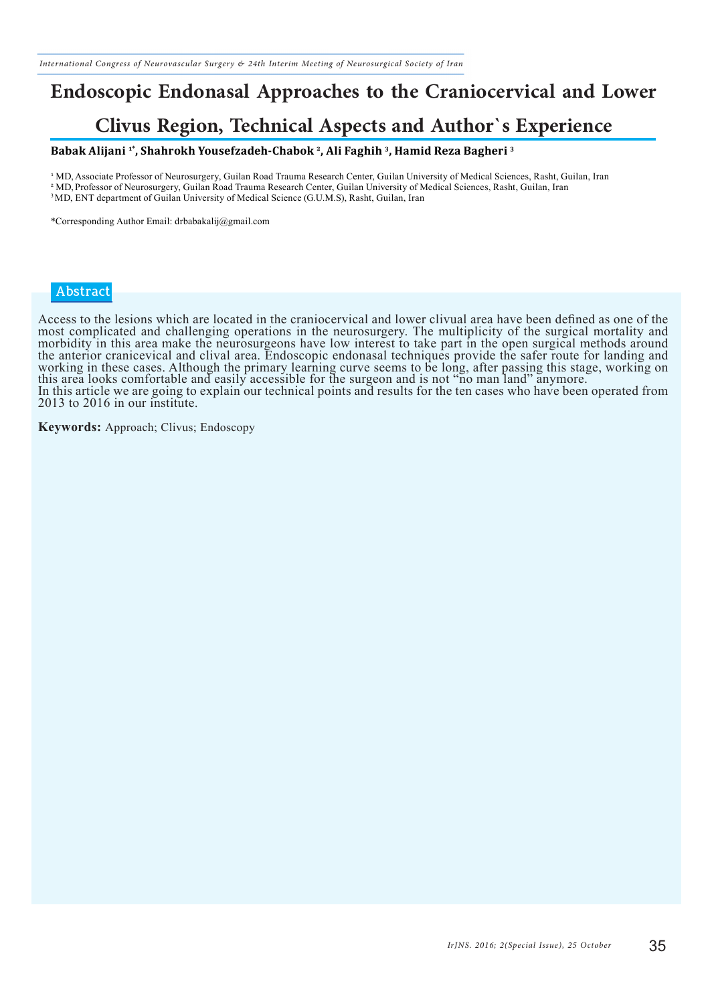## **Endoscopic Endonasal Approaches to the Craniocervical and Lower**

## **Clivus Region, Technical Aspects and Author`s Experience**

#### **Babak Alijani 1\*, Shahrokh Yousefzadeh-Chabok 2, Ali Faghih 3, Hamid Reza Bagheri 3**

<sup>1</sup> MD, Associate Professor of Neurosurgery, Guilan Road Trauma Research Center, Guilan University of Medical Sciences, Rasht, Guilan, Iran <sup>2</sup> MD, Professor of Neurosurgery, Guilan Road Trauma Research Center, Guilan University of Medical Sciences, Rasht, Guilan, Iran <sup>3</sup> MD, ENT department of Guilan University of Medical Science (G.U.M.S), Rasht, Guilan, Iran

\*Corresponding Author Email: drbabakalij@gmail.com

#### **Abstract**

Access to the lesions which are located in the craniocervical and lower clivual area have been defined as one of the most complicated and challenging operations in the neurosurgery. The multiplicity of the surgical mortality and morbidity in this area make the neurosurgeons have low interest to take part in the open surgical methods around the anterior cranicevical and clival area. Endoscopic endonasal techniques provide the safer route for landing and working in these cases. Although the primary learning curve seems to be long, after passing this stage, working on this area looks comfortable and easily accessible for the surgeon and is not "no man land" anymore. In this article we are going to explain our technical points and results for the ten cases who have been operated from 2013 to 2016 in our institute.

**Keywords:** Approach; Clivus; Endoscopy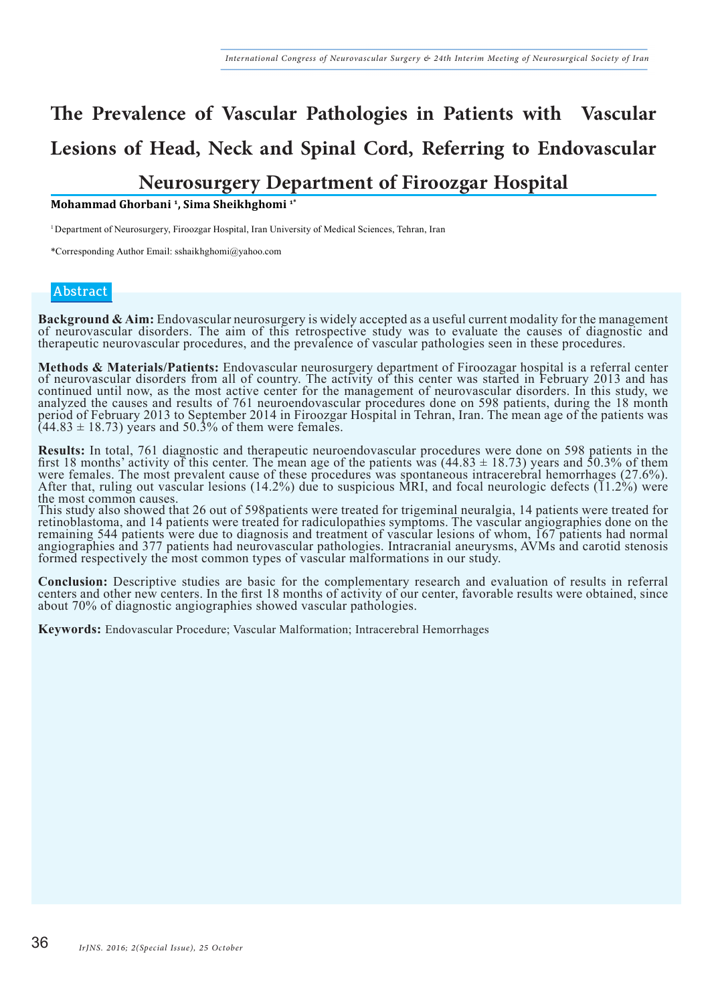# **The Prevalence of Vascular Pathologies in Patients with Vascular Lesions of Head, Neck and Spinal Cord, Referring to Endovascular Neurosurgery Department of Firoozgar Hospital**

**Mohammad Ghorbani 1, Sima Sheikhghomi 1\*** 

<sup>1</sup> Department of Neurosurgery, Firoozgar Hospital, Iran University of Medical Sciences, Tehran, Iran

\*Corresponding Author Email: sshaikhghomi@yahoo.com

#### **Abstract**

Background & Aim: Endovascular neurosurgery is widely accepted as a useful current modality for the management<br>of neurovascular disorders. The aim of this retrospective study was to evaluate the causes of diagnostic and therapeutic neurovascular procedures, and the prevalence of vascular pathologies seen in these procedures.

Methods & Materials/Patients: Endovascular neurosurgery department of Firoozagar hospital is a referral center<br>of neurovascular disorders from all of country. The activity of this center was started in February 2013 and ha continued until now, as the most active center for the management of neurovascular disorders. In this study, we analyzed the causes and results of 761 neuroendovascular procedures done on 598 patients, during the 18 month period of February 2013 to September 2014 in Firoozgar Hospital in Tehran, Iran. The mean age of the patients was  $(44.83 \pm 18.73)$  years and 50.3% of them were females.

**Results:** In total, 761 diagnostic and therapeutic neuroendovascular procedures were done on 598 patients in the first 18 months' activity of this center. The mean age of the patients was  $(44.83 \pm 18.73)$  years and 50.3 were females. The most prevalent cause of these procedures was spontaneous intracerebral hemorrhages (27.6%). After that, ruling out vascular lesions (14.2%) due to suspicious MRI, and focal neurologic defects (11.2%) were the most common causes.

This study also showed that 26 out of 598patients were treated for trigeminal neuralgia, 14 patients were treated for retinoblastoma, and 14 patients were treated for radiculopathies symptoms. The vascular angiographies done on the remaining 544 patients were due to diagnosis and treatment of vascular lesions of whom, 167 patients had normal angiographies and 377 patients had neurovascular pathologies. Intracranial aneurysms, AVMs and carotid stenosis formed respectively the most common types of vascular malformations in our study.

Conclusion: Descriptive studies are basic for the complementary research and evaluation of results in referral<br>centers and other new centers. In the first 18 months of activity of our center, favorable results were obtaine about 70% of diagnostic angiographies showed vascular pathologies.

**Keywords:** Endovascular Procedure; Vascular Malformation; Intracerebral Hemorrhages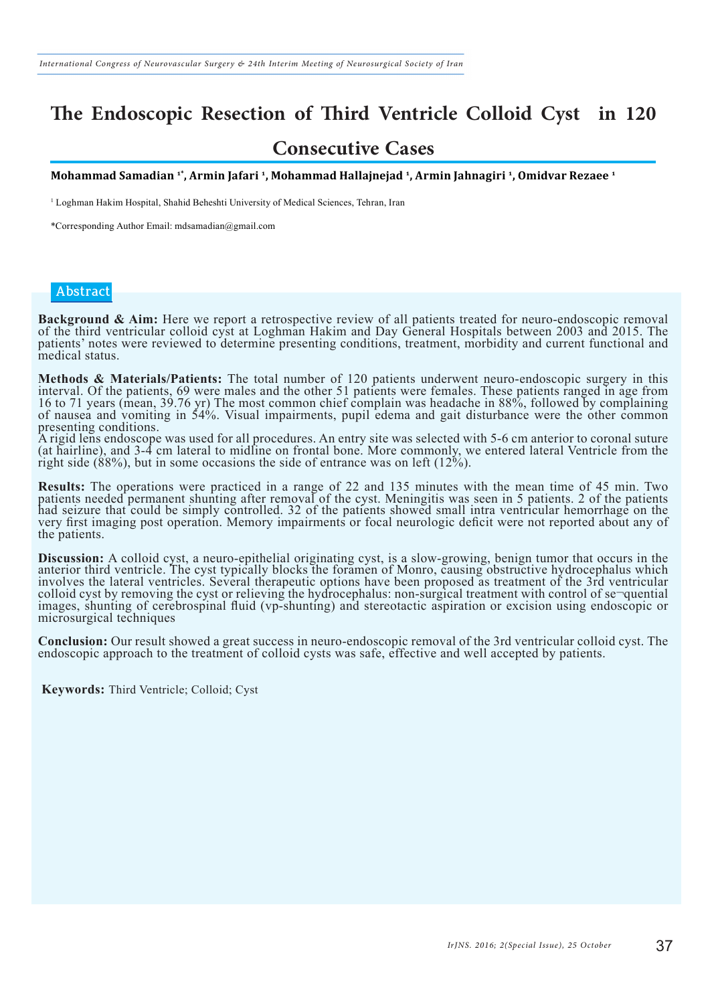### **The Endoscopic Resection of Third Ventricle Colloid Cyst in 120**

### **Consecutive Cases**

**Mohammad Samadian 1\*, Armin Jafari 1, Mohammad Hallajnejad 1, Armin Jahnagiri 1, Omidvar Rezaee 1**

<sup>1</sup> Loghman Hakim Hospital, Shahid Beheshti University of Medical Sciences, Tehran, Iran

\*Corresponding Author Email: mdsamadian@gmail.com

#### **Abstract**

**Background & Aim:** Here we report a retrospective review of all patients treated for neuro-endoscopic removal of the third ventricular colloid cyst at Loghman Hakim and Day General Hospitals between 2003 and 2015. The patients' notes were reviewed to determine presenting conditions, treatment, morbidity and current functional and medical status.

Methods & Materials/Patients: The total number of 120 patients underwent neuro-endoscopic surgery in this interval. Of the patients, 69 were males and the other 51 patients were females. These patients ranged in age from 16 to 71 years (mean, 39.76 yr) The most common chief complain was headache in 88%, followed by complaining of nausea and vomiting in 54%. Visual impairments, pupil edema and gait disturbance were the other common presenting conditions.

A rigid lens endoscope was used for all procedures. An entry site was selected with 5-6 cm anterior to coronal suture (at hairline), and 3-4 cm lateral to midline on frontal bone. More commonly, we entered lateral Ventricle from the right side (88%), but in some occasions the side of entrance was on left (12%).

**Results:** The operations were practiced in a range of 22 and 135 minutes with the mean time of 45 min. Two patients needed permanent shunting after removal of the cyst. Meningitis was seen in 5 patients. 2 of the patients had seizure that could be simply controlled. 32 of the patients showed small intra ventricular hemorrhage on the very first imaging post operation. Memory impairments or focal neurologic deficit were not reported about any of the patients.

Discussion: A colloid cyst, a neuro-epithelial originating cyst, is a slow-growing, benign tumor that occurs in the anterior third ventricle. The cyst typically blocks the foramen of Monro, causing obstructive hydrocephalu involves the lateral ventricles. Several therapeutic options have been proposed as treatment of the 3rd ventricular colloid cyst by removing the cyst or relieving the hydrocephalus: non-surgical treatment with control of se¬quential images, shunting of cerebrospinal fluid (vp-shunting) and stereotactic aspiration or excision using endoscopic or microsurgical techniques

**Conclusion:** Our result showed a great success in neuro-endoscopic removal of the 3rd ventricular colloid cyst. The endoscopic approach to the treatment of colloid cysts was safe, effective and well accepted by patients.

**Keywords:** Third Ventricle; Colloid; Cyst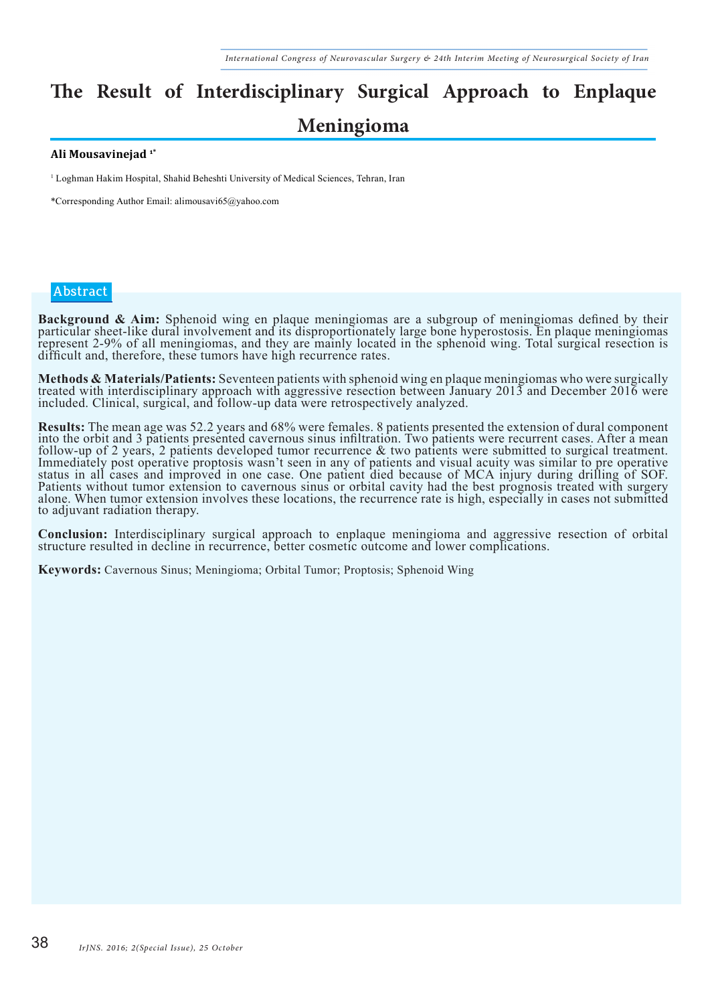# **The Result of Interdisciplinary Surgical Approach to Enplaque**

### **Meningioma**

#### **Ali Mousavinejad 1\***

<sup>1</sup> Loghman Hakim Hospital, Shahid Beheshti University of Medical Sciences, Tehran, Iran

\*Corresponding Author Email: alimousavi65@yahoo.com

#### **Abstract**

**Background & Aim:** Sphenoid wing en plaque meningiomas are a subgroup of meningiomas defined by their particular sheet-like dural involvement and its disproportionately large bone hyperostosis. En plaque meningiomas represent 2-9% of all meningiomas, and they are mainly located in the sphenoid wing. Total surgical resection is difficult and, therefore, these tumors have high recurrence rates.

Methods & Materials/Patients: Seventeen patients with sphenoid wing en plaque meningiomas who were surgically treated with interdisciplinary approach with aggressive resection between January 2013 and December 2016 were included. Clinical, surgical, and follow-up data were retrospectively analyzed.

**Results:** The mean age was 52.2 years and 68% were females. 8 patients presented the extension of dural component into the orbit and 3 patients presented cavernous sinus infiltration. Two patients were recurrent cases. Af follow-up of 2 years, 2 patients developed tumor recurrence & two patients were submitted to surgical treatment. Immediately post operative proptosis wasn't seen in any of patients and visual acuity was similar to pre operative status in all cases and improved in one case. One patient died because of MCA injury during drilling of SOF. Patients without tumor extension to cavernous sinus or orbital cavity had the best prognosis treated with surgery alone. When tumor extension involves these locations, the recurrence rate is high, especially in cases not submitted to adjuvant radiation therapy.

**Conclusion:** Interdisciplinary surgical approach to enplaque meningioma and aggressive resection of orbital structure resulted in decline in recurrence, better cosmetic outcome and lower complications.

**Keywords:** Cavernous Sinus; Meningioma; Orbital Tumor; Proptosis; Sphenoid Wing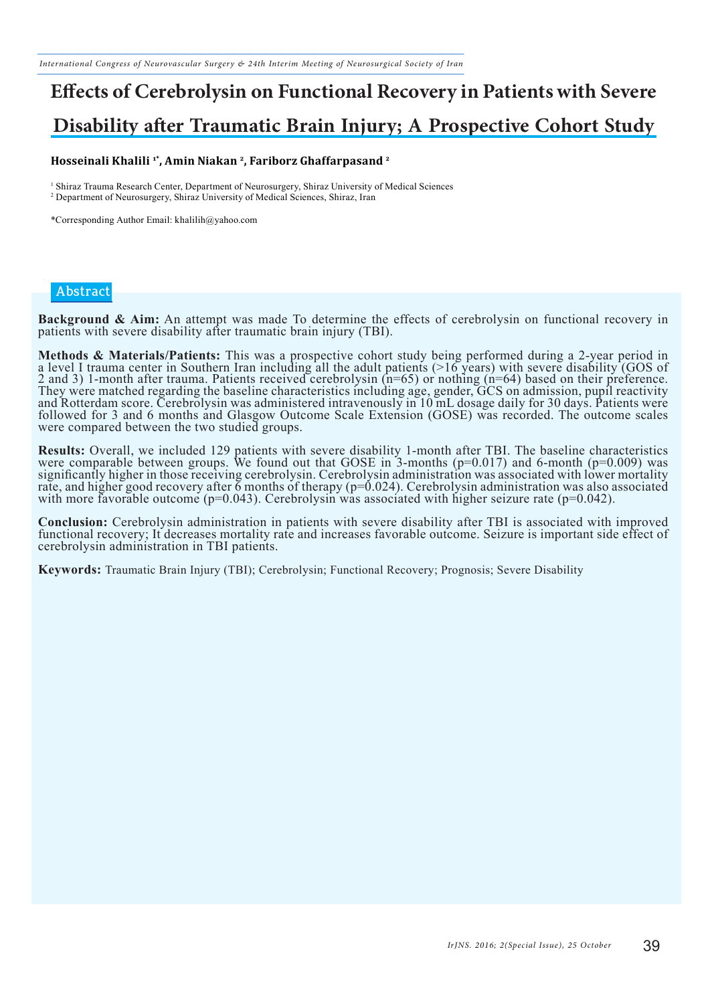# **Effects of Cerebrolysin on Functional Recovery in Patients with Severe Disability after Traumatic Brain Injury; A Prospective Cohort Study**

#### **Hosseinali Khalili 1\*, Amin Niakan 2, Fariborz Ghaffarpasand 2**

<sup>1</sup> Shiraz Trauma Research Center, Department of Neurosurgery, Shiraz University of Medical Sciences 2 Department of Neurosurgery, Shiraz University of Medical Sciences, Shiraz, Iran

\*Corresponding Author Email: khalilih@yahoo.com

#### **Abstract**

**Background & Aim:** An attempt was made To determine the effects of cerebrolysin on functional recovery in patients with severe disability after traumatic brain injury (TBI).

Methods & Materials/Patients: This was a prospective cohort study being performed during a 2-year period in a level I trauma center in Southern Iran including all the adult patients (>16 years) with severe disability (GOS 2 and 3) 1-month after trauma. Patients received cerebrolysin (n=65) or nothing (n=64) based on their preference. They were matched regarding the baseline characteristics including age, gender, GCS on admission, pupil reactivity and Rotterdam score. Cerebrolysin was administered intravenously in 10 mL dosage daily for 30 days. Patients were followed for 3 and 6 months and Glasgow Outcome Scale Extension (GOSE) was recorded. The outcome scales were compared between the two studied groups.

**Results:** Overall, we included 129 patients with severe disability 1-month after TBI. The baseline characteristics were comparable between groups. We found out that GOSE in 3-months (p=0.017) and 6-month (p=0.009) was significantly higher in those receiving cerebrolysin. Cerebrolysin administration was associated with lower mortality rate, and higher good recovery after 6 months of therapy (p=0.024). Cerebrolysin administration was also associated with more favorable outcome  $(p=0.043)$ . Cerebrolysin was associated with higher seizure rate ( $p=0.042$ ).

**Conclusion:** Cerebrolysin administration in patients with severe disability after TBI is associated with improved functional recovery; It decreases mortality rate and increases favorable outcome. Seizure is important side cerebrolysin administration in TBI patients.

**Keywords:** Traumatic Brain Injury (TBI); Cerebrolysin; Functional Recovery; Prognosis; Severe Disability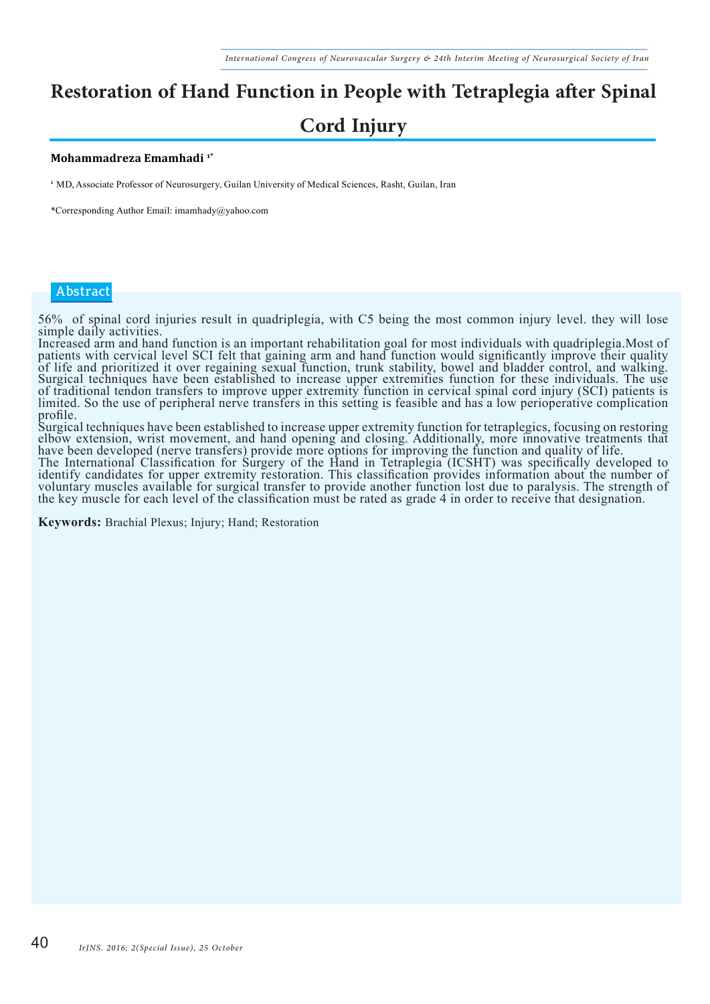# **Restoration of Hand Function in People with Tetraplegia after Spinal Cord Injury**

#### **Mohammadreza Emamhadi 1\***

<sup>1</sup> MD, Associate Professor of Neurosurgery, Guilan University of Medical Sciences, Rasht, Guilan, Iran

\*Corresponding Author Email: imamhady@yahoo.com

#### **Abstract**

56% of spinal cord injuries result in quadriplegia, with C5 being the most common injury level. they will lose simple daily activities.

Increased arm and hand function is an important rehabilitation goal for most individuals with quadriplegia.Most of patients with cervical level SCI felt that gaining arm and hand function would significantly improve their quality of life and prioritized it over regaining sexual function, trunk stability, bowel and bladder control, and walking. Surgical techniques have been established to increase upper extremities function for these individuals. The use of traditional tendon transfers to improve upper extremity function in cervical spinal cord injury (SCI) patients is limited. So the use of peripheral nerve transfers in this setting is feasible and has a low perioperative complication profile.

Surgical techniques have been established to increase upper extremity function for tetraplegics, focusing on restoring elbow extension, wrist movement, and hand opening and closing. Additionally, more innovative treatments that have been developed (nerve transfers) provide more options for improving the function and quality of life.<br>The International Classification for Surgery of the Hand in Tetraplegia (ICSHT) was specifically developed to identify candidates for upper extremity restoration. This classification provides information about the number of voluntary muscles available for surgical transfer to provide another function lost due to paralysis. The strength of the key muscle for each level of the classification must be rated as grade 4 in order to receive that designation.

**Keywords:** Brachial Plexus; Injury; Hand; Restoration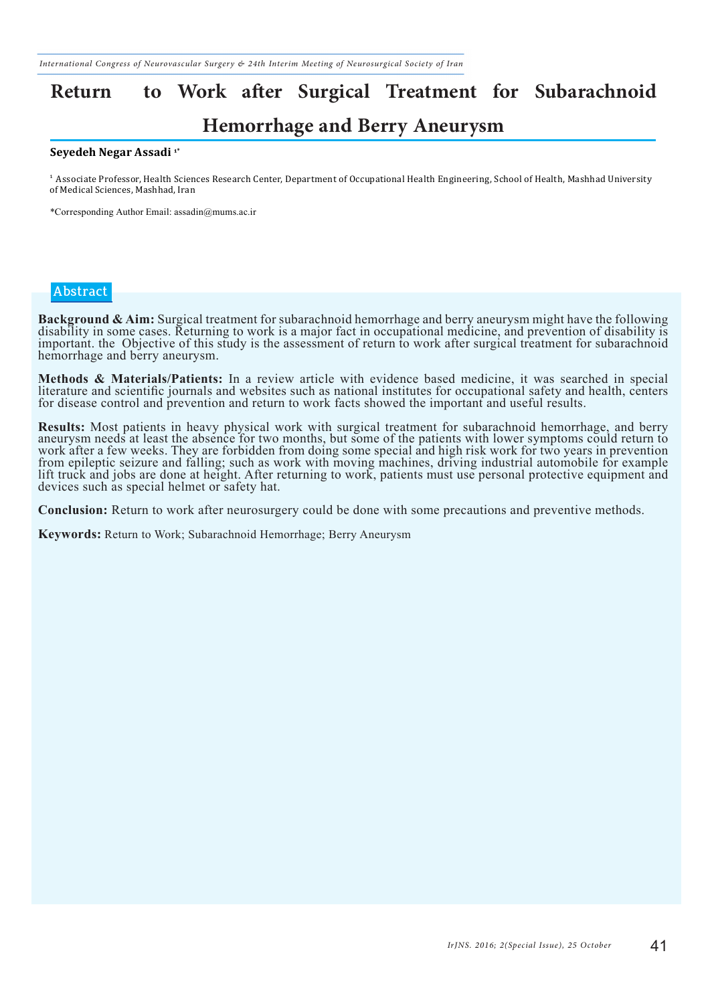# **Return to Work after Surgical Treatment for Subarachnoid**

### **Hemorrhage and Berry Aneurysm**

#### **Seyedeh Negar Assadi 1\***

<sup>1</sup> Associate Professor, Health Sciences Research Center, Department of Occupational Health Engineering, School of Health, Mashhad University of Medical Sciences, Mashhad, Iran

\*Corresponding Author Email: assadin@mums.ac.ir

#### **Abstract**

Background & Aim: Surgical treatment for subarachnoid hemorrhage and berry aneurysm might have the following<br>disability in some cases. Returning to work is a major fact in occupational medicine, and prevention of disabilit important. the Objective of this study is the assessment of return to work after surgical treatment for subarachnoid hemorrhage and berry aneurysm.

Methods & Materials/Patients: In a review article with evidence based medicine, it was searched in special literature and scientific journals and websites such as national institutes for occupational safety and health, cen for disease control and prevention and return to work facts showed the important and useful results.

Results: Most patients in heavy physical work with surgical treatment for subarachnoid hemorrhage, and berry<br>aneurysm needs at least the absence for two months, but some of the patients with lower symptoms could return to work after a few weeks. They are forbidden from doing some special and high risk work for two years in prevention from epileptic seizure and falling; such as work with moving machines, driving industrial automobile for example lift truck and jobs are done at height. After returning to work, patients must use personal protective equipment and devices such as special helmet or safety hat.

**Conclusion:** Return to work after neurosurgery could be done with some precautions and preventive methods.

**Keywords:** Return to Work; Subarachnoid Hemorrhage; Berry Aneurysm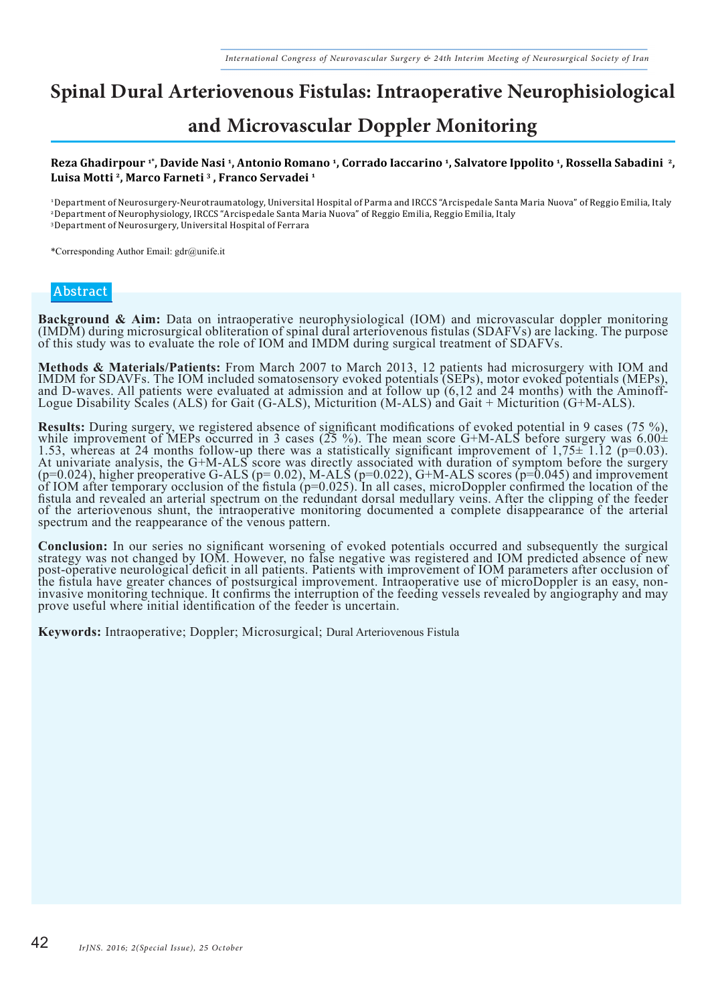## **Spinal Dural Arteriovenous Fistulas: Intraoperative Neurophisiological**

### **and Microvascular Doppler Monitoring**

#### **Reza Ghadirpour 1\*, Davide Nasi 1, Antonio Romano 1, Corrado Iaccarino 1, Salvatore Ippolito 1, Rossella Sabadini 2, Luisa Motti 2, Marco Farneti 3 , Franco Servadei 1**

<sup>1</sup>Department of Neurosurgery-Neurotraumatology, Universital Hospital of Parma and IRCCS "Arcispedale Santa Maria Nuova" of Reggio Emilia, Italy

<sup>2</sup>Department of Neurophysiology, IRCCS "Arcispedale Santa Maria Nuova" of Reggio Emilia, Reggio Emilia, Italy

<sup>3</sup>Department of Neurosurgery, Universital Hospital of Ferrara

\*Corresponding Author Email: gdr@unife.it

#### **Abstract**

**Background & Aim:** Data on intraoperative neurophysiological (IOM) and microvascular doppler monitoring (IMDM) during microsurgical obliteration of spinal dural arteriovenous fistulas (SDAFVs) are lacking. The purpose of this study was to evaluate the role of IOM and IMDM during surgical treatment of SDAFVs.

**Methods & Materials/Patients:** From March 2007 to March 2013, 12 patients had microsurgery with IOM and IMDM for SDAVFs. The IOM included somatosensory evoked potentials (SEPs), motor evoked potentials (MEPs), and D-waves. All patients were evaluated at admission and at follow up (6,12 and 24 months) with the Aminoff-Logue Disability Scales (ALS) for Gait (G-ALS), Micturition (M-ALS) and Gait + Micturition (G+M-ALS).

**Results:** During surgery, we registered absence of significant modifications of evoked potential in 9 cases (75 %), while improvement of MEPs occurred in 3 cases (25 %). The mean score G+M-ALS before surgery was 6.00± 1.53, whereas at 24 months follow-up there was a statistically significant improvement of 1,75± 1.12 (p=0.03). At univariate analysis, the G+M-ALS score was directly associated with duration of symptom before the surgery  $(p=0.024)$ , higher preoperative G-ALS  $(p=0.02)$ , M-ALS  $(p=0.022)$ , G+M-ALS scores  $(p=0.045)$  and improvement of IOM after temporary occlusion of the fistula (p=0.025). In all cases, microDoppler confirmed the location of the fistula and revealed an arterial spectrum on the redundant dorsal medullary veins. After the clipping of the feeder of the arteriovenous shunt, the intraoperative monitoring documented a complete disappearance of the arterial spectrum and the reappearance of the venous pattern.

**Conclusion:** In our series no significant worsening of evoked potentials occurred and subsequently the surgical strategy was not changed by IOM. However, no false negative was registered and IOM predicted absence of new post-operative neurological deficit in all patients. Patients with improvement of IOM parameters after occlusion of the fistula have greater chances of postsurgical improvement. Intraoperative use of microDoppler is an easy, noninvasive monitoring technique. It confirms the interruption of the feeding vessels revealed by angiography and may prove useful where initial identification of the feeder is uncertain.

**Keywords:** Intraoperative; Doppler; Microsurgical; Dural Arteriovenous Fistula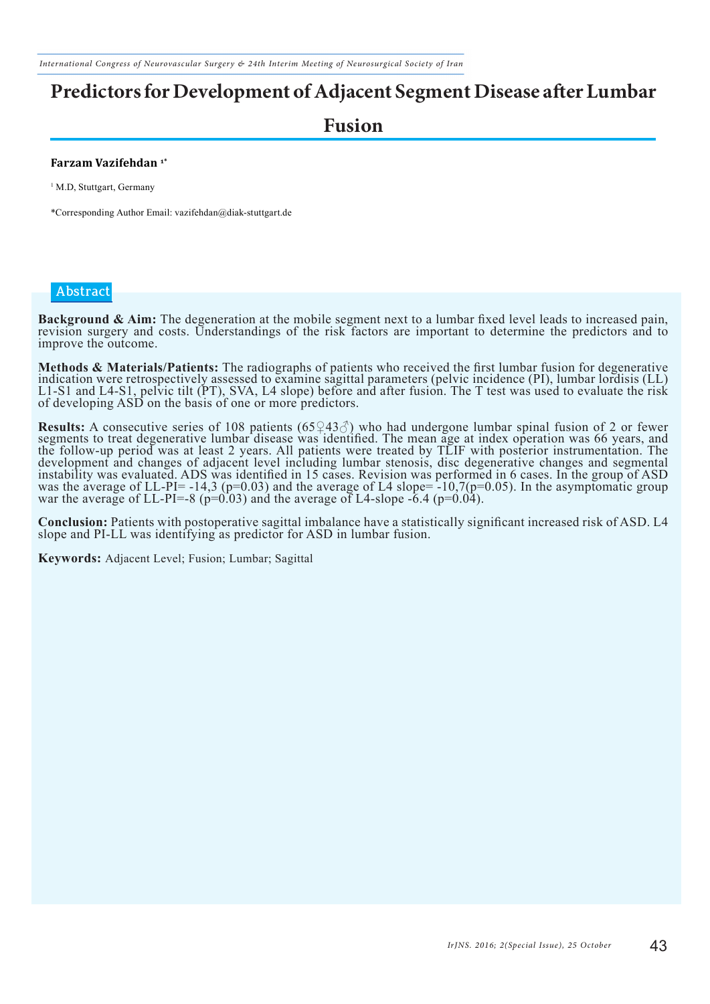*International Congress of Neurovascular Surgery & 24th Interim Meeting of Neurosurgical Society of Iran*

## **Predictors for Development of Adjacent Segment Disease after Lumbar**

### **Fusion**

#### **Farzam Vazifehdan 1\***

<sup>1</sup> M.D, Stuttgart, Germany

\*Corresponding Author Email: vazifehdan@diak-stuttgart.de

#### **Abstract**

Background & Aim: The degeneration at the mobile segment next to a lumbar fixed level leads to increased pain, revision surgery and costs. Understandings of the risk factors are important to determine the predictors and to improve the outcome.

Methods & Materials/Patients: The radiographs of patients who received the first lumbar fusion for degenerative<br>indication were retrospectively assessed to examine sagittal parameters (pelvic incidence (PI), lumbar lordisi L1-S1 and L4-S1, pelvic tilt (PT), SVA, L4 slope) before and after fusion. The T test was used to evaluate the risk of developing ASD on the basis of one or more predictors.

**Results:** A consecutive series of 108 patients  $(65\sqrt{43\sqrt{3}})$  who had undergone lumbar spinal fusion of 2 or fewer segments to treat degenerative lumbar disease was identified. The mean age at index operation was 66 ye the follow-up period was at least 2 years. All patients were treated by TLIF with posterior instrumentation. The development and changes of adjacent level including lumbar stenosis, disc degenerative changes and segmental instability was evaluated. ADS was identified in 15 cases. Revision was performed in 6 cases. In the group of ASD was the average of LL-PI= -14,3 (p=0.03) and the average of L4 slope=  $-10,7(p=0.05)$ . In the asymptomatic group war the average of LL-PI=-8 ( $p=0.03$ ) and the average of L4-slope -6.4 ( $p=0.04$ ).

**Conclusion:** Patients with postoperative sagittal imbalance have a statistically significant increased risk of ASD. L4 slope and PI-LL was identifying as predictor for ASD in lumbar fusion.

**Keywords:** Adjacent Level; Fusion; Lumbar; Sagittal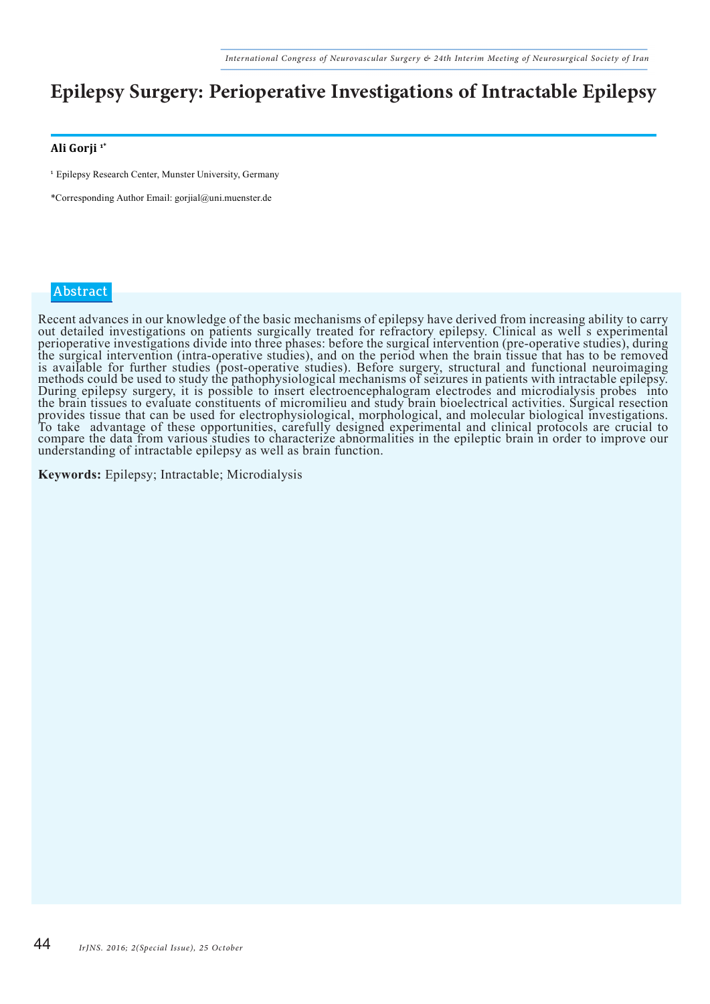### **Epilepsy Surgery: Perioperative Investigations of Intractable Epilepsy**

#### **Ali Gorji 1\***

<sup>1</sup> Epilepsy Research Center, Munster University, Germany

\*Corresponding Author Email: gorjial@uni.muenster.de

#### **Abstract**

Recent advances in our knowledge of the basic mechanisms of epilepsy have derived from increasing ability to carry out detailed investigations on patients surgically treated for refractory epilepsy. Clinical as well s experimental perioperative investigations divide into three phases: before the surgical intervention (pre-operative studies), during the surgical intervention (intra-operative studies), and on the period when the brain tissue that has to be removed is available for further studies (post-operative studies). Before surgery, structural and functional neuroimaging methods could be used to study the pathophysiological mechanisms of seizures in patients with intractable epilepsy. During epilepsy surgery, it is possible to insert electroencephalogram electrodes and microdialysis probes into the brain tissues to evaluate constituents of micromilieu and study brain bioelectrical activities. Surgical resection provides tissue that can be used for electrophysiological, morphological, and molecular biological investigations. To take advantage of these opportunities, carefully designed experimental and clinical protocols are crucial to compare the data from various studies to characterize abnormalities in the epileptic brain in order to improve our understanding of intractable epilepsy as well as brain function.

**Keywords:** Epilepsy; Intractable; Microdialysis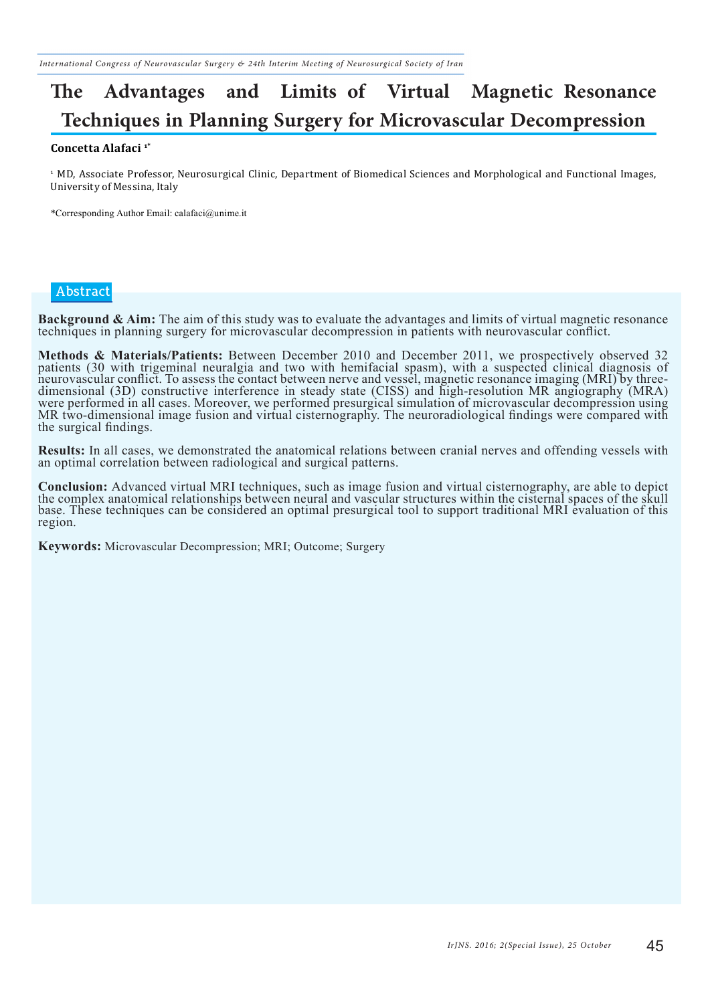## **The Advantages and Limits of Virtual Magnetic Resonance Techniques in Planning Surgery for Microvascular Decompression**

#### **Concetta Alafaci 1\***

<sup>1</sup> MD, Associate Professor, Neurosurgical Clinic, Department of Biomedical Sciences and Morphological and Functional Images, University of Messina, Italy

\*Corresponding Author Email: calafaci@unime.it

#### **Abstract**

**Background & Aim:** The aim of this study was to evaluate the advantages and limits of virtual magnetic resonance techniques in planning surgery for microvascular decompression in patients with neurovascular conflict.

**Methods & Materials/Patients:** Between December 2010 and December 2011, we prospectively observed 32 patients (30 with trigeminal neuralgia and two with hemifacial spasm), with a suspected clinical diagnosis of neurovascular conflict. To assess the contact between nerve and vessel, magnetic resonance imaging (MRI) by threedimensional (3D) constructive interference in steady state (CISS) and high-resolution MR angiography (MRA) were performed in all cases. Moreover, we performed presurgical simulation of microvascular decompression using MR two-dimensional image fusion and virtual cisternography. The neuroradiological findings were compared with the surgical findings.

**Results:** In all cases, we demonstrated the anatomical relations between cranial nerves and offending vessels with an optimal correlation between radiological and surgical patterns.

**Conclusion:** Advanced virtual MRI techniques, such as image fusion and virtual cisternography, are able to depict the complex anatomical relationships between neural and vascular structures within the cisternal spaces of base. These techniques can be considered an optimal presurgical tool to support traditional MRI evaluation of this region.

**Keywords:** Microvascular Decompression; MRI; Outcome; Surgery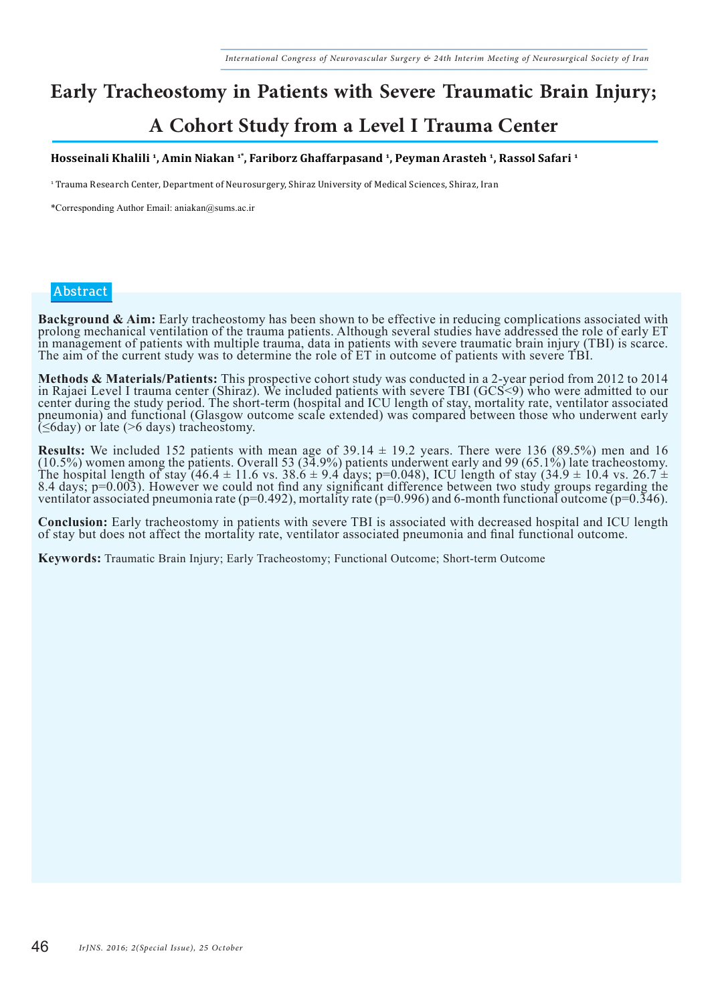# **Early Tracheostomy in Patients with Severe Traumatic Brain Injury;**

### **A Cohort Study from a Level I Trauma Center**

#### **Hosseinali Khalili 1, Amin Niakan 1\*, Fariborz Ghaffarpasand 1, Peyman Arasteh 1, Rassol Safari 1**

1 Trauma Research Center, Department of Neurosurgery, Shiraz University of Medical Sciences, Shiraz, Iran

\*Corresponding Author Email: aniakan@sums.ac.ir

#### **Abstract**

Background & Aim: Early tracheostomy has been shown to be effective in reducing complications associated with<br>prolong mechanical ventilation of the trauma patients. Although several studies have addressed the role of early in management of patients with multiple trauma, data in patients with severe traumatic brain injury (TBI) is scarce. The aim of the current study was to determine the role of ET in outcome of patients with severe TBI.

Methods & Materials/Patients: This prospective cohort study was conducted in a 2-year period from 2012 to 2014<br>in Rajaei Level I trauma center (Shiraz). We included patients with severe TBI (GCS<9) who were admitted to our center during the study period. The short-term (hospital and ICU length of stay, mortality rate, ventilator associated pneumonia) and functional (Glasgow outcome scale extended) was compared between those who underwent early  $(\leq 6$ day) or late (>6 days) tracheostomy.

**Results:** We included 152 patients with mean age of  $39.14 \pm 19.2$  years. There were 136 (89.5%) men and 16 (10.5%) women among the patients. Overall 53 (34.9%) patients underwent early and 99 (65.1%) late tracheostomy. The hospital length of stay (46.4  $\pm$  11.6 vs. 38.6  $\pm$  9.4 days; p=0.048), ICU length of stay (34.9  $\pm$  10.4 vs. 26.7  $\pm$ 8.4 days; p=0.003). However we could not find any significant difference between two study groups regarding the ventilator associated pneumonia rate (p=0.492), mortality rate (p=0.996) and 6-month functional outcome (p=0.346).

Conclusion: Early tracheostomy in patients with severe TBI is associated with decreased hospital and ICU length<br>of stay but does not affect the mortality rate, ventilator associated pneumonia and final functional outcome.

**Keywords:** Traumatic Brain Injury; Early Tracheostomy; Functional Outcome; Short-term Outcome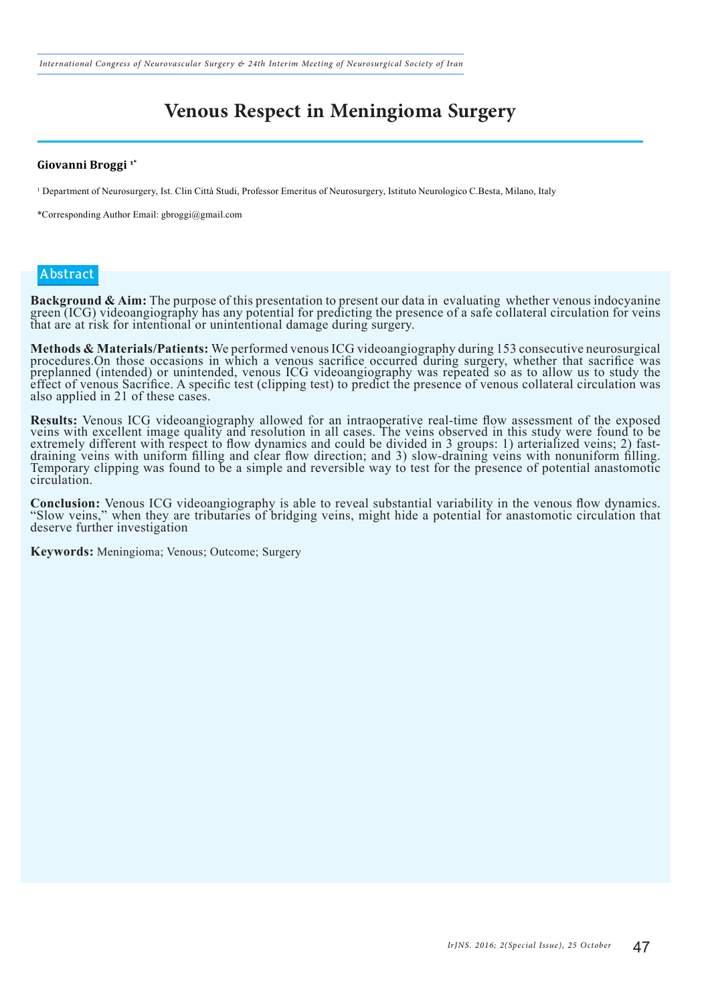*International Congress of Neurovascular Surgery & 24th Interim Meeting of Neurosurgical Society of Iran*

### **Venous Respect in Meningioma Surgery**

#### **Giovanni Broggi 1\***

1 Department of Neurosurgery, Ist. Clin Città Studi, Professor Emeritus of Neurosurgery, Istituto Neurologico C.Besta, Milano, Italy

\*Corresponding Author Email: gbroggi@gmail.com

#### **Abstract**

Background & Aim: The purpose of this presentation to present our data in evaluating whether venous indocyanine<br>green (ICG) videoangiography has any potential for predicting the presence of a safe collateral circulation fo that are at risk for intentional or unintentional damage during surgery.

**Methods & Materials/Patients:** We performed venous ICG videoangiography during 153 consecutive neurosurgical procedures.On those occasions in which a venous sacrifice occurred during surgery, whether that sacrifice was preplanned (intended) or unintended, venous ICG videoangiography was repeated so as to allow us to study the effect of venous Sacrifice. A specific test (clipping test) to predict the presence of venous collateral circulation was also applied in 21 of these cases.

**Results:** Venous ICG videoangiography allowed for an intraoperative real-time flow assessment of the exposed veins with excellent image quality and resolution in all cases. The veins observed in this study were found to b extremely different with respect to flow dynamics and could be divided in 3 groups: 1) arterialized veins; 2) fastdraining veins with uniform filling and clear flow direction; and 3) slow-draining veins with nonuniform filling. Temporary clipping was found to be a simple and reversible way to test for the presence of potential anastomotic circulation.

Conclusion: Venous ICG videoangiography is able to reveal substantial variability in the venous flow dynamics.<br>"Slow veins," when they are tributaries of bridging veins, might hide a potential for anastomotic circulation t deserve further investigation

**Keywords:** Meningioma; Venous; Outcome; Surgery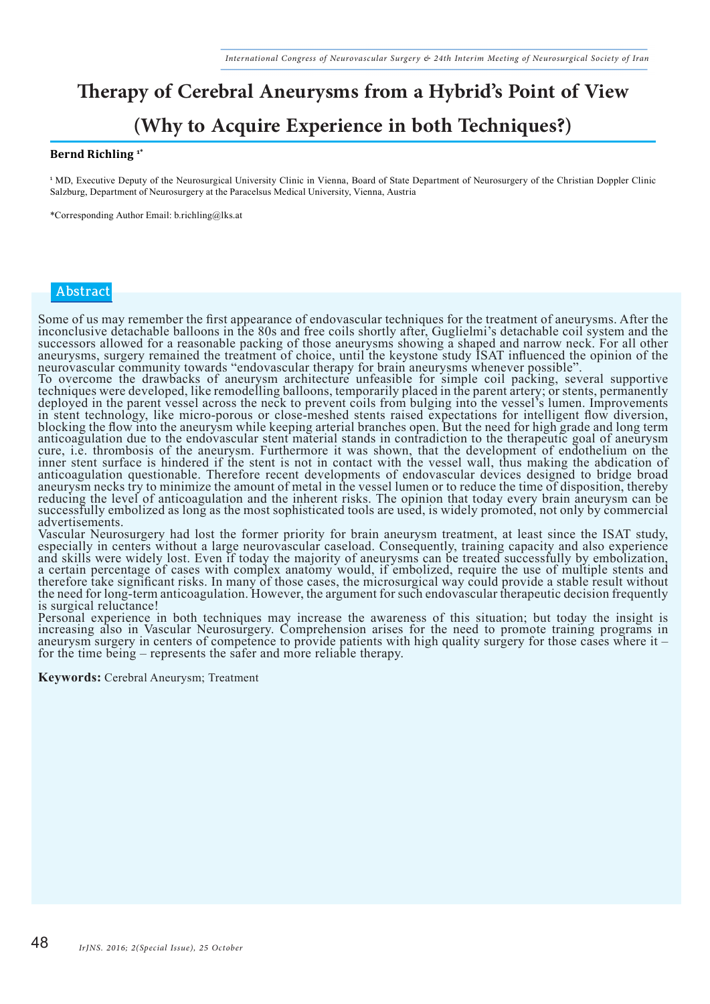# **Therapy of Cerebral Aneurysms from a Hybrid's Point of View**

### **(Why to Acquire Experience in both Techniques?)**

#### **Bernd Richling 1\***

<sup>1</sup>MD, Executive Deputy of the Neurosurgical University Clinic in Vienna, Board of State Department of Neurosurgery of the Christian Doppler Clinic Salzburg, Department of Neurosurgery at the Paracelsus Medical University, Vienna, Austria

\*Corresponding Author Email: b.richling@lks.at

#### **Abstract**

Some of us may remember the first appearance of endovascular techniques for the treatment of aneurysms. After the inconclusive detachable balloons in the 80s and free coils shortly after, Guglielmi's detachable coil system and the successors allowed for a reasonable packing of those aneurysms showing a shaped and narrow neck. For all other aneurysms, surgery remained the treatment of choice, until the keystone study ISAT influenced the opinion of the neurovascular community towards "endovascular therapy for brain aneurysms whenever possible".<br>To overcome the drawbacks of aneurysm architecture unfeasible for simple coil packing, several supportive

techniques were developed, like remodelling balloons, temporarily placed in the parent artery; or stents, permanently deployed in the parent vessel across the neck to prevent coils from bulging into the vessel's lumen. Improvements in stent technology, like micro-porous or close-meshed stents raised expectations for intelligent flow diversion, blocking the flow into the aneurysm while keeping arterial branches open. But the need for high grade and long term anticoagulation due to the endovascular stent material stands in contradiction to the therapeutic goal of aneurysm cure, i.e. thrombosis of the aneurysm. Furthermore it was shown, that the development of endothelium on the inner stent surface is hindered if the stent is not in contact with the vessel wall, thus making the abdication of anticoagulation questionable. Therefore recent developments of endovascular devices designed to bridge broad aneurysm necks try to minimize the amount of metal in the vessel lumen or to reduce the time of disposition, thereby reducing the level of anticoagulation and the inherent risks. The opinion that today every brain aneurysm can be successfully embolized as long as the most sophisticated tools are used, is widely promoted, not only by commercial advertisements.

Vascular Neurosurgery had lost the former priority for brain aneurysm treatment, at least since the ISAT study, especially in centers without a large neurovascular caseload. Consequently, training capacity and also experience and skills were widely lost. Even if today the majority of aneurysms can be treated successfully by embolization, a certain percentage of cases with complex anatomy would, if embolized, require the use of multiple stents and therefore take significant risks. In many of those cases, the microsurgical way could provide a stable result without the need for long-term anticoagulation. However, the argument for such endovascular therapeutic decision frequently is surgical reluctance!

Personal experience in both techniques may increase the awareness of this situation; but today the insight is increasing also in Vascular Neurosurgery. Comprehension arises for the need to promote training programs in aneurysm surgery in centers of competence to provide patients with high quality surgery for those cases where it – for the time being – represents the safer and more reliable therapy.

**Keywords:** Cerebral Aneurysm; Treatment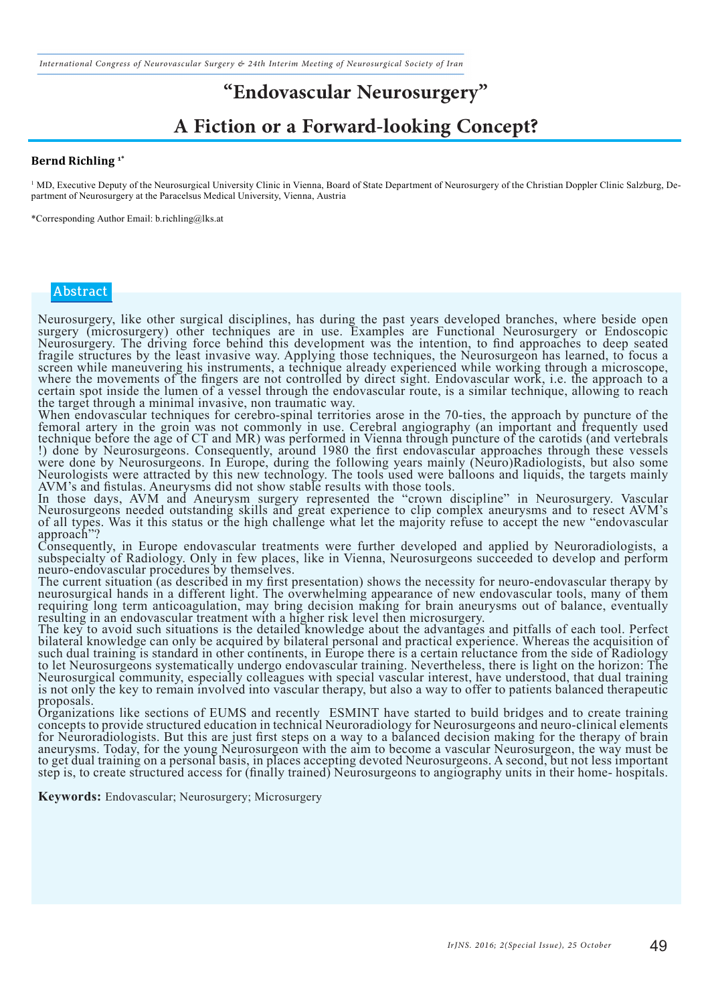*International Congress of Neurovascular Surgery & 24th Interim Meeting of Neurosurgical Society of Iran*

### **"Endovascular Neurosurgery"**

### **A Fiction or a Forward-looking Concept?**

#### **Bernd Richling 1\***

<sup>1</sup> MD, Executive Deputy of the Neurosurgical University Clinic in Vienna, Board of State Department of Neurosurgery of the Christian Doppler Clinic Salzburg, Department of Neurosurgery at the Paracelsus Medical University, Vienna, Austria

\*Corresponding Author Email: b.richling@lks.at

#### **Abstract**

Neurosurgery, like other surgical disciplines, has during the past years developed branches, where beside open surgery (microsurgery) other techniques are in use. Examples are Functional Neurosurgery or Endoscopic Neurosurgery. The driving force behind this development was the intention, to find approaches to deep seated fragile structures by the least invasive way. Applying those techniques, the Neurosurgeon has learned, to focus a screen while maneuvering his instruments, a technique already experienced while working through a microscope, where the movements of the fingers are not controlled by direct sight. Endovascular work, i.e. the approach to a certain spot inside the lumen of a vessel through the endovascular route, is a similar technique, allowing to reach the target through a minimal invasive, non traumatic way.

When endovascular techniques for cerebro-spinal territories arose in the 70-ties, the approach by puncture of the femoral artery in the groin was not commonly in use. Cerebral angiography (an important and frequently used technique before the age of CT and MR) was performed in Vienna through puncture of the carotids (and vertebrals !) done by Neurosurgeons. Consequently, around 1980 the first endovascular approaches through these vessels were done by Neurosurgeons. In Europe, during the following years mainly (Neuro)Radiologists, but also some Neurologists were attracted by this new technology. The tools used were balloons and liquids, the targets mainly AVM's and fistulas. Aneurysms did not show stable results with those tools.

In those days, AVM and Aneurysm surgery represented the "crown discipline" in Neurosurgery. Vascular Neurosurgeons needed outstanding skills and great experience to clip complex aneurysms and to resect AVM's of all types. Was it this status or the high challenge what let the majority refuse to accept the new "endovascular approach'

Consequently, in Europe endovascular treatments were further developed and applied by Neuroradiologists, a subspecialty of Radiology. Only in few places, like in Vienna, Neurosurgeons succeeded to develop and perform neuro-endovascular procedures by themselves.

The current situation (as described in my first presentation) shows the necessity for neuro-endovascular therapy by neurosurgical hands in a different light. The overwhelming appearance of new endovascular tools, many of them requiring long term anticoagulation, may bring decision making for brain aneurysms out of balance, eventually resulting in an endovascular treatment with a higher risk level then microsurgery.

resulting in an endovascular treatment with a higher risk level then microsurgery.<br>The key to avoid such situations is the detailed knowledge about the advantages and pitfalls of each tool. Perfect bilateral knowledge can only be acquired by bilateral personal and practical experience. Whereas the acquisition of such dual training is standard in other continents, in Europe there is a certain reluctance from the side of Radiology to let Neurosurgeons systematically undergo endovascular training. Nevertheless, there is light on the horizon: The Neurosurgical community, especially colleagues with special vascular interest, have understood, that dual training is not only the key to remain involved into vascular therapy, but also a way to offer to patients balanced therapeutic proposals.

Organizations like sections of EUMS and recently ESMINT have started to build bridges and to create training concepts to provide structured education in technical Neuroradiology for Neurosurgeons and neuro-clinical elements for Neuroradiologists. But this are just first steps on a way to a balanced decision making for the therapy of brain aneurysms. Today, for the young Neurosurgeon with the aim to become a vascular Neurosurgeon, the way must be to get dual training on a personal basis, in places accepting devoted Neurosurgeons. A second, but not less important step is, to create structured access for (finally trained) Neurosurgeons to angiography units in their home- hospitals.

**Keywords:** Endovascular; Neurosurgery; Microsurgery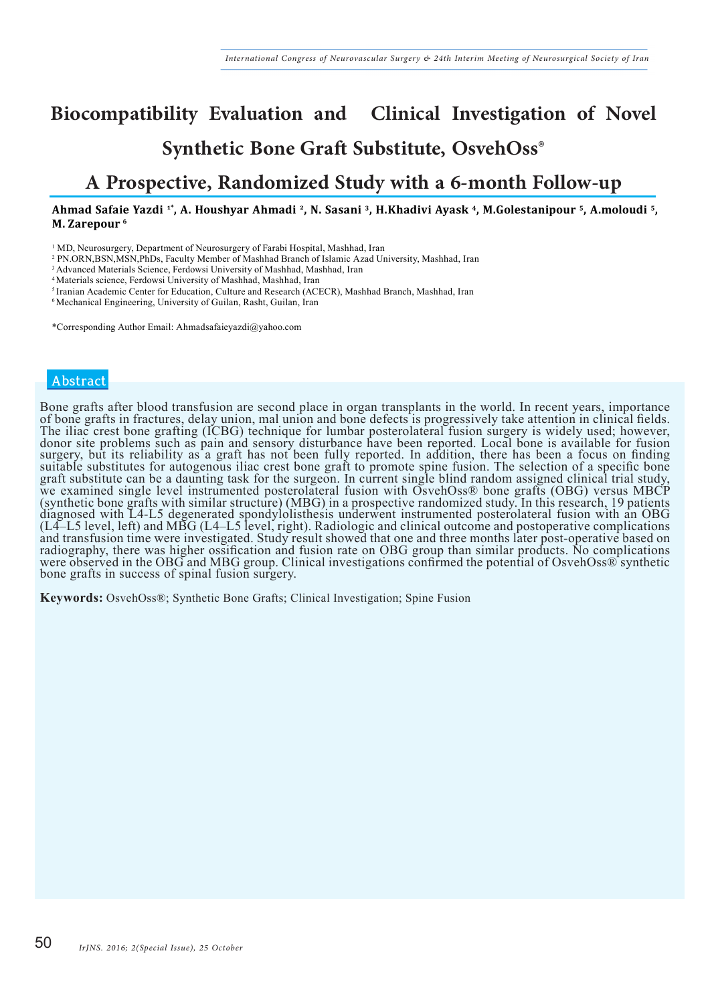# **Biocompatibility Evaluation and Clinical Investigation of Novel Synthetic Bone Graft Substitute, OsvehOss®**

### **A Prospective, Randomized Study with a 6-month Follow-up**

#### **Ahmad Safaie Yazdi 1\*, A. Houshyar Ahmadi 2, N. Sasani 3, H.Khadivi Ayask 4, M.Golestanipour 5, A.moloudi 5, M. Zarepour 6**

<sup>1</sup> MD, Neurosurgery, Department of Neurosurgery of Farabi Hospital, Mashhad, Iran

2 PN.ORN,BSN,MSN,PhDs, Faculty Member of Mashhad Branch of Islamic Azad University, Mashhad, Iran

<sup>3</sup> Advanced Materials Science, Ferdowsi University of Mashhad, Mashhad, Iran

4 Materials science, Ferdowsi University of Mashhad, Mashhad, Iran

<sup>5</sup>Iranian Academic Center for Education, Culture and Research (ACECR), Mashhad Branch, Mashhad, Iran

6 Mechanical Engineering, University of Guilan, Rasht, Guilan, Iran

\*Corresponding Author Email: Ahmadsafaieyazdi@yahoo.com

#### **Abstract**

Bone grafts after blood transfusion are second place in organ transplants in the world. In recent years, importance of bone grafts in fractures, delay union, mal union and bone defects is progressively take attention in clinical fields. The iliac crest bone grafting (ICBG) technique for lumbar posterolateral fusion surgery is widely used; however, donor site problems such as pain and sensory disturbance have been reported. Local bone is available for fusion surgery, but its reliability as a graft has not been fully reported. In addition, there has been a focus on finding suitable substitutes for autogenous iliac crest bone graft to promote spine fusion. The selection of a specific bone graft substitute can be a daunting task for the surgeon. In current single blind random assigned clinical trial study, we examined single level instrumented posterolateral fusion with OsvehOss® bone grafts (OBG) versus MBCP (synthetic bone grafts with similar structure) (MBG) in a prospective randomized study. In this research, 19 patients diagnosed with L4-L5 degenerated spondylolisthesis underwent instrumented posterolateral fusion with an OBG (L4–L5 level, left) and MBG (L4–L5 level, right). Radiologic and clinical outcome and postoperative complications and transfusion time were investigated. Study result showed that one and three months later post-operative based on radiography, there was higher ossification and fusion rate on OBG group than similar products. No complications were observed in the OBG and MBG group. Clinical investigations confirmed the potential of OsvehOss® synthetic bone grafts in success of spinal fusion surgery.

**Keywords:** OsvehOss®; Synthetic Bone Grafts; Clinical Investigation; Spine Fusion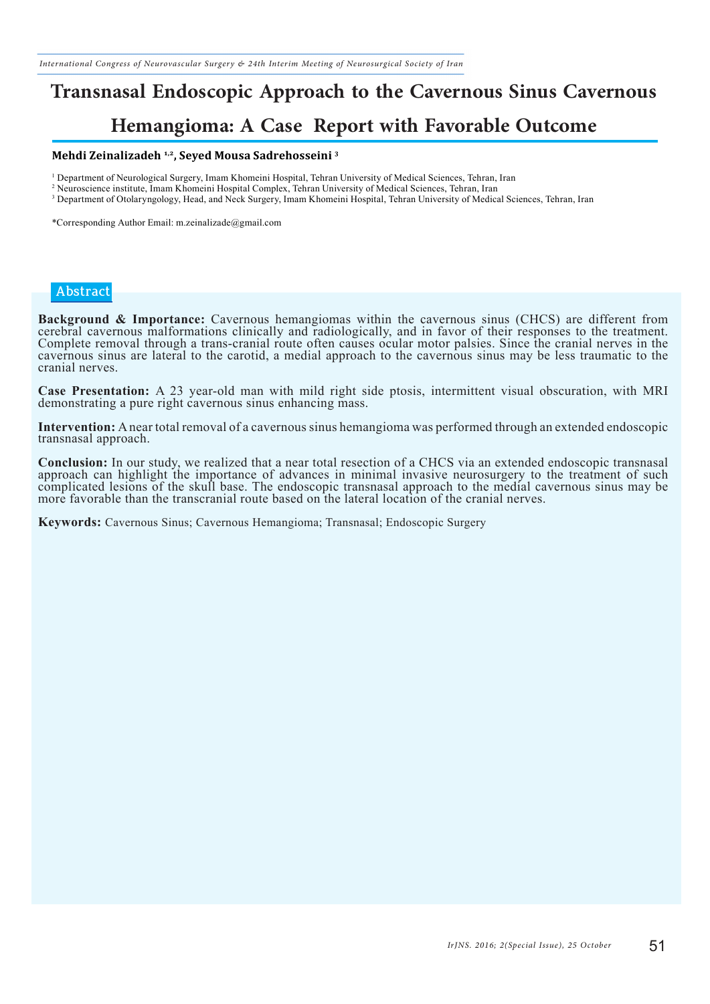## **Transnasal Endoscopic Approach to the Cavernous Sinus Cavernous**

### **Hemangioma: A Case Report with Favorable Outcome**

#### **Mehdi Zeinalizadeh 1,2, Seyed Mousa Sadrehosseini 3**

1 Department of Neurological Surgery, Imam Khomeini Hospital, Tehran University of Medical Sciences, Tehran, Iran

2 Neuroscience institute, Imam Khomeini Hospital Complex, Tehran University of Medical Sciences, Tehran, Iran

<sup>3</sup> Department of Otolaryngology, Head, and Neck Surgery, Imam Khomeini Hospital, Tehran University of Medical Sciences, Tehran, Iran

\*Corresponding Author Email: m.zeinalizade@gmail.com

#### **Abstract**

**Background & Importance:** Cavernous hemangiomas within the cavernous sinus (CHCS) are different from cerebral cavernous malformations clinically and radiologically, and in favor of their responses to the treatment. Complete removal through a trans-cranial route often causes ocular motor palsies. Since the cranial nerves in the cavernous sinus are lateral to the carotid, a medial approach to the cavernous sinus may be less traumatic to the cranial nerves.

**Case Presentation:** A 23 year-old man with mild right side ptosis, intermittent visual obscuration, with MRI demonstrating a pure right cavernous sinus enhancing mass.

**Intervention:** A near total removal of a cavernous sinus hemangioma was performed through an extended endoscopic transnasal approach.

**Conclusion:** In our study, we realized that a near total resection of a CHCS via an extended endoscopic transnasal approach can highlight the importance of advances in minimal invasive neurosurgery to the treatment of suc complicated lesions of the skull base. The endoscopic transnasal approach to the medial cavernous sinus may be more favorable than the transcranial route based on the lateral location of the cranial nerves.

**Keywords:** Cavernous Sinus; Cavernous Hemangioma; Transnasal; Endoscopic Surgery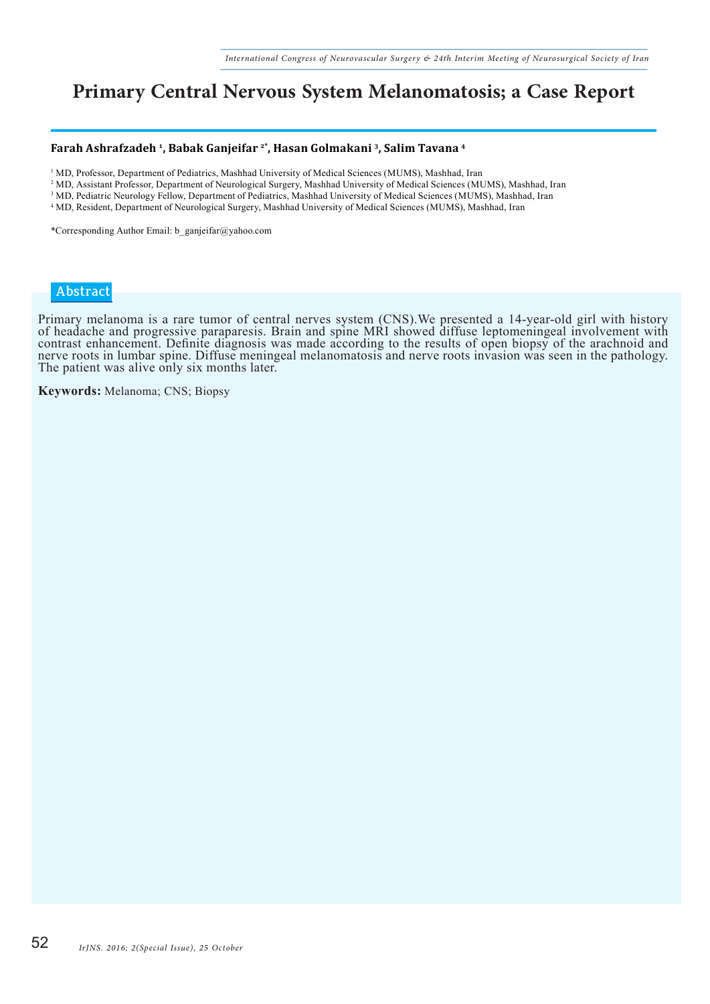### **Primary Central Nervous System Melanomatosis; a Case Report**

#### **Farah Ashrafzadeh 1, Babak Ganjeifar 2\*, Hasan Golmakani 3, Salim Tavana 4**

- <sup>1</sup> MD, Professor, Department of Pediatrics, Mashhad University of Medical Sciences (MUMS), Mashhad, Iran
- 2 MD, Assistant Professor, Department of Neurological Surgery, Mashhad University of Medical Sciences (MUMS), Mashhad, Iran
- <sup>3</sup> MD, Pediatric Neurology Fellow, Department of Pediatrics, Mashhad University of Medical Sciences (MUMS), Mashhad, Iran
- 4 MD, Resident, Department of Neurological Surgery, Mashhad University of Medical Sciences (MUMS), Mashhad, Iran

\*Corresponding Author Email: b\_ganjeifar@yahoo.com

#### **Abstract**

Primary melanoma is a rare tumor of central nerves system (CNS).We presented a 14-year-old girl with history of headache and progressive paraparesis. Brain and spine MRI showed diffuse leptomeningeal involvement with contrast enhancement. Definite diagnosis was made according to the results of open biopsy of the arachnoid and nerve roots in lumbar spine. Diffuse meningeal melanomatosis and nerve roots invasion was seen in the pathology. The patient was alive only six months later.

**Keywords:** Melanoma; CNS; Biopsy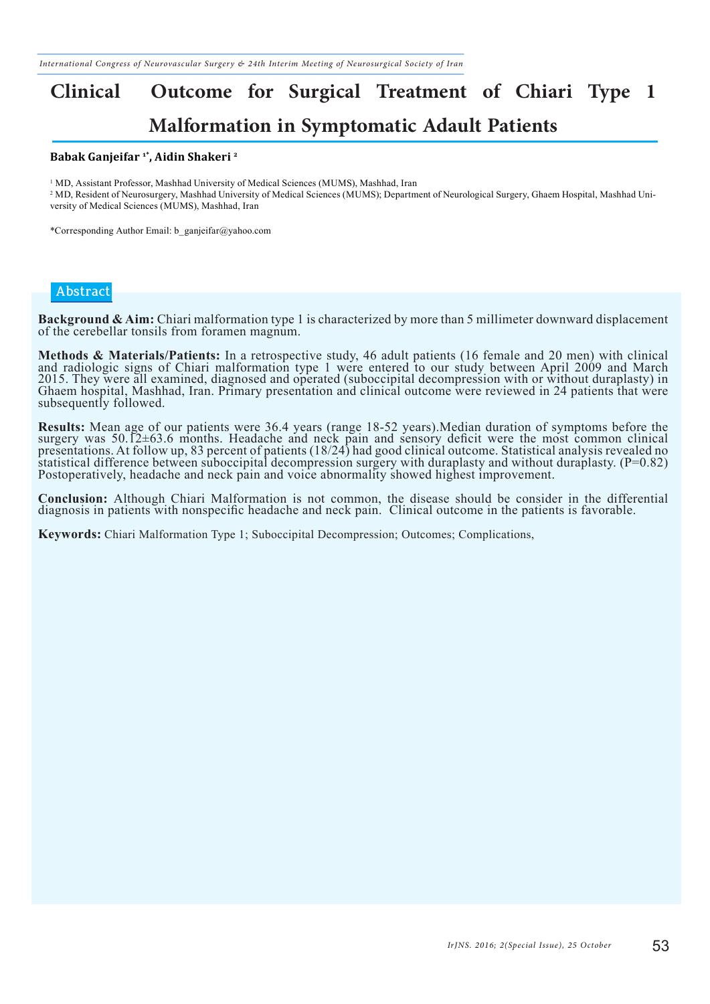# **Clinical Outcome for Surgical Treatment of Chiari Type 1 Malformation in Symptomatic Adault Patients**

#### **Babak Ganjeifar 1\*, Aidin Shakeri 2**

<sup>1</sup> MD, Assistant Professor, Mashhad University of Medical Sciences (MUMS), Mashhad, Iran

2 MD, Resident of Neurosurgery, Mashhad University of Medical Sciences (MUMS); Department of Neurological Surgery, Ghaem Hospital, Mashhad University of Medical Sciences (MUMS), Mashhad, Iran

\*Corresponding Author Email: b\_ganjeifar@yahoo.com

#### **Abstract**

**Background & Aim:** Chiari malformation type 1 is characterized by more than 5 millimeter downward displacement of the cerebellar tonsils from foramen magnum.

**Methods & Materials/Patients:** In a retrospective study, 46 adult patients (16 female and 20 men) with clinical and radiologic signs of Chiari malformation type 1 were entered to our study between April 2009 and March 2015. They were all examined, diagnosed and operated (suboccipital decompression with or without duraplasty) in Ghaem hospital, Mashhad, Iran. Primary presentation and clinical outcome were reviewed in 24 patients that were subsequently followed.

**Results:** Mean age of our patients were 36.4 years (range 18-52 years). Median duration of symptoms before the surgery was 50.12±63.6 months. Headache and neck pain and sensory deficit were the most common clinical presentations. At follow up, 83 percent of patients (18/24) had good clinical outcome. Statistical analysis revealed no statistical difference between suboccipital decompression surgery with duraplasty and without duraplasty. (P=0.82) Postoperatively, headache and neck pain and voice abnormality showed highest improvement.

**Conclusion:** Although Chiari Malformation is not common, the disease should be consider in the differential diagnosis in patients with nonspecific headache and neck pain. Clinical outcome in the patients is favorable.

**Keywords:** Chiari Malformation Type 1; Suboccipital Decompression; Outcomes; Complications,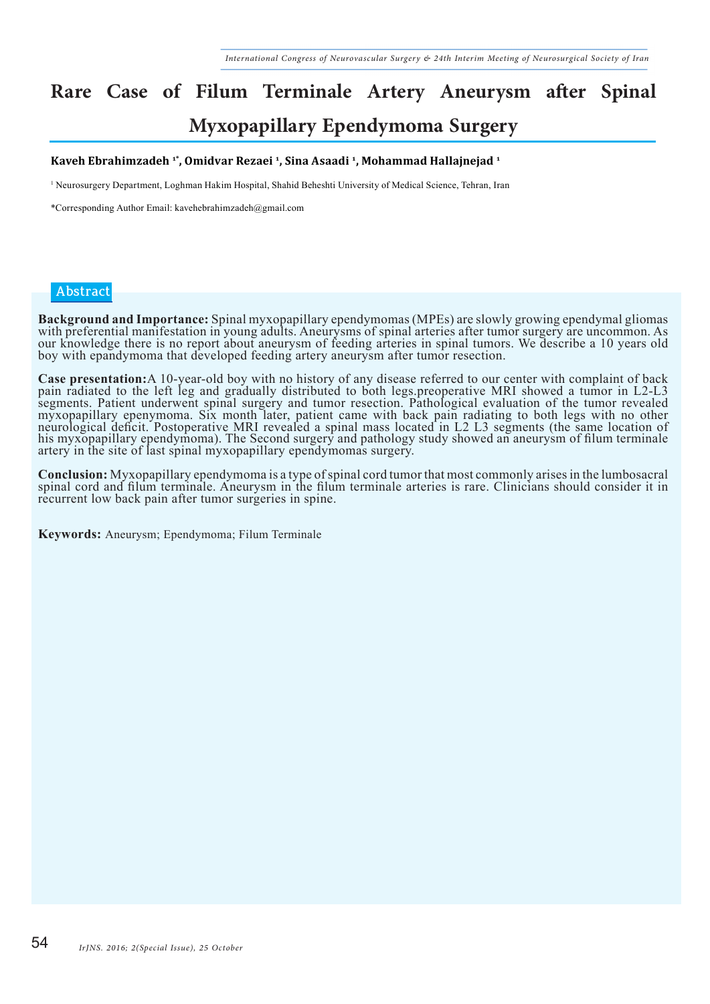# **Rare Case of Filum Terminale Artery Aneurysm after Spinal Myxopapillary Ependymoma Surgery**

#### **Kaveh Ebrahimzadeh 1\*, Omidvar Rezaei 1, Sina Asaadi 1, Mohammad Hallajnejad 1**

1 Neurosurgery Department, Loghman Hakim Hospital, Shahid Beheshti University of Medical Science, Tehran, Iran

\*Corresponding Author Email: kavehebrahimzadeh@gmail.com

#### **Abstract**

Background and Importance: Spinal myxopapillary ependymomas (MPEs) are slowly growing ependymal gliomas with preferential manifestation in young adults. Aneurysms of spinal arteries after tumor surgery are uncommon. As our knowledge there is no report about aneurysm of feeding arteries in spinal tumors. We describe a 10 years old boy with epandymoma that developed feeding artery aneurysm after tumor resection.

Case presentation: A 10-year-old boy with no history of any disease referred to our center with complaint of back<br>pain radiated to the left leg and gradually distributed to both legs. preoperative MRI showed a tumor in L2segments. Patient underwent spinal surgery and tumor resection. Pathological evaluation of the tumor revealed myxopapillary epenymoma. Six month later, patient came with back pain radiating to both legs with no other neurological deficit. Postoperative MRI revealed a spinal mass located in L2 L3 segments (the same location of his myxopapillary ependymoma). The Second surgery and pathology study showed an aneurysm of filum terminale artery in the site of last spinal myxopapillary ependymomas surgery.

Conclusion: Myxopapillary ependymoma is a type of spinal cord tumor that most commonly arises in the lumbosacral<br>spinal cord and filum terminale. Aneurysm in the filum terminale arteries is rare. Clinicians should consider recurrent low back pain after tumor surgeries in spine.

**Keywords:** Aneurysm; Ependymoma; Filum Terminale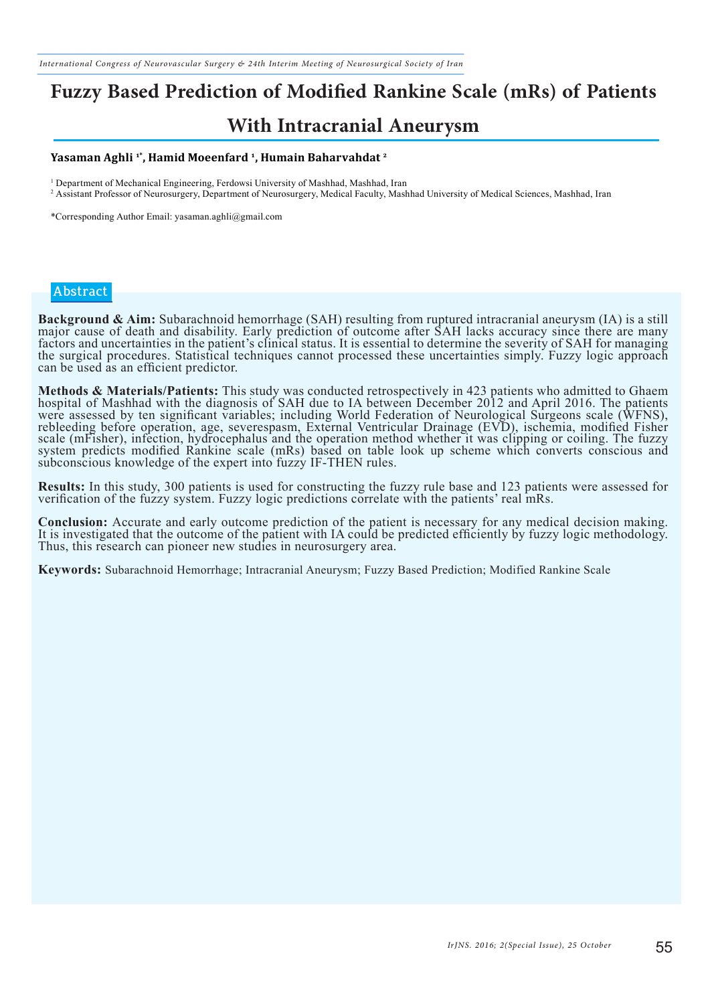# **Fuzzy Based Prediction of Modified Rankine Scale (mRs) of Patients**

### **With Intracranial Aneurysm**

#### **Yasaman Aghli 1\*, Hamid Moeenfard 1, Humain Baharvahdat 2**

1 Department of Mechanical Engineering, Ferdowsi University of Mashhad, Mashhad, Iran

2 Assistant Professor of Neurosurgery, Department of Neurosurgery, Medical Faculty, Mashhad University of Medical Sciences, Mashhad, Iran

\*Corresponding Author Email: yasaman.aghli@gmail.com

#### **Abstract**

Background & Aim: Subarachnoid hemorrhage (SAH) resulting from ruptured intracranial aneurysm (IA) is a still<br>major cause of death and disability. Early prediction of outcome after SAH lacks accuracy since there are many factors and uncertainties in the patient's clinical status. It is essential to determine the severity of SAH for managing the surgical procedures. Statistical techniques cannot processed these uncertainties simply. Fuzzy logic approach can be used as an efficient predictor.

**Methods & Materials/Patients:** This study was conducted retrospectively in 423 patients who admitted to Ghaem hospital of Mashhad with the diagnosis of SAH due to IA between December 2012 and April 2016. The patients were assessed by ten significant variables; including World Federation of Neurological Surgeons scale (WFNS), rebleeding before operation, age, severespasm, External Ventricular Drainage (EVD), ischemia, modified Fisher scale (mFisher), infection, hydrocephalus and the operation method whether it was clipping or coiling. The fuzzy system predicts modified Rankine scale (mRs) based on table look up scheme which converts conscious and subconscious knowledge of the expert into fuzzy IF-THEN rules.

**Results:** In this study, 300 patients is used for constructing the fuzzy rule base and 123 patients were assessed for verification of the fuzzy system. Fuzzy logic predictions correlate with the patients' real mRs.

**Conclusion:** Accurate and early outcome prediction of the patient is necessary for any medical decision making.<br>It is investigated that the outcome of the patient with IA could be predicted efficiently by fuzzy logic meth Thus, this research can pioneer new studies in neurosurgery area.

**Keywords:** Subarachnoid Hemorrhage; Intracranial Aneurysm; Fuzzy Based Prediction; Modified Rankine Scale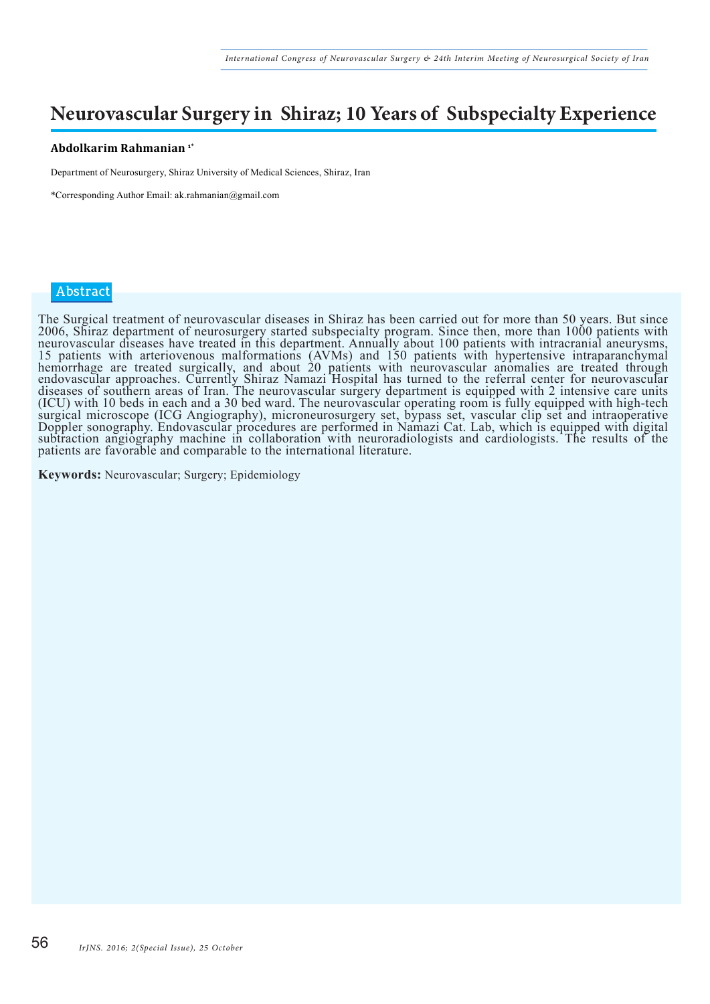### **Neurovascular Surgery in Shiraz; 10 Years of Subspecialty Experience**

#### **Abdolkarim Rahmanian 1\***

Department of Neurosurgery, Shiraz University of Medical Sciences, Shiraz, Iran

\*Corresponding Author Email: ak.rahmanian@gmail.com

#### **Abstract**

The Surgical treatment of neurovascular diseases in Shiraz has been carried out for more than 50 years. But since 2006, Shiraz department of neurosurgery started subspecialty program. Since then, more than 1000 patients with neurovascular diseases have treated in this department. Annually about 100 patients with intracranial aneurysms, 15 patients with arteriovenous malformations (AVMs) and 150 patients with hypertensive intraparanchymal hemorrhage are treated surgically, and about 20 patients with neurovascular anomalies are treated through endovascular approaches. Currently Shiraz Namazi Hospital has turned to the referral center for neurovascular diseases of southern areas of Iran. The neurovascular surgery department is equipped with 2 intensive care units (ICU) with 10 beds in each and a 30 bed ward. The neurovascular operating room is fully equipped with high-tech surgical microscope (ICG Angiography), microneurosurgery set, bypass set, vascular clip set and intraoperative Doppler sonography. Endovascular procedures are performed in Namazi Cat. Lab, which is equipped with digital subtraction angiography machine in collaboration with neuroradiologists and cardiologists. The results of the patients are favorable and comparable to the international literature.

**Keywords:** Neurovascular; Surgery; Epidemiology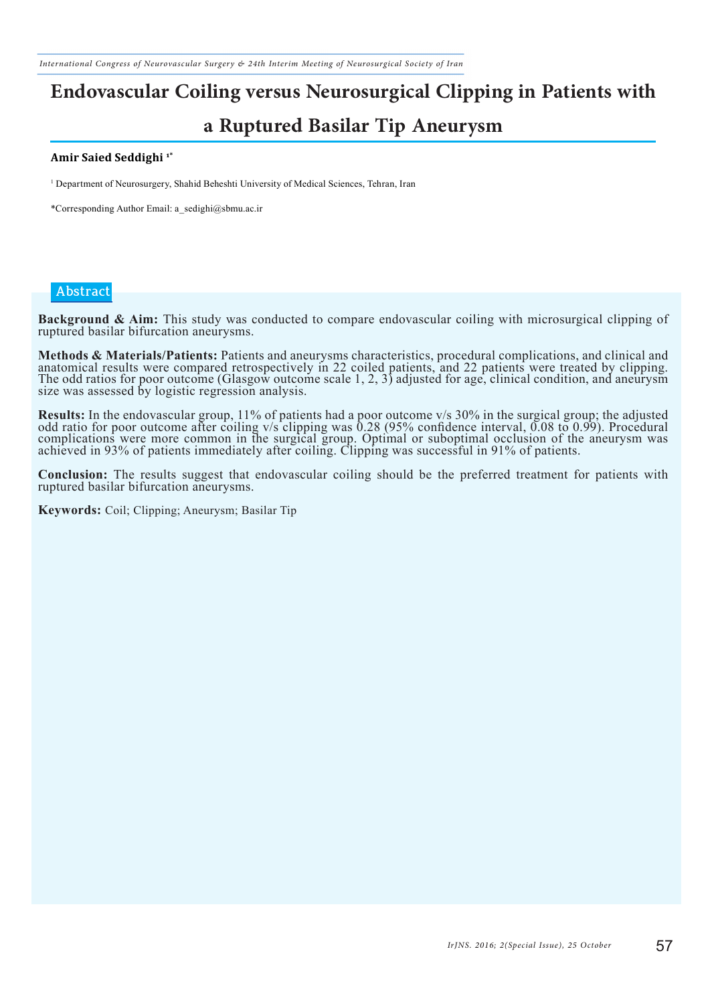# **Endovascular Coiling versus Neurosurgical Clipping in Patients with a Ruptured Basilar Tip Aneurysm**

#### **Amir Saied Seddighi 1\***

1 Department of Neurosurgery, Shahid Beheshti University of Medical Sciences, Tehran, Iran

\*Corresponding Author Email: a\_sedighi@sbmu.ac.ir

#### **Abstract**

**Background & Aim:** This study was conducted to compare endovascular coiling with microsurgical clipping of ruptured basilar bifurcation aneurysms.

Methods & Materials/Patients: Patients and aneurysms characteristics, procedural complications, and clinical and anatomical results were compared retrospectively in 22 coiled patients, and 22 patients were treated by clipp The odd ratios for poor outcome (Glasgow outcome scale 1, 2, 3) adjusted for age, clinical condition, and aneurysm size was assessed by logistic regression analysis.

Results: In the endovascular group, 11% of patients had a poor outcome v/s 30% in the surgical group; the adjusted odd ratio for poor outcome after coiling v/s clipping was 0.28 (95% confidence interval, 0.08 to 0.99). Pro complications were more common in the surgical group. Optimal or suboptimal occlusion of the aneurysm was achieved in 93% of patients immediately after coiling. Clipping was successful in 91% of patients.

**Conclusion:** The results suggest that endovascular coiling should be the preferred treatment for patients with ruptured basilar bifurcation aneurysms.

**Keywords:** Coil; Clipping; Aneurysm; Basilar Tip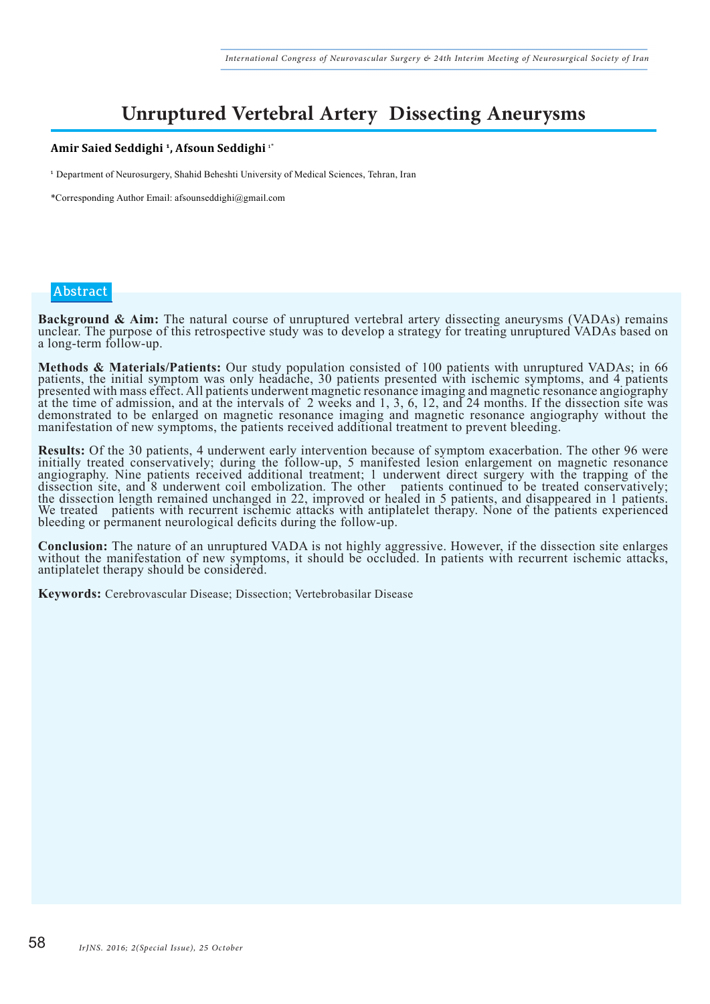### **Unruptured Vertebral Artery Dissecting Aneurysms**

#### **Amir Saied Seddighi 1, Afsoun Seddighi** 1\*

<sup>1</sup> Department of Neurosurgery, Shahid Beheshti University of Medical Sciences, Tehran, Iran

\*Corresponding Author Email: afsounseddighi@gmail.com

#### **Abstract**

**Background & Aim:** The natural course of unruptured vertebral artery dissecting aneurysms (VADAs) remains unclear. The purpose of this retrospective study was to develop a strategy for treating unruptured VADAs based on a long-term follow-up.

**Methods & Materials/Patients:** Our study population consisted of 100 patients with unruptured VADAs; in 66 patients, the initial symptom was only headache, 30 patients presented with ischemic symptoms, and 4 patients presented with mass effect. All patients underwent magnetic resonance imaging and magnetic resonance angiography at the time of admission, and at the intervals of 2 weeks and 1, 3, 6, 12, and 24 months. If the dissection site was demonstrated to be enlarged on magnetic resonance imaging and magnetic resonance angiography without the manifestation of new symptoms, the patients received additional treatment to prevent bleeding.

**Results:** Of the 30 patients, 4 underwent early intervention because of symptom exacerbation. The other 96 were initially treated conservatively; during the follow-up, 5 manifested lesion enlargement on magnetic resonance angiography. Nine patients received additional treatment; 1 underwent direct surgery with the trapping of the dissection site, and 8 underwent coil embolization. The other patients continued to be treated conservatively; the dissection length remained unchanged in 22, improved or healed in 5 patients, and disappeared in 1 patients. We treated patients with recurrent ischemic attacks with antiplatelet therapy. None of the patients experienced bleeding or permanent neurological deficits during the follow-up.

**Conclusion:** The nature of an unruptured VADA is not highly aggressive. However, if the dissection site enlarges without the manifestation of new symptoms, it should be occluded. In patients with recurrent ischemic attack antiplatelet therapy should be considered.

**Keywords:** Cerebrovascular Disease; Dissection; Vertebrobasilar Disease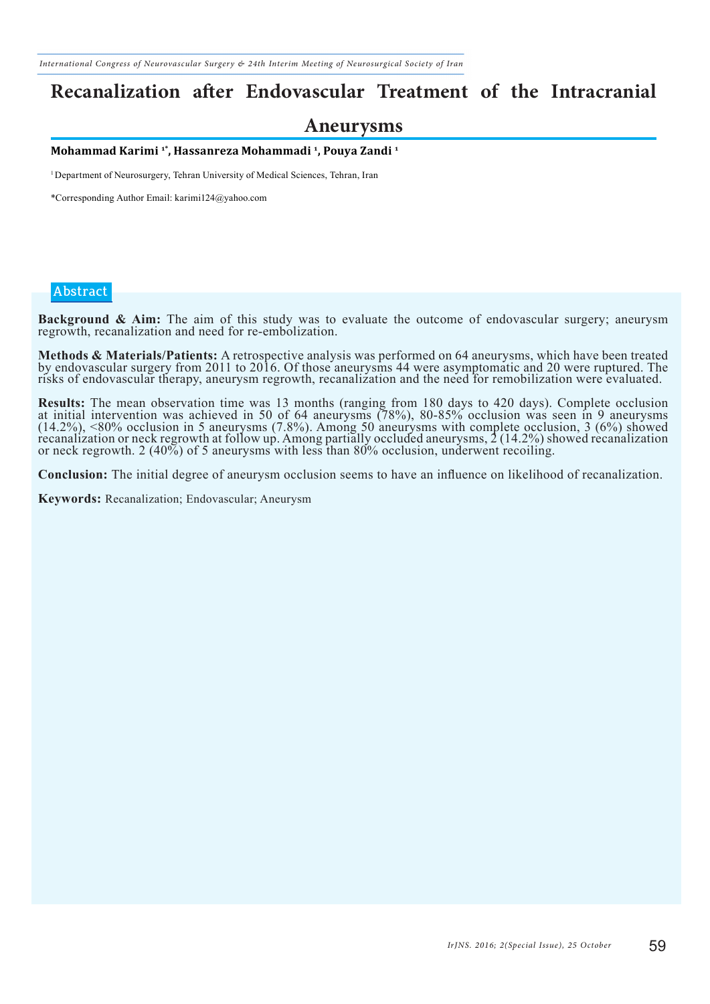### **Recanalization after Endovascular Treatment of the Intracranial**

#### **Aneurysms**

**Mohammad Karimi 1\*, Hassanreza Mohammadi 1, Pouya Zandi 1**

<sup>1</sup> Department of Neurosurgery, Tehran University of Medical Sciences, Tehran, Iran

\*Corresponding Author Email: karimi124@yahoo.com

#### **Abstract**

**Background & Aim:** The aim of this study was to evaluate the outcome of endovascular surgery; aneurysm regrowth, recanalization and need for re-embolization.

Methods & Materials/Patients: A retrospective analysis was performed on 64 aneurysms, which have been treated<br>by endovascular surgery from 2011 to 2016. Of those aneurysms 44 were asymptomatic and 20 were ruptured. The risks of endovascular therapy, aneurysm regrowth, recanalization and the need for remobilization were evaluated.

**Results:** The mean observation time was 13 months (ranging from 180 days to 420 days). Complete occlusion at initial intervention was achieved in 50 of 64 aneurysms (78%), 80-85% occlusion was seen in 9 aneurysms (14.2%), <80% occlusion in 5 aneurysms (7.8%). Among 50 aneurysms with complete occlusion, 3 (6%) showed recanalization or neck regrowth at follow up. Among partially occluded aneurysms, 2 (14.2%) showed recanalization or neck regrowth. 2 (40%) of 5 aneurysms with less than 80% occlusion, underwent recoiling.

**Conclusion:** The initial degree of aneurysm occlusion seems to have an influence on likelihood of recanalization.

**Keywords:** Recanalization; Endovascular; Aneurysm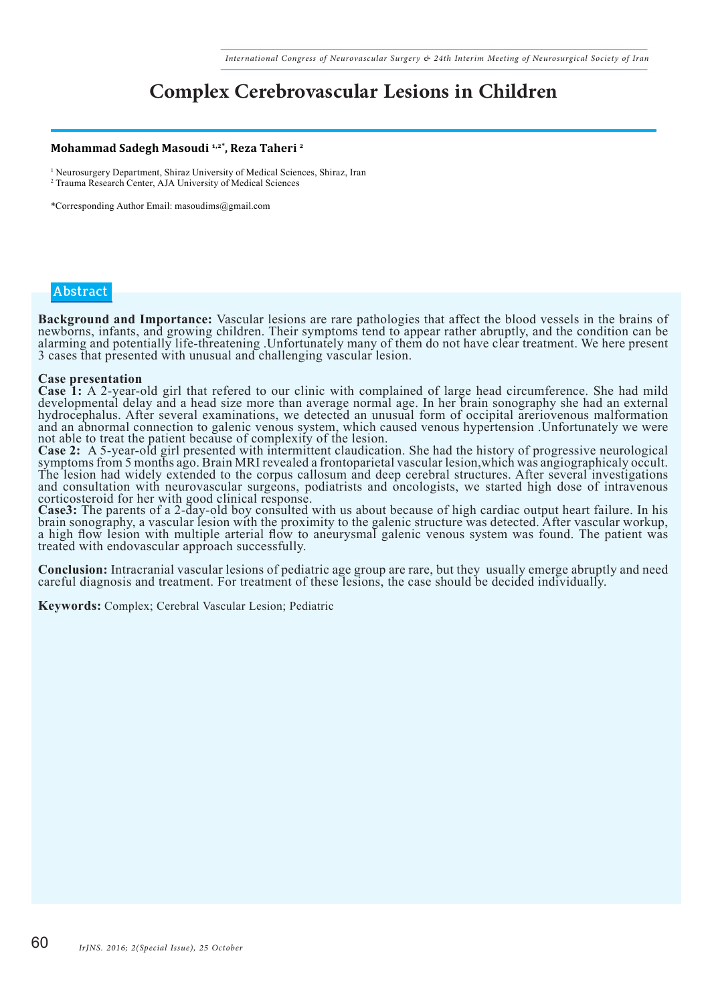### **Complex Cerebrovascular Lesions in Children**

#### **Mohammad Sadegh Masoudi 1,2\*, Reza Taheri 2**

<sup>1</sup> Neurosurgery Department, Shiraz University of Medical Sciences, Shiraz, Iran 2 Trauma Research Center, AJA University of Medical Sciences

\*Corresponding Author Email: masoudims@gmail.com

#### **Abstract**

Background and Importance: Vascular lesions are rare pathologies that affect the blood vessels in the brains of<br>newborns, infants, and growing children. Their symptoms tend to appear rather abruptly, and the condition can alarming and potentially life-threatening .Unfortunately many of them do not have clear treatment. We here present 3 cases that presented with unusual and challenging vascular lesion.

**Case presentation**<br>**Case 1:** A 2-year-old girl that refered to our clinic with complained of large head circumference. She had mild Case 1: A 2-year-old girl that refered to our clinic with complained of large head circumference. She had mild<br>developmental delay and a head size more than average normal age. In her brain sonography she had an external hydrocephalus. After several examinations, we detected an unusual form of occipital areriovenous malformation and an abnormal connection to galenic venous system, which caused venous hypertension .Unfortunately we were not able to treat the patient because of complexity of the lesion.<br>Case 2: A 5-year-old girl presented with intermittent claudication. She had the history of progressive neurological

Case 2: A 5-year-old girl presented with intermittent claudication. She had the history of progressive neurological symptoms from 5 months ago. Brain MRI revealed a frontoparietal vascular lesion, which was angiographicaly The lesion had widely extended to the corpus callosum and deep cerebral structures. After several investigations and consultation with neurovascular surgeons, podiatrists and oncologists, we started high dose of intravenous corticosteroid for her with good clinical response.<br>Case3: The parents of a 2-day-old boy consulted with us about because of high cardiac output heart failure. In his

Case3: The parents of a 2-day-old boy consulted with us about because of high cardiac output heart failure. In his<br>brain sonography, a vascular lesion with the proximity to the galenic structure was detected. After vascula a high flow lesion with multiple arterial flow to aneurysmal galenic venous system was found. The patient was treated with endovascular approach successfully.

**Conclusion:** Intracranial vascular lesions of pediatric age group are rare, but they usually emerge abruptly and need careful diagnosis and treatment. For treatment of these lesions, the case should be decided individuall

**Keywords:** Complex; Cerebral Vascular Lesion; Pediatric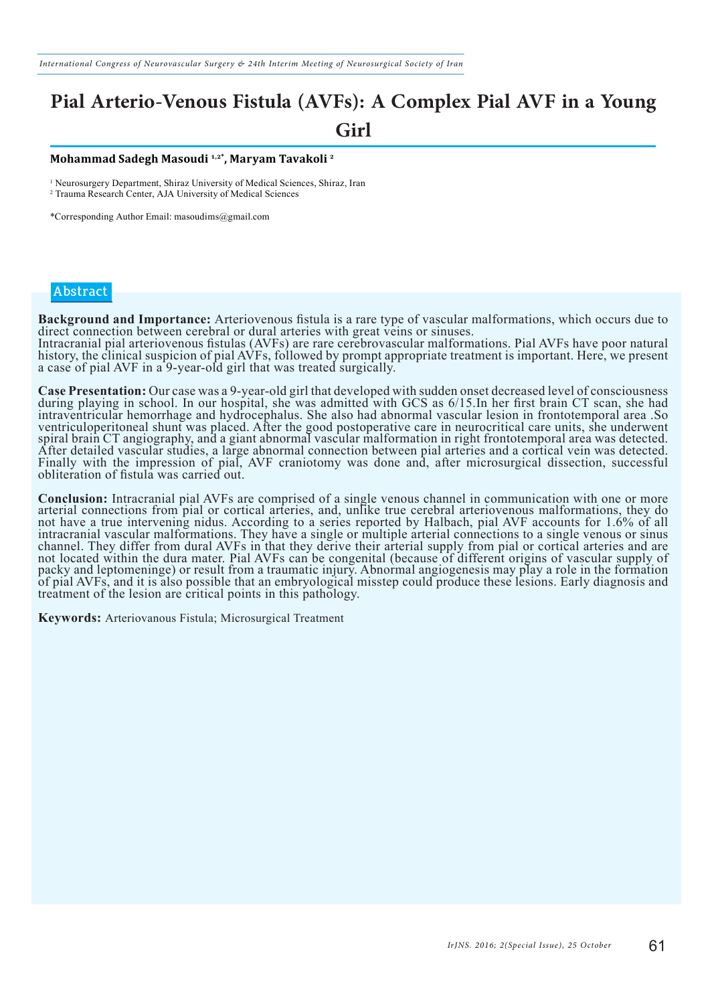### **Pial Arterio-Venous Fistula (AVFs): A Complex Pial AVF in a Young Girl**

#### **Mohammad Sadegh Masoudi 1,2\*, Maryam Tavakoli 2**

<sup>1</sup> Neurosurgery Department, Shiraz University of Medical Sciences, Shiraz, Iran 2 Trauma Research Center, AJA University of Medical Sciences

\*Corresponding Author Email: masoudims@gmail.com

#### **Abstract**

**Background and Importance:** Arteriovenous fistula is a rare type of vascular malformations, which occurs due to direct connection between cerebral or dural arteries with great veins or sinuses. Intracranial pial arteriovenous fistulas (AVFs) are rare cerebrovascular malformations. Pial AVFs have poor natural history, the clinical suspicion of pial AVFs, followed by prompt appropriate treatment is important. Here, we present a case of pial AVF in a 9-year-old girl that was treated surgically.

**Case Presentation:** Our case was a 9-year-old girl that developed with sudden onset decreased level of consciousness during playing in school. In our hospital, she was admitted with GCS as 6/15. In her first brain CT scan intraventricular hemorrhage and hydrocephalus. She also had abnormal vascular lesion in frontotemporal area .So ventriculoperitoneal shunt was placed. After the good postoperative care in neurocritical care units, she underwent spiral brain CT angiography, and a giant abnormal vascular malformation in right frontotemporal area was detected. After detailed vascular studies, a large abnormal connection between pial arteries and a cortical vein was detected. Finally with the impression of pial, AVF craniotomy was done and, after microsurgical dissection, successful obliteration of fistula was carried out.

**Conclusion:** Intracranial pial AVFs are comprised of a single venous channel in communication with one or more arterial connections from pial or cortical arteries, and, unlike true cerebral arteriovenous malformations, th not have a true intervening nidus. According to a series reported by Halbach, pial AVF accounts for 1.6% of all intracranial vascular malformations. They have a single or multiple arterial connections to a single venous or sinus channel. They differ from dural AVFs in that they derive their arterial supply from pial or cortical arteries and are not located within the dura mater. Pial AVFs can be congenital (because of different origins of vascular supply of packy and leptomeninge) or result from a traumatic injury. Abnormal angiogenesis may play a role in the formation of pial AVFs, and it is also possible that an embryological misstep could produce these lesions. Early diagnosis and treatment of the lesion are critical points in this pathology.

**Keywords:** Arteriovanous Fistula; Microsurgical Treatment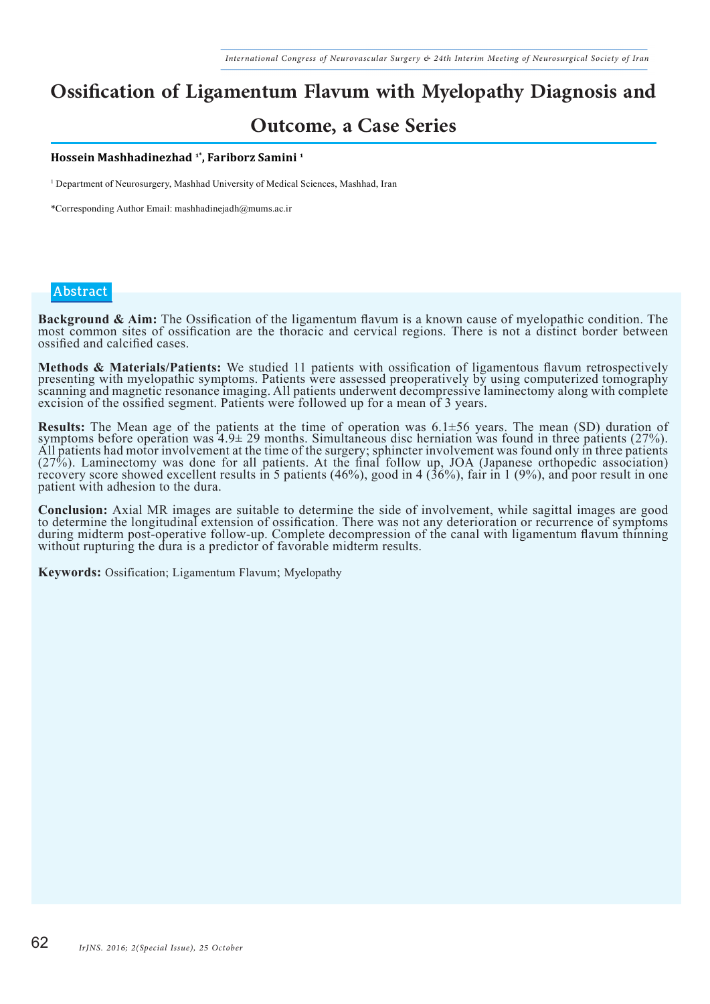## **Ossification of Ligamentum Flavum with Myelopathy Diagnosis and**

### **Outcome, a Case Series**

**Hossein Mashhadinezhad 1\*, Fariborz Samini 1**

1 Department of Neurosurgery, Mashhad University of Medical Sciences, Mashhad, Iran

\*Corresponding Author Email: mashhadinejadh@mums.ac.ir

#### **Abstract**

Background & Aim: The Ossification of the ligamentum flavum is a known cause of myelopathic condition. The most common sites of ossification are the thoracic and cervical regions. There is not a distinct border between ossified and calcified cases.

**Methods & Materials/Patients:** We studied 11 patients with ossification of ligamentous flavum retrospectively presenting with myelopathic symptoms. Patients were assessed preoperatively by using computerized tomography scanning and magnetic resonance imaging. All patients underwent decompressive laminectomy along with complete excision of the ossified segment. Patients were followed up for a mean of 3 years.

**Results:** The Mean age of the patients at the time of operation was  $6.1\pm56$  years. The mean (SD) duration of symptoms before operation was  $4.9\pm 29$  months. Simultaneous disc herniation was found in three patients (27 All patients had motor involvement at the time of the surgery; sphincter involvement was found only in three patients (27%). Laminectomy was done for all patients. At the final follow up, JOA (Japanese orthopedic association) recovery score showed excellent results in 5 patients (46%), good in 4 (36%), fair in 1 (9%), and poor result in one patient with adhesion to the dura.

**Conclusion:** Axial MR images are suitable to determine the side of involvement, while sagittal images are good to determine the longitudinal extension of ossification. There was not any deterioration or recurrence of symp during midterm post-operative follow-up. Complete decompression of the canal with ligamentum flavum thinning without rupturing the dura is a predictor of favorable midterm results.

**Keywords:** Ossification; Ligamentum Flavum; Myelopathy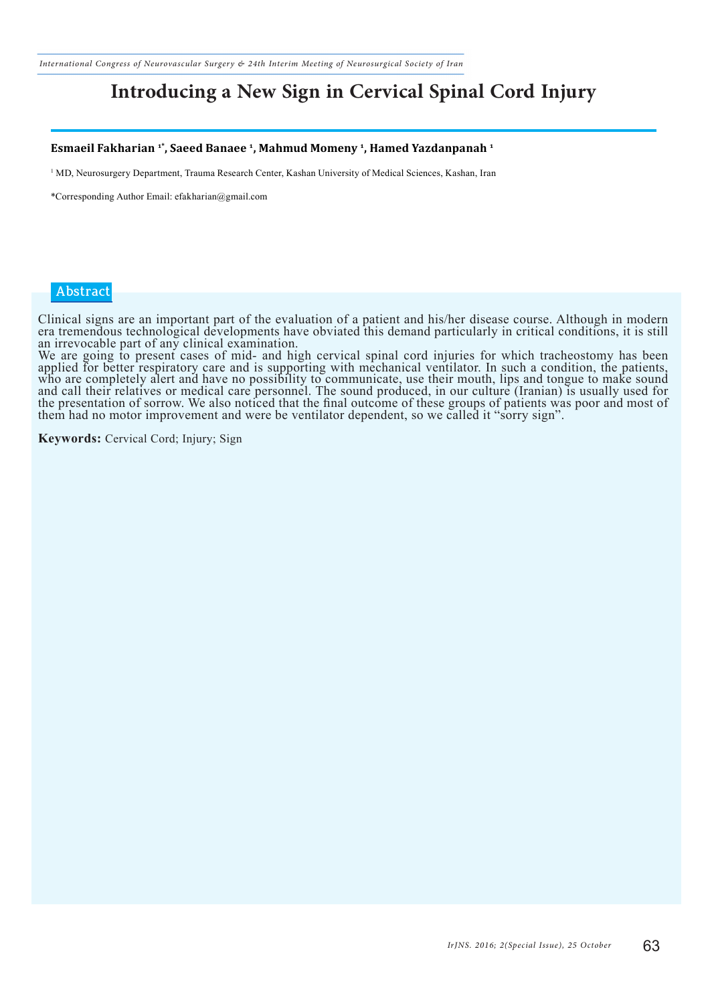*International Congress of Neurovascular Surgery & 24th Interim Meeting of Neurosurgical Society of Iran*

### **Introducing a New Sign in Cervical Spinal Cord Injury**

#### **Esmaeil Fakharian 1\*, Saeed Banaee 1, Mahmud Momeny 1, Hamed Yazdanpanah 1**

<sup>1</sup> MD, Neurosurgery Department, Trauma Research Center, Kashan University of Medical Sciences, Kashan, Iran

\*Corresponding Author Email: efakharian@gmail.com

#### **Abstract**

Clinical signs are an important part of the evaluation of a patient and his/her disease course. Although in modern era tremendous technological developments have obviated this demand particularly in critical conditions, it is still an irrevocable part of any clinical examination.

We are going to present cases of mid- and high cervical spinal cord injuries for which tracheostomy has been applied for better respiratory care and is supporting with mechanical ventilator. In such a condition, the patients, who are completely alert and have no possibility to communicate, use their mouth, lips and tongue to make sound and call their relatives or medical care personnel. The sound produced, in our culture (Iranian) is usually used for the presentation of sorrow. We also noticed that the final outcome of these groups of patients was poor and most of them had no motor improvement and were be ventilator dependent, so we called it "sorry sign".

**Keywords:** Cervical Cord; Injury; Sign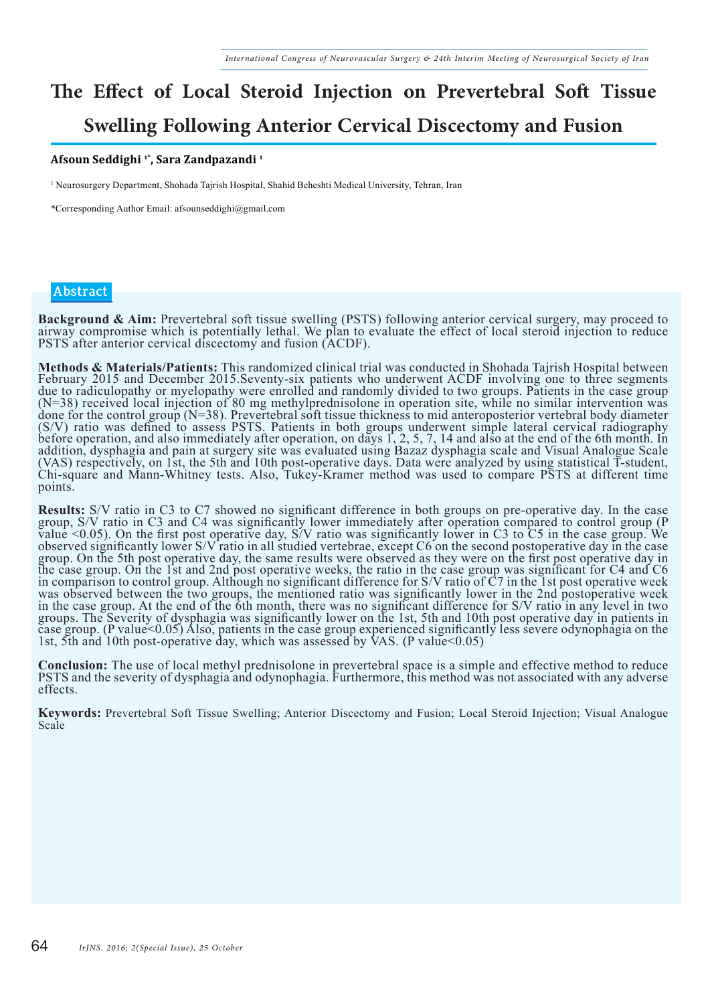# **The Effect of Local Steroid Injection on Prevertebral Soft Tissue Swelling Following Anterior Cervical Discectomy and Fusion**

#### **Afsoun Seddighi 1\*, Sara Zandpazandi 1**

1 Neurosurgery Department, Shohada Tajrish Hospital, Shahid Beheshti Medical University, Tehran, Iran

\*Corresponding Author Email: afsounseddighi@gmail.com

#### **Abstract**

**Background & Aim:** Prevertebral soft tissue swelling (PSTS) following anterior cervical surgery, may proceed to airway compromise which is potentially lethal. We plan to evaluate the effect of local steroid injection to r PSTS after anterior cervical discectomy and fusion (ACDF).

**Methods & Materials/Patients:** This randomized clinical trial was conducted in Shohada Tajrish Hospital between February 2015 and December 2015.Seventy-six patients who underwent ACDF involving one to three segments due to radiculopathy or myelopathy were enrolled and randomly divided to two groups. Patients in the case group (N=38) received local injection of 80 mg methylprednisolone in operation site, while no similar intervention was done for the control group (N=38). Prevertebral soft tissue thickness to mid anteroposterior vertebral body diameter (S/V) ratio was defined to assess PSTS. Patients in both groups underwent simple lateral cervical radiography before operation, and also immediately after operation, on days 1, 2, 5, 7, 14 and also at the end of the 6th month. In addition, dysphagia and pain at surgery site was evaluated using Bazaz dysphagia scale and Visual Analogue Scale (VAS) respectively, on 1st, the 5th and 10th post-operative days. Data were analyzed by using statistical T-student, Chi-square and Mann-Whitney tests. Also, Tukey-Kramer method was used to compare PSTS at different time points.

**Results:** S/V ratio in C3 to C7 showed no significant difference in both groups on pre-operative day. In the case group, S/V ratio in C3 and C4 was significantly lower immediately after operation compared to control group value <0.05). On the first post operative day, S/V ratio was significantly lower in C3 to C5 in the case group. We observed significantly lower S/V ratio in all studied vertebrae, except C6 on the second postoperative day in the case group. On the 5th post operative day, the same results were observed as they were on the first post operative day in the case group. On the 1st and 2nd post operative weeks, the ratio in the case group was significant for C4 and C6 in comparison to control group. Although no significant difference for S/V ratio of C7 in the 1st post operative week was observed between the two groups, the mentioned ratio was significantly lower in the 2nd postoperative week in the case group. At the end of the 6th month, there was no significant difference for S/V ratio in any level in two groups. The Severity of dysphagia was significantly lower on the 1st, 5th and 10th post operative day in patients in case group. (P value<0.05) Also, patients in the case group experienced significantly less severe odynophagia on the 1st, 5th and 10th post-operative day, which was assessed by VAS. (P value<0.05)

**Conclusion:** The use of local methyl prednisolone in prevertebral space is a simple and effective method to reduce PSTS and the severity of dysphagia and odynophagia. Furthermore, this method was not associated with any a effects.

**Keywords:** Prevertebral Soft Tissue Swelling; Anterior Discectomy and Fusion; Local Steroid Injection; Visual Analogue Scale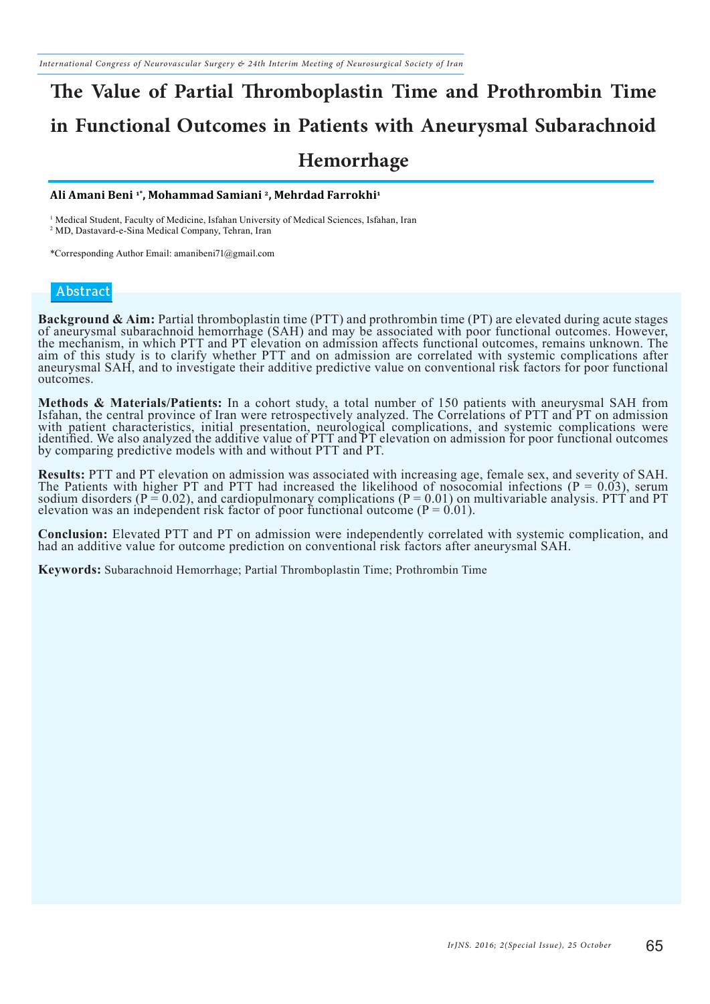# **The Value of Partial Thromboplastin Time and Prothrombin Time in Functional Outcomes in Patients with Aneurysmal Subarachnoid Hemorrhage**

#### **Ali Amani Beni 1\*, Mohammad Samiani 2, Mehrdad Farrokhi1**

1 Medical Student, Faculty of Medicine, Isfahan University of Medical Sciences, Isfahan, Iran 2 MD, Dastavard-e-Sina Medical Company, Tehran, Iran

\*Corresponding Author Email: amanibeni71@gmail.com

#### **Abstract**

**Background & Aim:** Partial thromboplastin time (PTT) and prothrombin time (PT) are elevated during acute stages of aneurysmal subarachnoid hemorrhage (SAH) and may be associated with poor functional outcomes. However, the mechanism, in which PTT and PT elevation on admission affects functional outcomes, remains unknown. The aim of this study is to clarify whether PTT and on admission are correlated with systemic complications after aneurysmal SAH, and to investigate their additive predictive value on conventional risk factors for poor functional outcomes.

**Methods & Materials/Patients:** In a cohort study, a total number of 150 patients with aneurysmal SAH from Isfahan, the central province of Iran were retrospectively analyzed. The Correlations of PTT and PT on admission with patient characteristics, initial presentation, neurological complications, and systemic complications were identified. We also analyzed the additive value of PTT and PT elevation on admission for poor functional outcomes by comparing predictive models with and without PTT and PT.

**Results:** PTT and PT elevation on admission was associated with increasing age, female sex, and severity of SAH.<br>The Patients with higher PT and PTT had increased the likelihood of nosocomial infections ( $P = 0.03$ ), seru sodium disorders ( $P = 0.02$ ), and cardiopulmonary complications ( $P = 0.01$ ) on multivariable analysis. PTT and PT elevation was an independent risk factor of poor functional outcome  $(P = 0.01)$ .

**Conclusion:** Elevated PTT and PT on admission were independently correlated with systemic complication, and had an additive value for outcome prediction on conventional risk factors after aneurysmal SAH.

**Keywords:** Subarachnoid Hemorrhage; Partial Thromboplastin Time; Prothrombin Time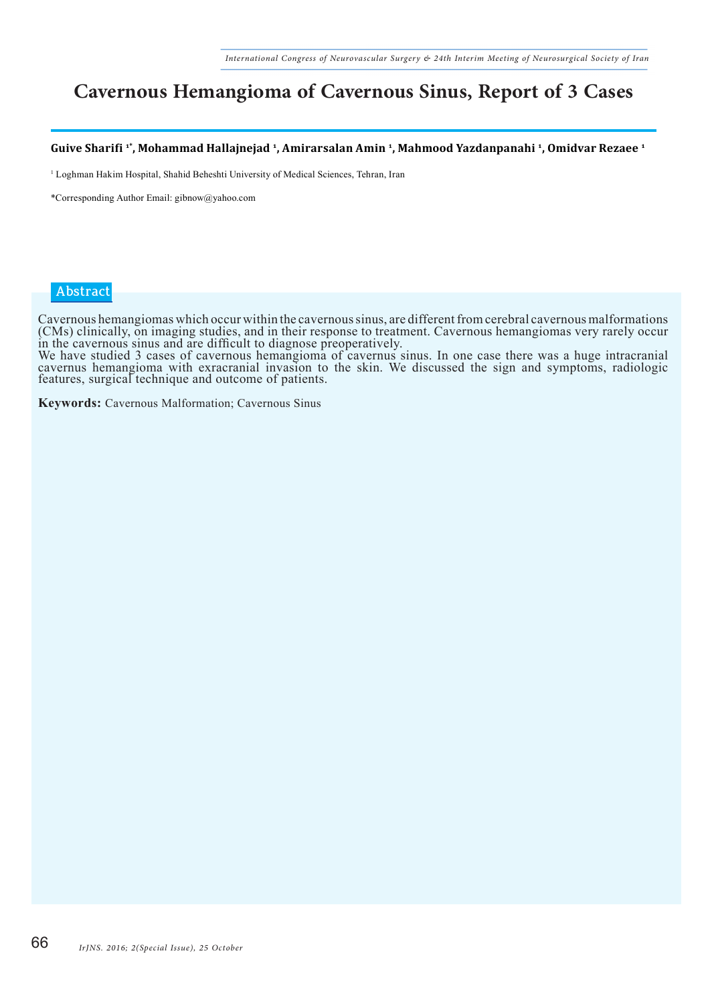### **Cavernous Hemangioma of Cavernous Sinus, Report of 3 Cases**

**Guive Sharifi 1\*, Mohammad Hallajnejad 1, Amirarsalan Amin 1, Mahmood Yazdanpanahi 1, Omidvar Rezaee 1**

<sup>1</sup> Loghman Hakim Hospital, Shahid Beheshti University of Medical Sciences, Tehran, Iran

\*Corresponding Author Email: gibnow@yahoo.com

#### **Abstract**

Cavernous hemangiomas which occur within the cavernous sinus, are different from cerebral cavernous malformations (CMs) clinically, on imaging studies, and in their response to treatment. Cavernous hemangiomas very rarely occur

in the cavernous sinus and are difficult to diagnose preoperatively. We have studied 3 cases of cavernous hemangioma of cavernus sinus. In one case there was a huge intracranial cavernus hemangioma with exracranial invasion to the skin. We discussed the sign and symptoms, radiologic features, surgical technique and outcome of patients.

**Keywords:** Cavernous Malformation; Cavernous Sinus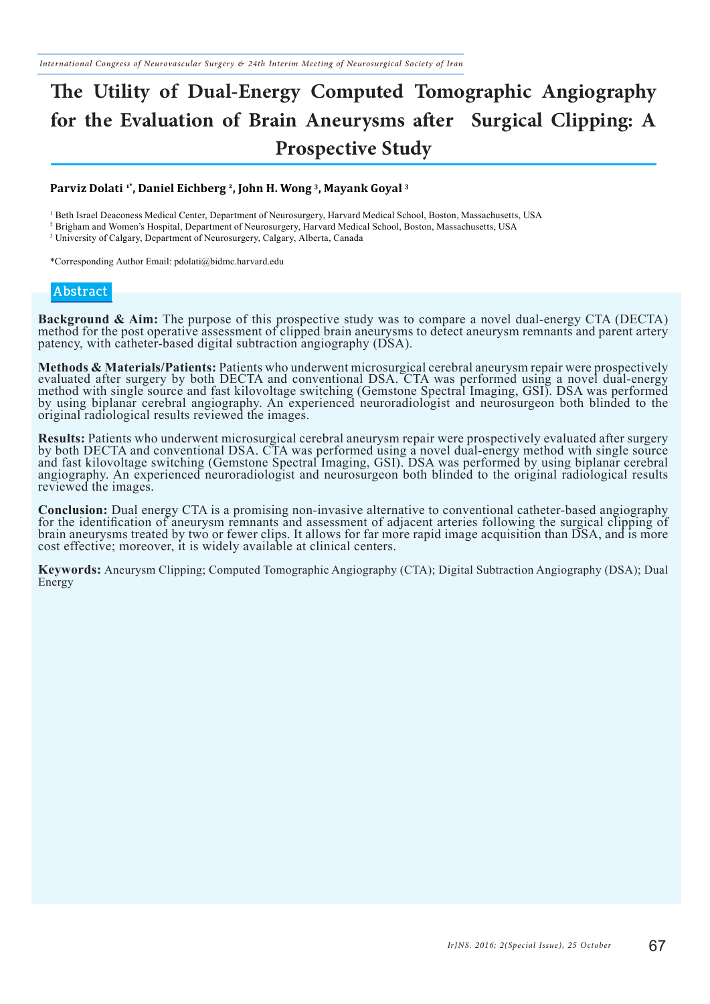# **The Utility of Dual-Energy Computed Tomographic Angiography for the Evaluation of Brain Aneurysms after Surgical Clipping: A Prospective Study**

#### **Parviz Dolati 1\*, Daniel Eichberg 2, John H. Wong 3, Mayank Goyal 3**

<sup>1</sup> Beth Israel Deaconess Medical Center, Department of Neurosurgery, Harvard Medical School, Boston, Massachusetts, USA

2 Brigham and Women's Hospital, Department of Neurosurgery, Harvard Medical School, Boston, Massachusetts, USA

<sup>3</sup> University of Calgary, Department of Neurosurgery, Calgary, Alberta, Canada

\*Corresponding Author Email: pdolati@bidmc.harvard.edu

#### **Abstract**

**Background & Aim:** The purpose of this prospective study was to compare a novel dual-energy CTA (DECTA) method for the post operative assessment of clipped brain aneurysms to detect aneurysm remnants and parent artery patency, with catheter-based digital subtraction angiography (DSA).

**Methods & Materials/Patients:** Patients who underwent microsurgical cerebral aneurysm repair were prospectively evaluated after surgery by both DECTA and conventional DSA. CTA was performed using a novel dual-energy method with single source and fast kilovoltage switching (Gemstone Spectral Imaging, GSI). DSA was performed by using biplanar cerebral angiography. An experienced neuroradiologist and neurosurgeon both blinded to the original radiological results reviewed the images.

Results: Patients who underwent microsurgical cerebral aneurysm repair were prospectively evaluated after surgery<br>by both DECTA and conventional DSA. CTA was performed using a novel dual-energy method with single source and fast kilovoltage switching (Gemstone Spectral Imaging, GSI). DSA was performed by using biplanar cerebral angiography. An experienced neuroradiologist and neurosurgeon both blinded to the original radiological results reviewed the images.

**Conclusion:** Dual energy CTA is a promising non-invasive alternative to conventional catheter-based angiography for the identification of aneurysm remnants and assessment of adjacent arteries following the surgical clippi brain aneurysms treated by two or fewer clips. It allows for far more rapid image acquisition than DSA, and is more cost effective; moreover, it is widely available at clinical centers.

**Keywords:** Aneurysm Clipping; Computed Tomographic Angiography (CTA); Digital Subtraction Angiography (DSA); Dual Energy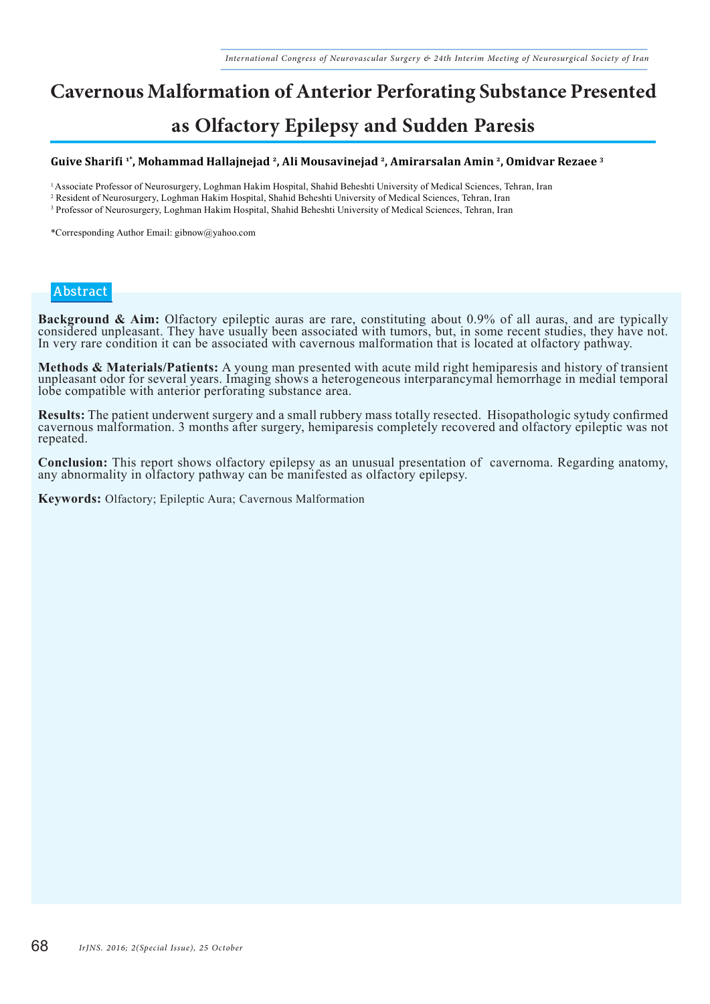### **Cavernous Malformation of Anterior Perforating Substance Presented**

### **as Olfactory Epilepsy and Sudden Paresis**

#### **Guive Sharifi 1\*, Mohammad Hallajnejad 2, Ali Mousavinejad 2, Amirarsalan Amin 2, Omidvar Rezaee 3**

<sup>1</sup>Associate Professor of Neurosurgery, Loghman Hakim Hospital, Shahid Beheshti University of Medical Sciences, Tehran, Iran

- <sup>2</sup> Resident of Neurosurgery, Loghman Hakim Hospital, Shahid Beheshti University of Medical Sciences, Tehran, Iran
- 3 Professor of Neurosurgery, Loghman Hakim Hospital, Shahid Beheshti University of Medical Sciences, Tehran, Iran

\*Corresponding Author Email: gibnow@yahoo.com

#### **Abstract**

**Background & Aim:** Olfactory epileptic auras are rare, constituting about 0.9% of all auras, and are typically considered unpleasant. They have usually been associated with tumors, but, in some recent studies, they have n In very rare condition it can be associated with cavernous malformation that is located at olfactory pathway.

Methods & Materials/Patients: A young man presented with acute mild right hemiparesis and history of transient<br>unpleasant odor for several years. Imaging shows a heterogeneous interparancymal hemorrhage in medial temporal lobe compatible with anterior perforating substance area.

Results: The patient underwent surgery and a small rubbery mass totally resected. Hisopathologic sytudy confirmed cavernous malformation. 3 months after surgery, hemiparesis completely recovered and olfactory epileptic was repeated.

**Conclusion:** This report shows olfactory epilepsy as an unusual presentation of cavernoma. Regarding anatomy, any abnormality in olfactory pathway can be manifested as olfactory epilepsy.

**Keywords:** Olfactory; Epileptic Aura; Cavernous Malformation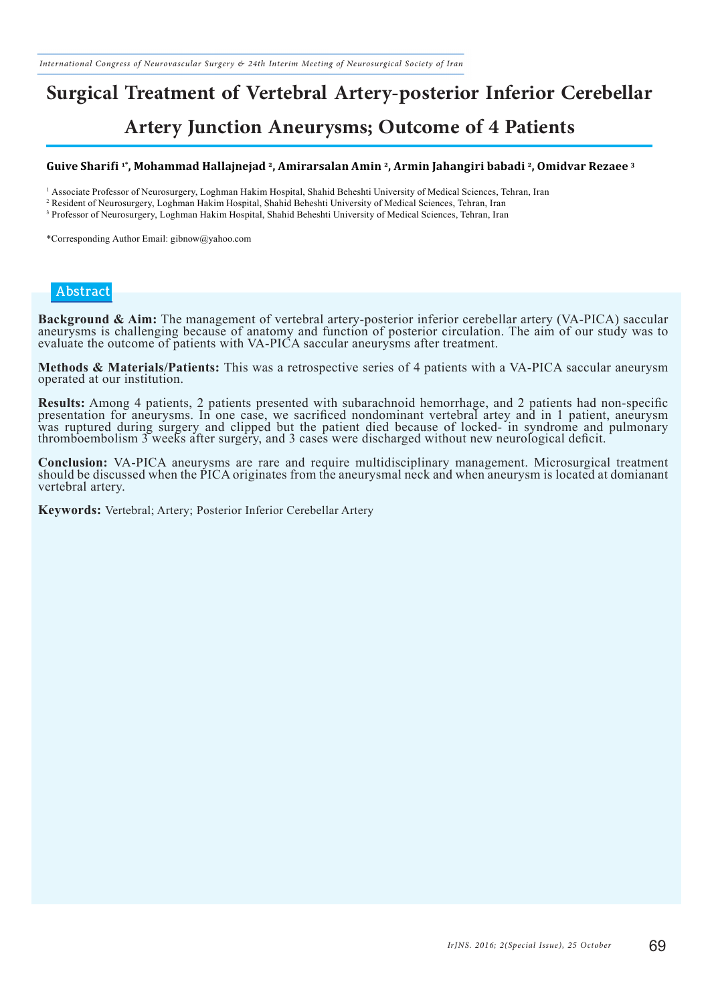# **Surgical Treatment of Vertebral Artery-posterior Inferior Cerebellar**

### **Artery Junction Aneurysms; Outcome of 4 Patients**

#### **Guive Sharifi 1\*, Mohammad Hallajnejad 2, Amirarsalan Amin 2, Armin Jahangiri babadi 2, Omidvar Rezaee 3**

1 Associate Professor of Neurosurgery, Loghman Hakim Hospital, Shahid Beheshti University of Medical Sciences, Tehran, Iran

2 Resident of Neurosurgery, Loghman Hakim Hospital, Shahid Beheshti University of Medical Sciences, Tehran, Iran

3 Professor of Neurosurgery, Loghman Hakim Hospital, Shahid Beheshti University of Medical Sciences, Tehran, Iran

\*Corresponding Author Email: gibnow@yahoo.com

#### **Abstract**

**Background & Aim:** The management of vertebral artery-posterior inferior cerebellar artery (VA-PICA) saccular aneurysms is challenging because of anatomy and function of posterior circulation. The aim of our study was to evaluate the outcome of patients with VA-PICA saccular aneurysms after treatment.

**Methods & Materials/Patients:** This was a retrospective series of 4 patients with a VA-PICA saccular aneurysm operated at our institution.

Results: Among 4 patients, 2 patients presented with subarachnoid hemorrhage, and 2 patients had non-specific<br>presentation for aneurysms. In one case, we sacrificed nondominant vertebral artey and in 1 patient, aneurysm was ruptured during surgery and clipped but the patient died because of locked- in syndrome and pulmonary thromboembolism 3 weeks after surgery, and 3 cases were discharged without new neurological deficit.

**Conclusion:** VA-PICA aneurysms are rare and require multidisciplinary management. Microsurgical treatment should be discussed when the PICA originates from the aneurysmal neck and when aneurysm is located at domianant vertebral artery.

**Keywords:** Vertebral; Artery; Posterior Inferior Cerebellar Artery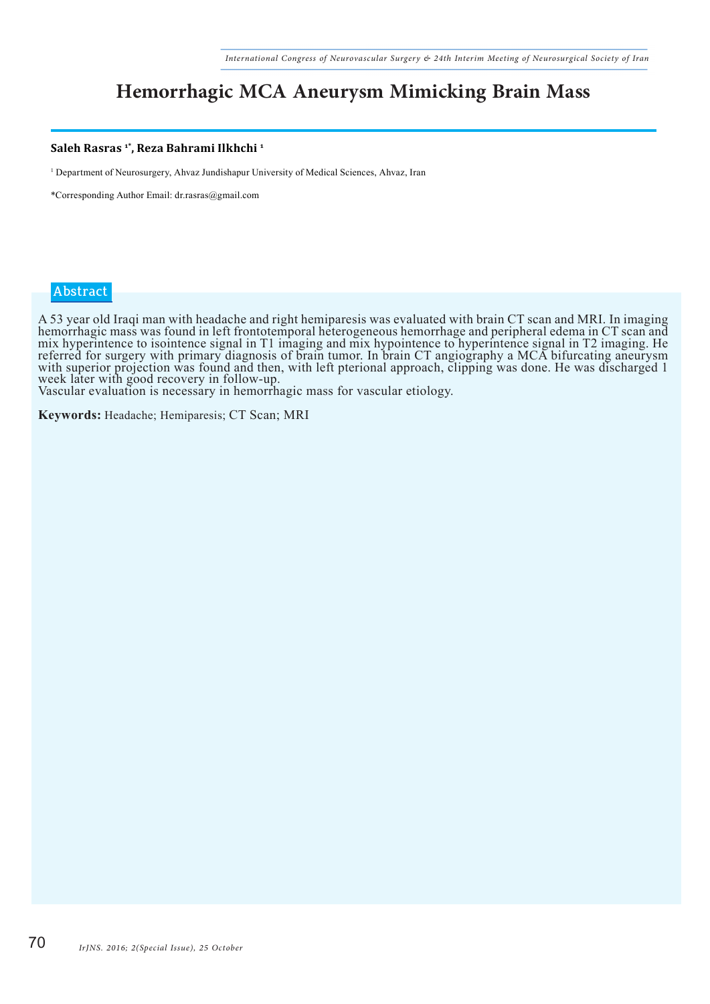### **Hemorrhagic MCA Aneurysm Mimicking Brain Mass**

#### **Saleh Rasras 1\*, Reza Bahrami Ilkhchi 1**

1 Department of Neurosurgery, Ahvaz Jundishapur University of Medical Sciences, Ahvaz, Iran

\*Corresponding Author Email: dr.rasras@gmail.com

#### **Abstract**

A 53 year old Iraqi man with headache and right hemiparesis was evaluated with brain CT scan and MRI. In imaging hemorrhagic mass was found in left frontotemporal heterogeneous hemorrhage and peripheral edema in CT scan and mix hyperintence to isointence signal in T1 imaging and mix hypointence to hyperintence signal in T2 imaging. He referred for surgery with primary diagnosis of brain tumor. In brain CT angiography a MCA bifurcating aneurysm with superior projection was found and then, with left pterional approach, clipping was done. He was discharged 1 week later with good recovery in follow-up.

Vascular evaluation is necessary in hemorrhagic mass for vascular etiology.

**Keywords:** Headache; Hemiparesis; CT Scan; MRI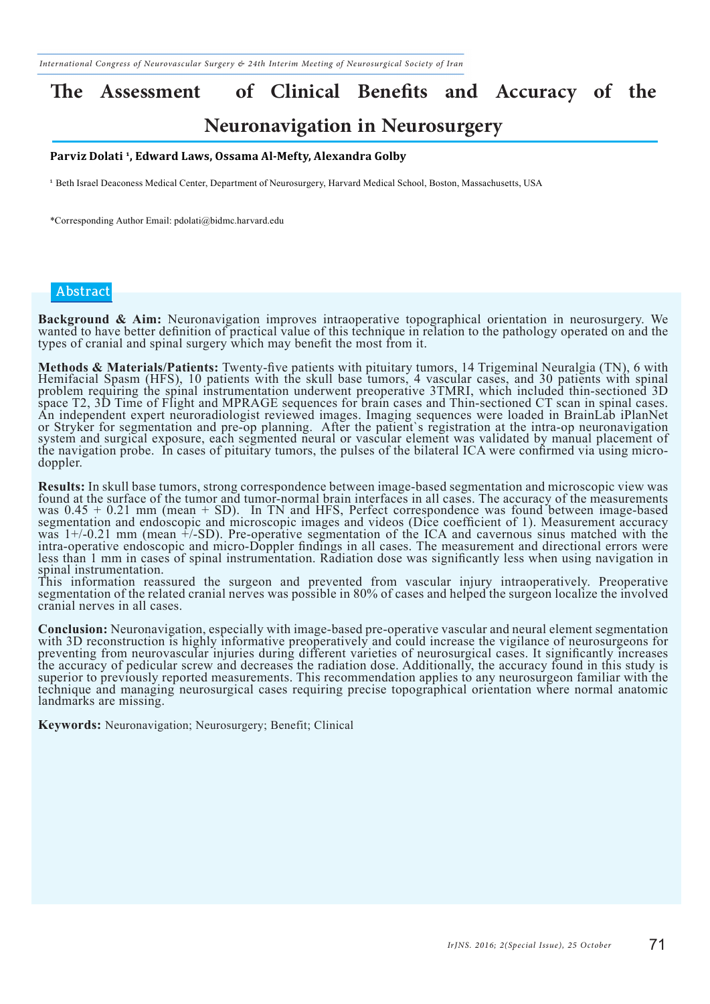# **The Assessment of Clinical Benefits and Accuracy of the**

### **Neuronavigation in Neurosurgery**

#### **Parviz Dolati 1, Edward Laws, Ossama Al-Mefty, Alexandra Golby**

<sup>1</sup> Beth Israel Deaconess Medical Center, Department of Neurosurgery, Harvard Medical School, Boston, Massachusetts, USA

\*Corresponding Author Email: pdolati@bidmc.harvard.edu

#### **Abstract**

**Background & Aim:** Neuronavigation improves intraoperative topographical orientation in neurosurgery. We wanted to have better definition of practical value of this technique in relation to the pathology operated on and t types of cranial and spinal surgery which may benefit the most from it.

Methods & Materials/Patients: Twenty-five patients with pituitary tumors, 14 Trigeminal Neuralgia (TN), 6 with<br>Hemifacial Spasm (HFS), 10 patients with the skull base tumors, 4 vascular cases, and 30 patients with spinal problem requiring the spinal instrumentation underwent preoperative 3TMRI, which included thin-sectioned 3D space T2, 3D Time of Flight and MPRAGE sequences for brain cases and Thin-sectioned CT scan in spinal cases. An independent expert neuroradiologist reviewed images. Imaging sequences were loaded in BrainLab iPlanNet or Stryker for segmentation and pre-op planning. After the patient`s registration at the intra-op neuronavigation system and surgical exposure, each segmented neural or vascular element was validated by manual placement of the navigation probe. In cases of pituitary tumors, the pulses of the bilateral ICA were confirmed via using microdoppler.

**Results:** In skull base tumors, strong correspondence between image-based segmentation and microscopic view was found at the surface of the tumor and tumor-normal brain interfaces in all cases. The accuracy of the measure was  $0.45 + 0.21$  mm (mean + SD). In TN and HFS, Perfect correspondence was found between image-based segmentation and endoscopic and microscopic images and videos (Dice coefficient of 1). Measurement accuracy was  $1+/-0.21$  mm (mean  $\hat{+}-SD$ ). Pre-operative segmentation of the ICA and cavernous sinus matched with the intra-operative endoscopic and micro-Doppler findings in all cases. The measurement and directional errors were less than 1 mm in cases of spinal instrumentation. Radiation dose was significantly less when using navigation in spinal instrumentation.

This information reassured the surgeon and prevented from vascular injury intraoperatively. Preoperative segmentation of the related cranial nerves was possible in 80% of cases and helped the surgeon localize the involved cranial nerves in all cases.

Conclusion: Neuronavigation, especially with image-based pre-operative vascular and neural element segmentation<br>with 3D reconstruction is highly informative preoperatively and could increase the vigilance of neurosurgeons preventing from neurovascular injuries during different varieties of neurosurgical cases. It significantly increases the accuracy of pedicular screw and decreases the radiation dose. Additionally, the accuracy found in this study is superior to previously reported measurements. This recommendation applies to any neurosurgeon familiar with the technique and managing neurosurgical cases requiring precise topographical orientation where normal anatomic landmarks are missing.

**Keywords:** Neuronavigation; Neurosurgery; Benefit; Clinical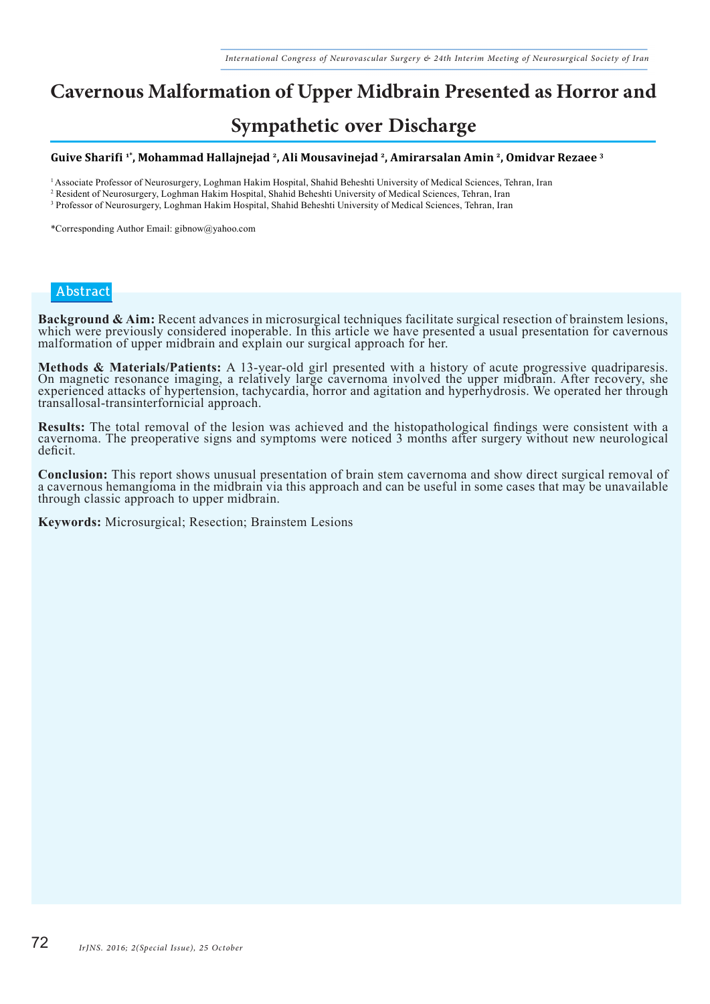### **Cavernous Malformation of Upper Midbrain Presented as Horrorand**

### **Sympathetic over Discharge**

#### **Guive Sharifi 1\*, Mohammad Hallajnejad 2, Ali Mousavinejad 2, Amirarsalan Amin 2, Omidvar Rezaee 3**

<sup>1</sup>Associate Professor of Neurosurgery, Loghman Hakim Hospital, Shahid Beheshti University of Medical Sciences, Tehran, Iran

2 Resident of Neurosurgery, Loghman Hakim Hospital, Shahid Beheshti University of Medical Sciences, Tehran, Iran

3 Professor of Neurosurgery, Loghman Hakim Hospital, Shahid Beheshti University of Medical Sciences, Tehran, Iran

\*Corresponding Author Email: gibnow@yahoo.com

#### **Abstract**

Background & Aim: Recent advances in microsurgical techniques facilitate surgical resection of brainstem lesions, which were previously considered inoperable. In this article we have presented a usual presentation for cave malformation of upper midbrain and explain our surgical approach for her.

Methods & Materials/Patients: A 13-year-old girl presented with a history of acute progressive quadriparesis.<br>On magnetic resonance imaging, a relatively large cavernoma involved the upper midbrain. After recovery, she experienced attacks of hypertension, tachycardia, horror and agitation and hyperhydrosis. We operated her through transallosal-transinterfornicial approach.

**Results:** The total removal of the lesion was achieved and the histopathological findings were consistent with a cavernoma. The preoperative signs and symptoms were noticed 3 months after surgery without new neurological deficit.

**Conclusion:** This report shows unusual presentation of brain stem cavernoma and show direct surgical removal of a cavernous hemangioma in the midbrain via this approach and can be useful in some cases that may be unavaila through classic approach to upper midbrain.

**Keywords:** Microsurgical; Resection; Brainstem Lesions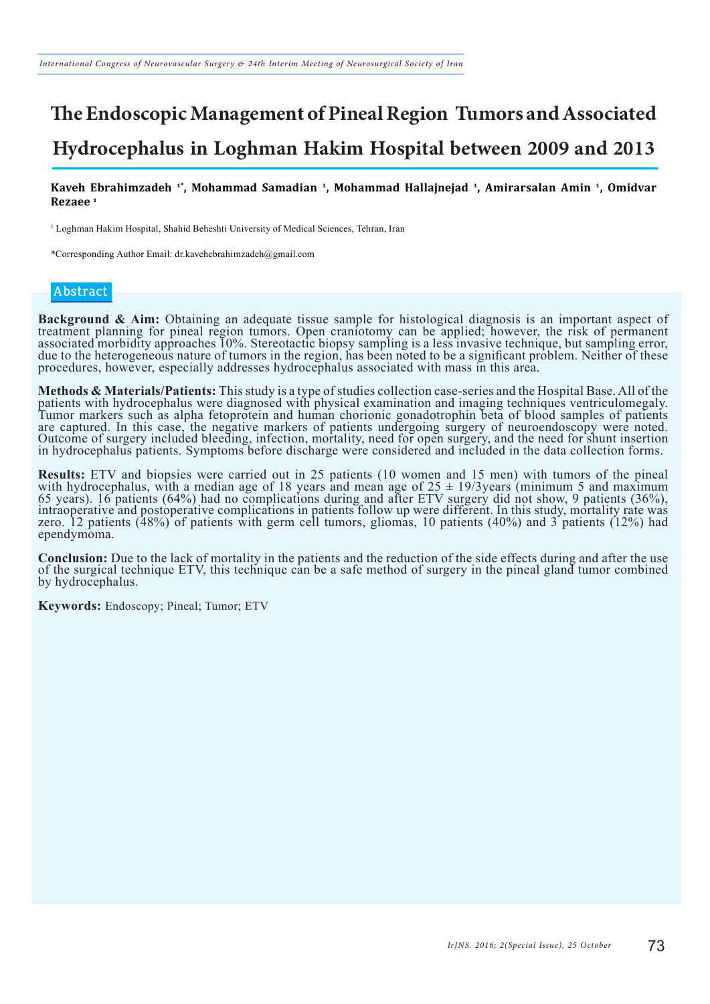### **The Endoscopic Management of Pineal Region Tumors and Associated Hydrocephalus in Loghman Hakim Hospital between 2009 and 2013**

**Kaveh Ebrahimzadeh 1\*, Mohammad Samadian 1, Mohammad Hallajnejad 1, Amirarsalan Amin 1, Omidvar Rezaee 1**

1 Loghman Hakim Hospital, Shahid Beheshti University of Medical Sciences, Tehran, Iran

\*Corresponding Author Email: dr.kavehebrahimzadeh@gmail.com

#### **Abstract**

**Background & Aim:** Obtaining an adequate tissue sample for histological diagnosis is an important aspect of treatment planning for pineal region tumors. Open craniotomy can be applied; however, the risk of permanent associated morbidity approaches 10%. Stereotactic biopsy sampling is a less invasive technique, but sampling error, due to the heterogeneous nature of tumors in the region, has been noted to be a significant problem. Neither of these procedures, however, especially addresses hydrocephalus associated with mass in this area.

Methods & Materials/Patients: This study is a type of studies collection case-series and the Hospital Base. All of the patients with hydrocephalus were diagnosed with physical examination and imaging techniques ventriculom Tumor markers such as alpha fetoprotein and human chorionic gonadotrophin beta of blood samples of patients are captured. In this case, the negative markers of patients undergoing surgery of neuroendoscopy were noted. Outcome of surgery included bleeding, infection, mortality, need for open surgery, and the need for shunt insertion in hydrocephalus patients. Symptoms before discharge were considered and included in the data collection forms.

**Results:** ETV and biopsies were carried out in 25 patients (10 women and 15 men) with tumors of the pineal with hydrocephalus, with a median age of 18 years and mean age of 25  $\pm$  19/3years (minimum 5 and maximum 65 years). 16 patients (64%) had no complications during and after ETV surgery did not show, 9 patients (36%), intraoperative and postoperative complications in patients follow up were different. In this study, mortality rate was zero. 12 patients (48%) of patients with germ cell tumors, gliomas, 10 patients (40%) and 3 patients (12%) had ependymoma.

**Conclusion:** Due to the lack of mortality in the patients and the reduction of the side effects during and after the use of the surgical technique ETV, this technique can be a safe method of surgery in the pineal gland tu by hydrocephalus.

**Keywords:** Endoscopy; Pineal; Tumor; ETV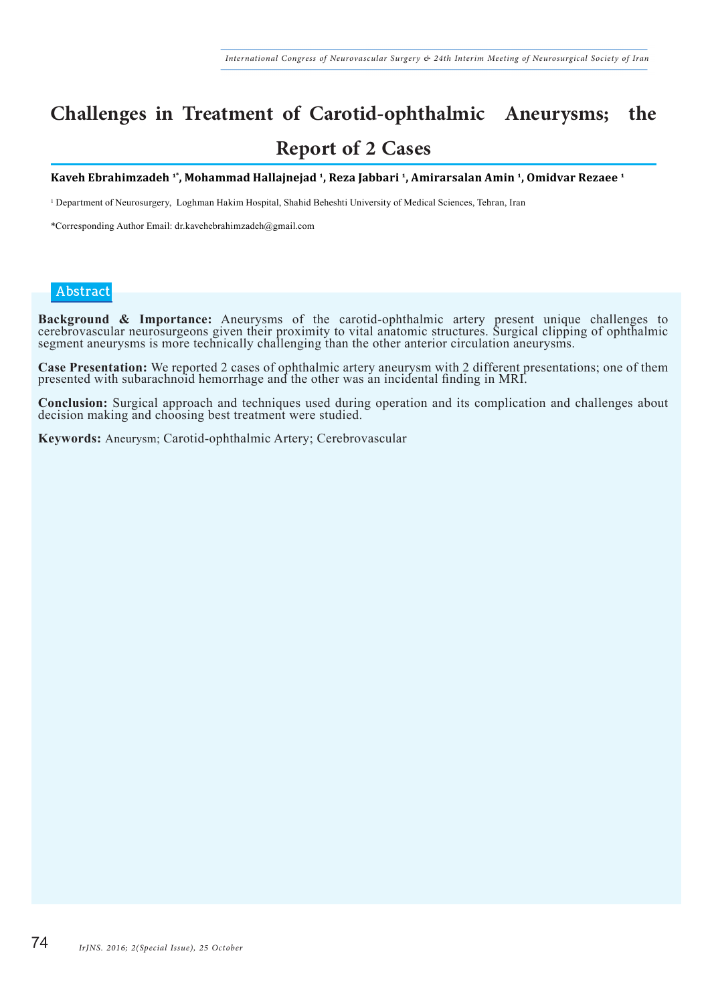### **Challenges in Treatment of Carotid-ophthalmic Aneurysms; the Report of 2 Cases**

**Kaveh Ebrahimzadeh 1\*, Mohammad Hallajnejad 1, Reza Jabbari 1, Amirarsalan Amin 1, Omidvar Rezaee 1**

1 Department of Neurosurgery, Loghman Hakim Hospital, Shahid Beheshti University of Medical Sciences, Tehran, Iran

\*Corresponding Author Email: dr.kavehebrahimzadeh@gmail.com

#### **Abstract**

**Background & Importance:** Aneurysms of the carotid-ophthalmic artery present unique challenges to cerebrovascular neurosurgeons given their proximity to vital anatomic structures. Surgical clipping of ophthalmic segment aneurysms is more technically challenging than the other anterior circulation aneurysms.

**Case Presentation:** We reported 2 cases of ophthalmic artery aneurysm with 2 different presentations; one of them presented with subarachnoid hemorrhage and the other was an incidental finding in MRI.

**Conclusion:** Surgical approach and techniques used during operation and its complication and challenges about decision making and choosing best treatment were studied.

**Keywords:** Aneurysm; Carotid-ophthalmic Artery; Cerebrovascular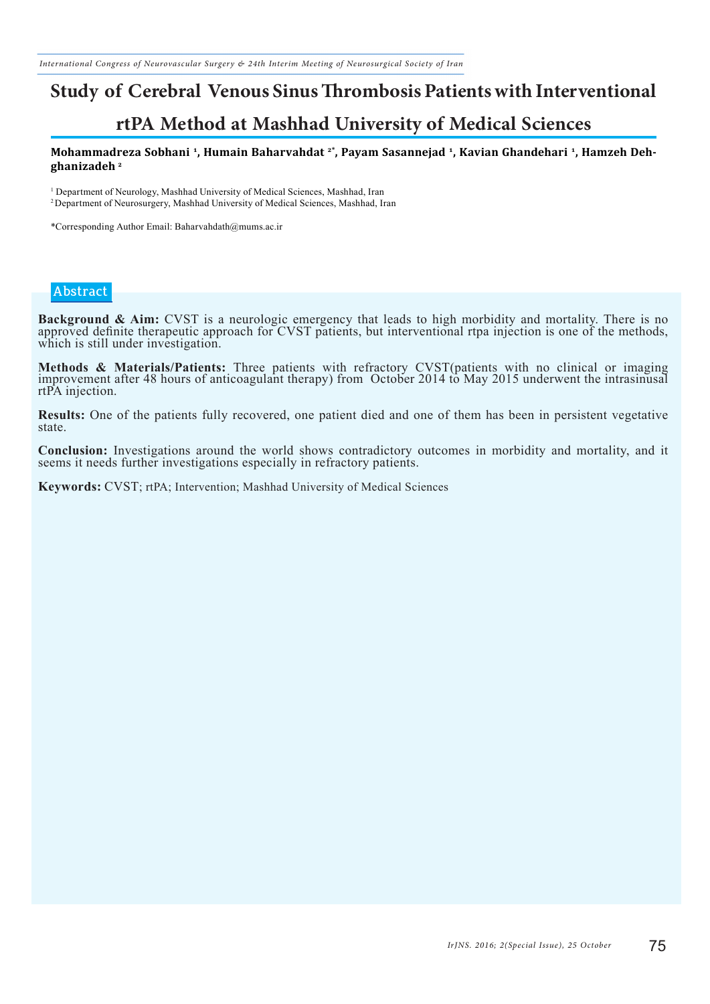# **Study of Cerebral Venous Sinus Thrombosis Patients with Interventional**

### **rtPA Method at Mashhad University of Medical Sciences**

#### **Mohammadreza Sobhani 1, Humain Baharvahdat 2\*, Payam Sasannejad 1, Kavian Ghandehari 1, Hamzeh Dehghanizadeh 2**

<sup>1</sup> Department of Neurology, Mashhad University of Medical Sciences, Mashhad, Iran <sup>2</sup> Department of Neurosurgery, Mashhad University of Medical Sciences, Mashhad, Iran

\*Corresponding Author Email: Baharvahdath@mums.ac.ir

#### **Abstract**

**Background & Aim:** CVST is a neurologic emergency that leads to high morbidity and mortality. There is no approved definite therapeutic approach for CVST patients, but interventional rtpa injection is one of the methods, which is still under investigation.

**Methods & Materials/Patients:** Three patients with refractory CVST(patients with no clinical or imaging improvement after 48 hours of anticoagulant therapy) from October 2014 to May 2015 underwent the intrasinusal rtPA injection.

**Results:** One of the patients fully recovered, one patient died and one of them has been in persistent vegetative state.

**Conclusion:** Investigations around the world shows contradictory outcomes in morbidity and mortality, and it seems it needs further investigations especially in refractory patients.

**Keywords:** CVST; rtPA; Intervention; Mashhad University of Medical Sciences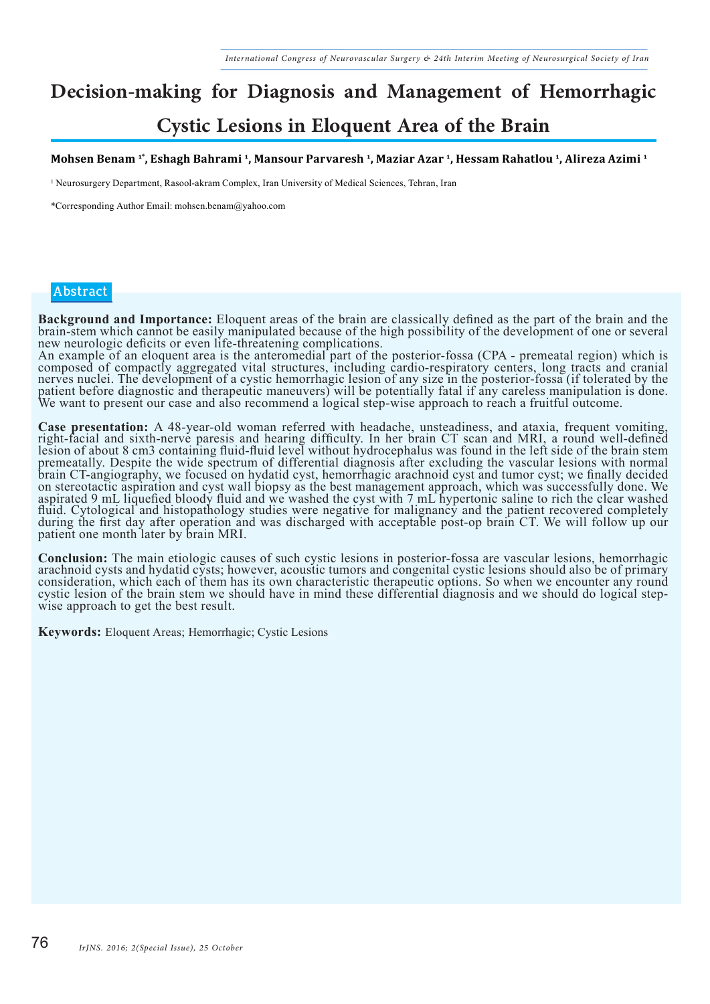### **Decision-making for Diagnosis and Management of Hemorrhagic Cystic Lesions in Eloquent Area of the Brain**

#### **Mohsen Benam 1\*, Eshagh Bahrami 1, Mansour Parvaresh 1, Maziar Azar 1, Hessam Rahatlou 1, Alireza Azimi 1**

1 Neurosurgery Department, Rasool-akram Complex, Iran University of Medical Sciences, Tehran, Iran

\*Corresponding Author Email: mohsen.benam@yahoo.com

#### **Abstract**

**Background and Importance:** Eloquent areas of the brain are classically defined as the part of the brain and the brain-stem which cannot be easily manipulated because of the high possibility of the development of one or s new neurologic deficits or even life-threatening complications.

An example of an eloquent area is the anteromedial part of the posterior-fossa (CPA - premeatal region) which is composed of compactly aggregated vital structures, including cardio-respiratory centers, long tracts and cranial nerves nuclei. The development of a cystic hemorrhagic lesion of any size in the posterior-fossa (if tolerated by the patient before diagnostic and therapeutic maneuvers) will be potentially fatal if any careless manipulation is done. We want to present our case and also recommend a logical step-wise approach to reach a fruitful outcome.

Case presentation: A 48-year-old woman referred with headache, unsteadiness, and ataxia, frequent vomiting, right-facial and sixth-nerve paresis and hearing difficulty. In her brain CT scan and MRI, a round well-defined lesion of about 8 cm3 containing fluid-fluid level without hydrocephalus was found in the left side of the brain stem premeatally. Despite the wide spectrum of differential diagnosis after excluding the vascular lesions with normal brain CT-angiography, we focused on hydatid cyst, hemorrhagic arachnoid cyst and tumor cyst; we finally decided on stereotactic aspiration and cyst wall biopsy as the best management approach, which was successfully done. We aspirated 9 mL liquefied bloody fluid and we washed the cyst with 7 mL hypertonic saline to rich the clear washed fluid. Cytological and histopathology studies were negative for malignancy and the patient recovered completely during the first day after operation and was discharged with acceptable post-op brain CT. We will follow up our patient one month later by brain MRI.

**Conclusion:** The main etiologic causes of such cystic lesions in posterior-fossa are vascular lesions, hemorrhagic arachnoid cysts and hydatid cysts; however, acoustic tumors and congenital cystic lesions should also be o consideration, which each of them has its own characteristic therapeutic options. So when we encounter any round<br>cystic lesion of the brain stem we should have in mind these differential diagnosis and we should do logical wise approach to get the best result.

**Keywords:** Eloquent Areas; Hemorrhagic; Cystic Lesions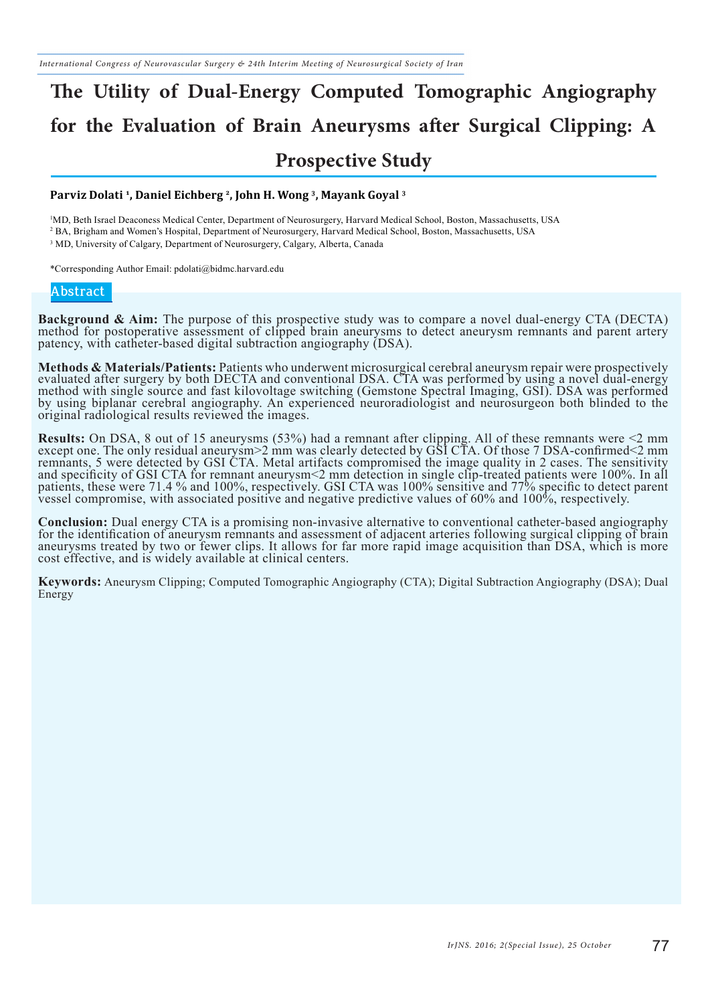## **The Utility of Dual-Energy Computed Tomographic Angiography for the Evaluation of Brain Aneurysms after Surgical Clipping: A Prospective Study**

#### **Parviz Dolati 1, Daniel Eichberg 2, John H. Wong 3, Mayank Goyal 3**

1 MD, Beth Israel Deaconess Medical Center, Department of Neurosurgery, Harvard Medical School, Boston, Massachusetts, USA 2 BA, Brigham and Women's Hospital, Department of Neurosurgery, Harvard Medical School, Boston, Massachusetts, USA <sup>3</sup> MD, University of Calgary, Department of Neurosurgery, Calgary, Alberta, Canada

\*Corresponding Author Email: pdolati@bidmc.harvard.edu

#### **Abstract**

**Background & Aim:** The purpose of this prospective study was to compare a novel dual-energy CTA (DECTA) method for postoperative assessment of clipped brain aneurysms to detect aneurysm remnants and parent artery patency, with catheter-based digital subtraction angiography (DSA).

**Methods & Materials/Patients:** Patients who underwent microsurgical cerebral aneurysm repair were prospectively<br>evaluated after surgery by both DECTA and conventional DSA. CTA was performed by using a novel dual-energy method with single source and fast kilovoltage switching (Gemstone Spectral Imaging, GSI). DSA was performed by using biplanar cerebral angiography. An experienced neuroradiologist and neurosurgeon both blinded to the original radiological results reviewed the images.

**Results:** On DSA, 8 out of 15 aneurysms (53%) had a remnant after clipping. All of these remnants were <2 mm except one. The only residual aneurysm>2 mm was clearly detected by GSI CTA. Of those 7 DSA-confirmed<2 mm remnants, 5 were detected by GSI CTA. Metal artifacts compromised the image quality in 2 cases. The sensitivity and specificity of GSI CTA for remnant aneurysm<2 mm detection in single clip-treated patients were 100%. In all patients, these were 71.4 % and 100%, respectively. GSI CTA was 100% sensitive and 77% specific to detect parent vessel compromise, with associated positive and negative predictive values of 60% and 100%, respectively.

**Conclusion:** Dual energy CTA is a promising non-invasive alternative to conventional catheter-based angiography for the identification of aneurysm remnants and assessment of adjacent arteries following surgical clipping o aneurysms treated by two or fewer clips. It allows for far more rapid image acquisition than DSA, which is more cost effective, and is widely available at clinical centers.

**Keywords:** Aneurysm Clipping; Computed Tomographic Angiography (CTA); Digital Subtraction Angiography (DSA); Dual Energy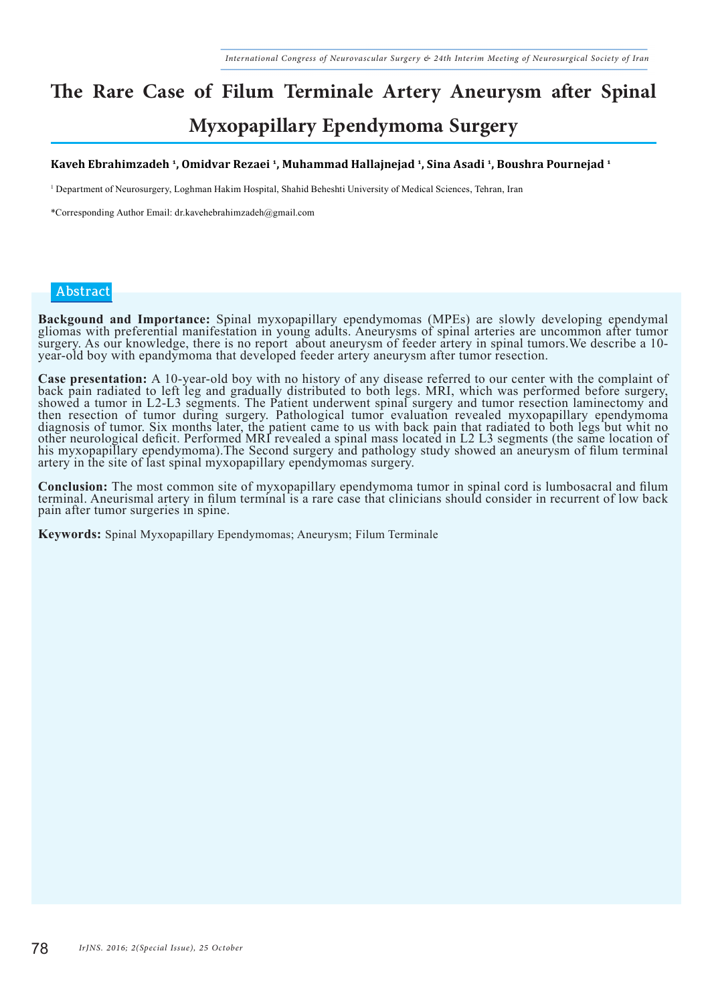### **The Rare Case of Filum Terminale Artery Aneurysm after Spinal Myxopapillary Ependymoma Surgery**

#### **Kaveh Ebrahimzadeh 1, Omidvar Rezaei 1, Muhammad Hallajnejad 1, Sina Asadi 1, Boushra Pournejad 1**

1 Department of Neurosurgery, Loghman Hakim Hospital, Shahid Beheshti University of Medical Sciences, Tehran, Iran

\*Corresponding Author Email: dr.kavehebrahimzadeh@gmail.com

#### **Abstract**

**Backgound and Importance:** Spinal myxopapillary ependymomas (MPEs) are slowly developing ependymal gliomas with preferential manifestation in young adults. Aneurysms of spinal arteries are uncommon after tumor surgery. As our knowledge, there is no report about aneurysm of feeder artery in spinal tumors.We describe a 10 year-old boy with epandymoma that developed feeder artery aneurysm after tumor resection.

**Case presentation:** A 10-year-old boy with no history of any disease referred to our center with the complaint of back pain radiated to left leg and gradually distributed to both legs. MRI, which was performed before surg showed a tumor in L2-L3 segments. The Patient underwent spinal surgery and tumor resection laminectomy and then resection of tumor during surgery. Pathological tumor evaluation revealed myxopapillary ependymoma diagnosis of tumor. Six months later, the patient came to us with back pain that radiated to both legs but whit no other neurological deficit. Performed MRI revealed a spinal mass located in L2 L3 segments (the same location of his myxopapillary ependymoma).The Second surgery and pathology study showed an aneurysm of filum terminal artery in the site of last spinal myxopapillary ependymomas surgery.

**Conclusion:** The most common site of myxopapillary ependymoma tumor in spinal cord is lumbosacral and filum<br>terminal. Aneurismal artery in filum terminal is a rare case that clinicians should consider in recurrent of low pain after tumor surgeries in spine.

**Keywords:** Spinal Myxopapillary Ependymomas; Aneurysm; Filum Terminale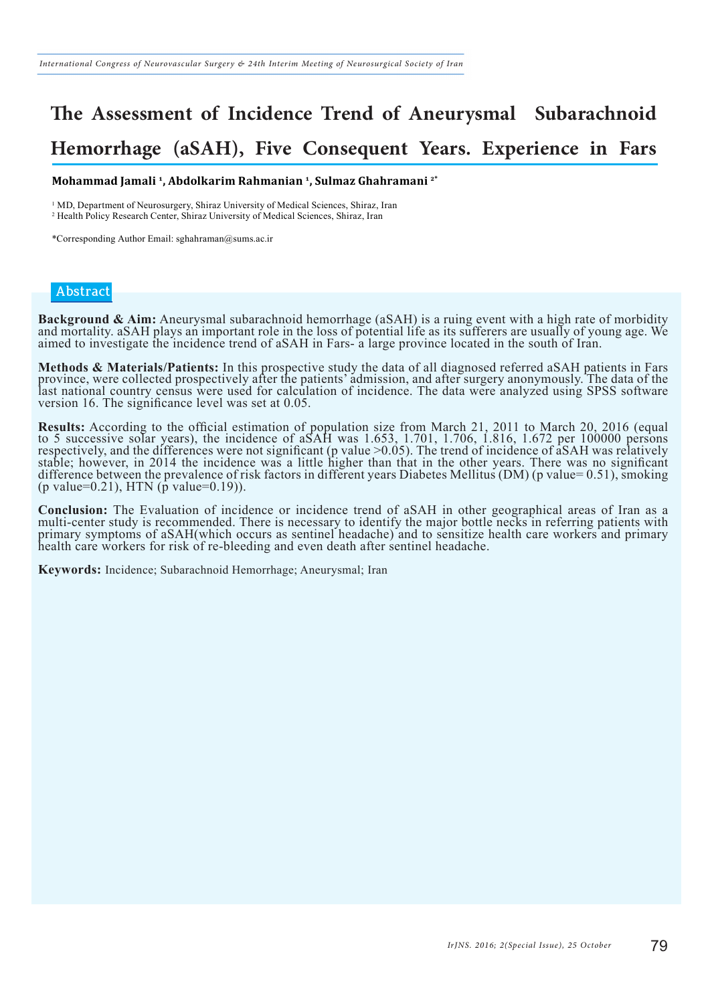### **The Assessment of Incidence Trend of Aneurysmal Subarachnoid Hemorrhage (aSAH), Five Consequent Years. Experience in Fars**

**Mohammad Jamali 1, Abdolkarim Rahmanian 1, Sulmaz Ghahramani 2\***

<sup>1</sup> MD, Department of Neurosurgery, Shiraz University of Medical Sciences, Shiraz, Iran

2 Health Policy Research Center, Shiraz University of Medical Sciences, Shiraz, Iran

\*Corresponding Author Email: sghahraman@sums.ac.ir

#### **Abstract**

**Background & Aim:** Aneurysmal subarachnoid hemorrhage (aSAH) is a ruing event with a high rate of morbidity and mortality. aSAH plays an important role in the loss of potential life as its sufferers are usually of young a aimed to investigate the incidence trend of aSAH in Fars- a large province located in the south of Iran.

Methods & Materials/Patients: In this prospective study the data of all diagnosed referred aSAH patients in Fars<br>province, were collected prospectively after the patients' admission, and after surgery anonymously. The data last national country census were used for calculation of incidence. The data were analyzed using SPSS software version 16. The significance level was set at 0.05.

**Results:** According to the official estimation of population size from March 21, 2011 to March 20, 2016 (equal to 5 successive solar years), the incidence of aSAH was 1.653, 1.701, 1.706, 1.816, 1.672 per 100000 persons respectively, and the differences were not significant (p value >0.05). The trend of incidence of aSAH was relatively stable; however, in 2014 the incidence was a little higher than that in the other years. There was no significant difference between the prevalence of risk factors in different years Diabetes Mellitus (DM) (p value= 0.51), smoking  $(p \text{ value}=0.21)$ , HTN  $(\bar{p} \text{ value}=0.19)$ ).

**Conclusion:** The Evaluation of incidence or incidence trend of aSAH in other geographical areas of Iran as a multi-center study is recommended. There is necessary to identify the major bottle necks in referring patients w primary symptoms of aSAH(which occurs as sentinel headache) and to sensitize health care workers and primary health care workers for risk of re-bleeding and even death after sentinel headache.

**Keywords:** Incidence; Subarachnoid Hemorrhage; Aneurysmal; Iran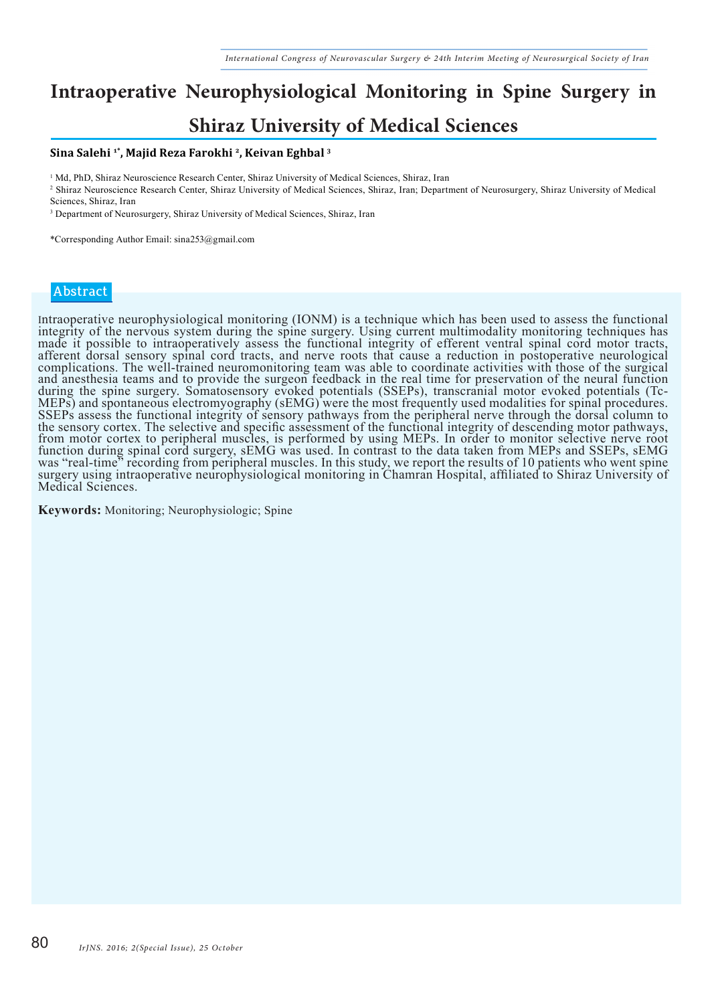### **Intraoperative Neurophysiological Monitoring in Spine Surgery in Shiraz University of Medical Sciences**

#### **Sina Salehi 1\*, Majid Reza Farokhi 2, Keivan Eghbal 3**

<sup>1</sup> Md, PhD, Shiraz Neuroscience Research Center, Shiraz University of Medical Sciences, Shiraz, Iran

2 Shiraz Neuroscience Research Center, Shiraz University of Medical Sciences, Shiraz, Iran; Department of Neurosurgery, Shiraz University of Medical Sciences, Shiraz, Iran

<sup>3</sup> Department of Neurosurgery, Shiraz University of Medical Sciences, Shiraz, Iran

\*Corresponding Author Email: sina253@gmail.com

#### **Abstract**

Intraoperative neurophysiological monitoring (IONM) is a technique which has been used to assess the functional integrity of the nervous system during the spine surgery. Using current multimodality monitoring techniques has made it possible to intraoperatively assess the functional integrity of efferent ventral spinal cord motor tracts, afferent dorsal sensory spinal cord tracts, and nerve roots that cause a reduction in postoperative neurological complications. The well-trained neuromonitoring team was able to coordinate activities with those of the surgical and anesthesia teams and to provide the surgeon feedback in the real time for preservation of the neural function during the spine surgery. Somatosensory evoked potentials (SSEPs), transcranial motor evoked potentials (Tc-MEPs) and spontaneous electromyography (sEMG) were the most frequently used modalities for spinal procedures. SSEPs assess the functional integrity of sensory pathways from the peripheral nerve through the dorsal column to the sensory cortex. The selective and specific assessment of the functional integrity of descending motor pathways, from motor cortex to peripheral muscles, is performed by using MEPs. In order to monitor selective nerve root function during spinal cord surgery, sEMG was used. In contrast to the data taken from MEPs and SSEPs, sEMG was "real-time" recording from peripheral muscles. In this study, we report the results of 10 patients who went spine surgery using intraoperative neurophysiological monitoring in Chamran Hospital, affiliated to Shiraz University of Medical Sciences.

**Keywords:** Monitoring; Neurophysiologic; Spine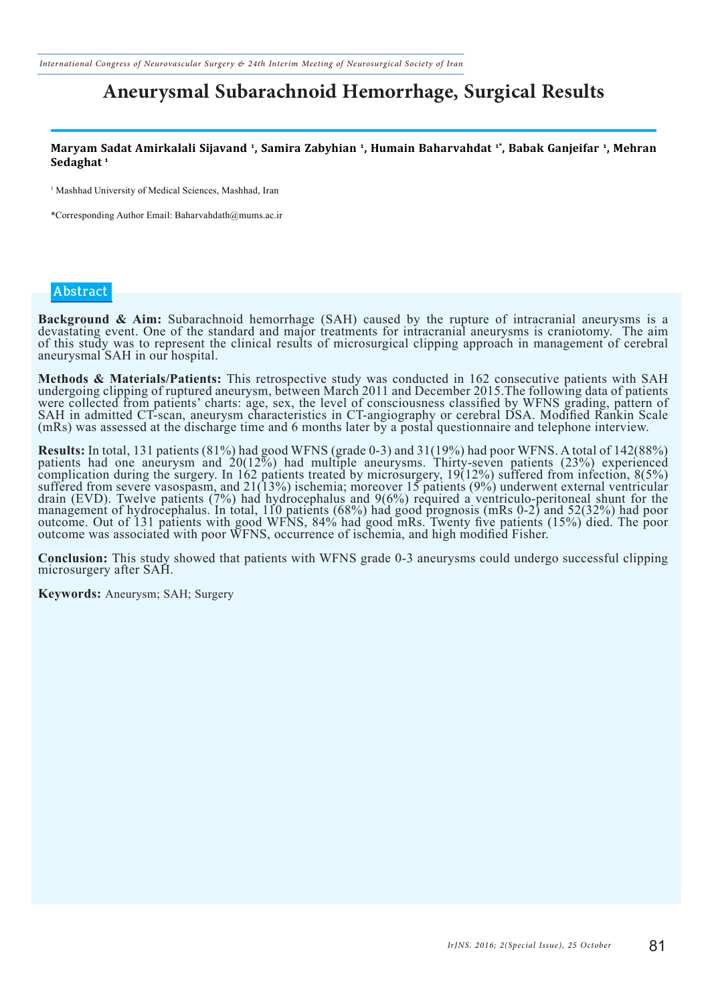*International Congress of Neurovascular Surgery & 24th Interim Meeting of Neurosurgical Society of Iran*

### **Aneurysmal Subarachnoid Hemorrhage, Surgical Results**

**Maryam Sadat Amirkalali Sijavand 1, Samira Zabyhian 1, Humain Baharvahdat 1\*, Babak Ganjeifar 1, Mehran Sedaghat 1**

<sup>1</sup> Mashhad University of Medical Sciences, Mashhad, Iran

\*Corresponding Author Email: Baharvahdath@mums.ac.ir

#### **Abstract**

**Background & Aim:** Subarachnoid hemorrhage (SAH) caused by the rupture of intracranial aneurysms is a devastating event. One of the standard and major treatments for intracranial aneurysms is craniotomy. The aim of this study was to represent the clinical results of microsurgical clipping approach in management of cerebral aneurysmal SAH in our hospital.

**Methods & Materials/Patients:** This retrospective study was conducted in 162 consecutive patients with SAH undergoing clipping of ruptured aneurysm, between March 2011 and December 2015.The following data of patients were collected from patients' charts: age, sex, the level of consciousness classified by WFNS grading, pattern of SAH in admitted CT-scan, aneurysm characteristics in CT-angiography or cerebral DSA. Modified Rankin Scale (mRs) was assessed at the discharge time and 6 months later by a postal questionnaire and telephone interview.

**Results:** In total, 131 patients (81%) had good WFNS (grade 0-3) and 31(19%) had poor WFNS. A total of 142(88%) patients had one aneurysm and 20(12%) had multiple aneurysms. Thirty-seven patients (23%) experienced complication during the surgery. In 162 patients treated by microsurgery, 19(12%) suffered from infection, 8(5%) suffered from severe vasospasm, and 21(13%) ischemia; moreover 15 patients (9%) underwent external ventricular drain (EVD). Twelve patients (7%) had hydrocephalus and 9(6%) required a ventriculo-peritoneal shunt for the management of hydrocephalus. In total, 110 patients (68%) had good prognosis (mRs 0-2) and 52(32%) had poor outcome. Out of 131 patients with good WFNS, 84% had good mRs. Twenty five patients (15%) died. The poor outcome was associated with poor WFNS, occurrence of ischemia, and high modified Fisher.

**Conclusion:** This study showed that patients with WFNS grade 0-3 aneurysms could undergo successful clipping microsurgery after SAH.

**Keywords:** Aneurysm; SAH; Surgery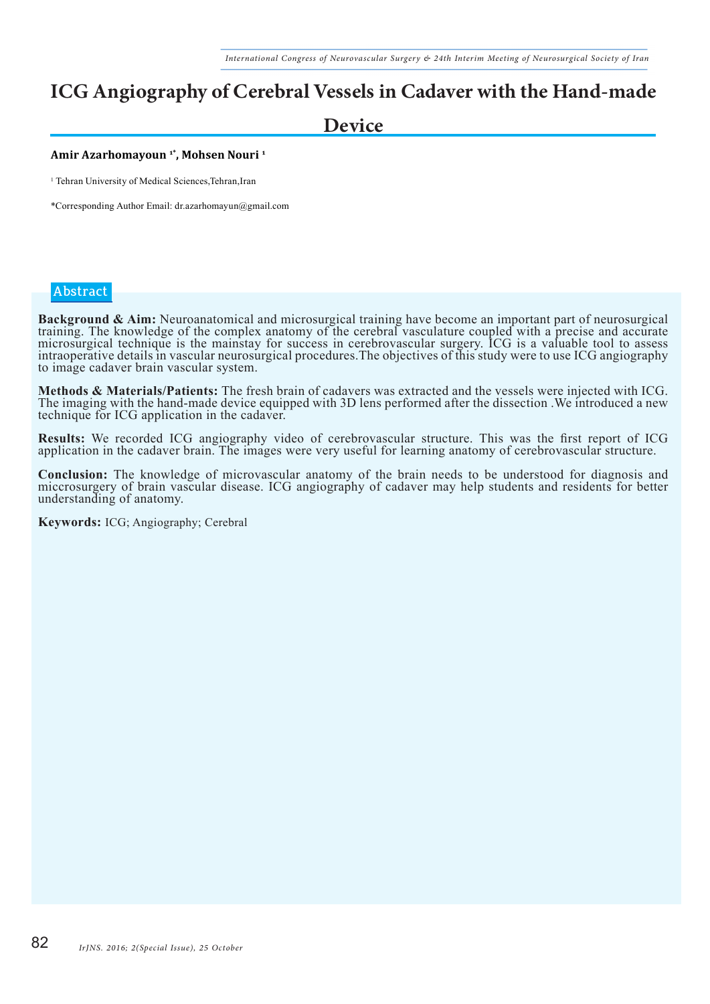### **ICG Angiography of Cerebral Vessels in Cadaver with the Hand-made**

### **Device**

#### **Amir Azarhomayoun 1\*, Mohsen Nouri 1**

<sup>1</sup> Tehran University of Medical Sciences, Tehran, Iran

\*Corresponding Author Email: dr.azarhomayun@gmail.com

#### **Abstract**

Background & Aim: Neuroanatomical and microsurgical training have become an important part of neurosurgical training. The knowledge of the complex anatomy of the cerebral vasculature coupled with a precise and accurate microsurgical technique is the mainstay for success in cerebrovascular surgery. ICG is a valuable tool to assess intraoperative details in vascular neurosurgical procedures.The objectives of this study were to use ICG angiography to image cadaver brain vascular system.

**Methods & Materials/Patients:** The fresh brain of cadavers was extracted and the vessels were injected with ICG.<br>The imaging with the hand-made device equipped with 3D lens performed after the dissection . We introduced a technique for ICG application in the cadaver.

**Results:** We recorded ICG angiography video of cerebrovascular structure. This was the first report of ICG application in the cadaver brain. The images were very useful for learning anatomy of cerebrovascular structure.

**Conclusion:** The knowledge of microvascular anatomy of the brain needs to be understood for diagnosis and miccrosurgery of brain vascular disease. ICG angiography of cadaver may help students and residents for better understanding of anatomy.

**Keywords:** ICG; Angiography; Cerebral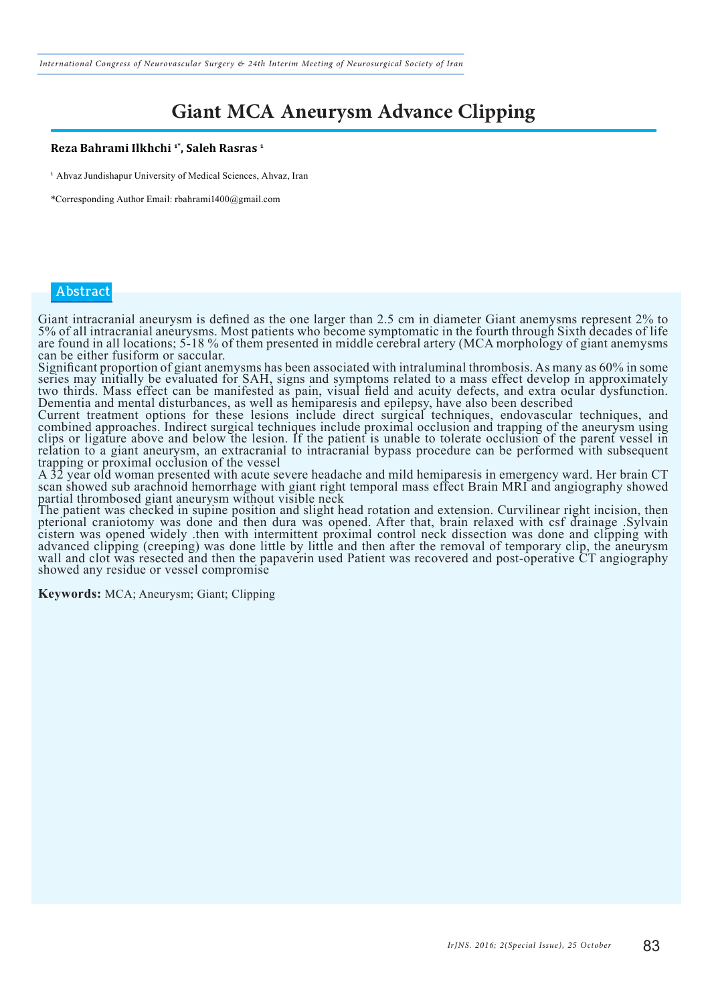*International Congress of Neurovascular Surgery & 24th Interim Meeting of Neurosurgical Society of Iran*

### **Giant MCA Aneurysm Advance Clipping**

#### **Reza Bahrami Ilkhchi 1\*, Saleh Rasras 1**

<sup>1</sup> Ahvaz Jundishapur University of Medical Sciences, Ahvaz, Iran

\*Corresponding Author Email: rbahrami1400@gmail.com

#### **Abstract**

Giant intracranial aneurysm is defined as the one larger than 2.5 cm in diameter Giant anemysms represent 2% to 5% of all intracranial aneurysms. Most patients who become symptomatic in the fourth through Sixth decades of life are found in all locations; 5-18 % of them presented in middle cerebral artery (MCA morphology of giant anemysms can be either fusiform or saccular.

Significant proportion of giant anemysms has been associated with intraluminal thrombosis. As many as 60% in some series may initially be evaluated for SAH, signs and symptoms related to a mass effect develop in approximately two thirds. Mass effect can be manifested as pain, visual field and acuity defects, and extra ocular dysfunction.

Dementia and mental disturbances, as well as hemiparesis and epilepsy, have also been described Current treatment options for these lesions include direct surgical techniques, endovascular techniques, and combined approaches. Indirect surgical techniques include proximal occlusion and trapping of the aneurysm using clips or ligature above and below the lesion. If the patient is unable to tolerate occlusion of the parent vessel in relation to a giant aneurysm, an extracranial to intracranial bypass procedure can be performed with subsequent trapping or proximal occlusion of the vessel

A 32 year old woman presented with acute severe headache and mild hemiparesis in emergency ward. Her brain CT scan showed sub arachnoid hemorrhage with giant right temporal mass effect Brain MRI and angiography showed partial thrombosed giant aneurysm without visible neck

The patient was checked in supine position and slight head rotation and extension. Curvilinear right incision, then pterional craniotomy was done and then dura was opened. After that, brain relaxed with csf drainage .Sylvain cistern was opened widely .then with intermittent proximal control neck dissection was done and clipping with advanced clipping (creeping) was done little by little and then after the removal of temporary clip, the aneurysm wall and clot was resected and then the papaverin used Patient was recovered and post-operative CT angiography showed any residue or vessel compromise

**Keywords:** MCA; Aneurysm; Giant; Clipping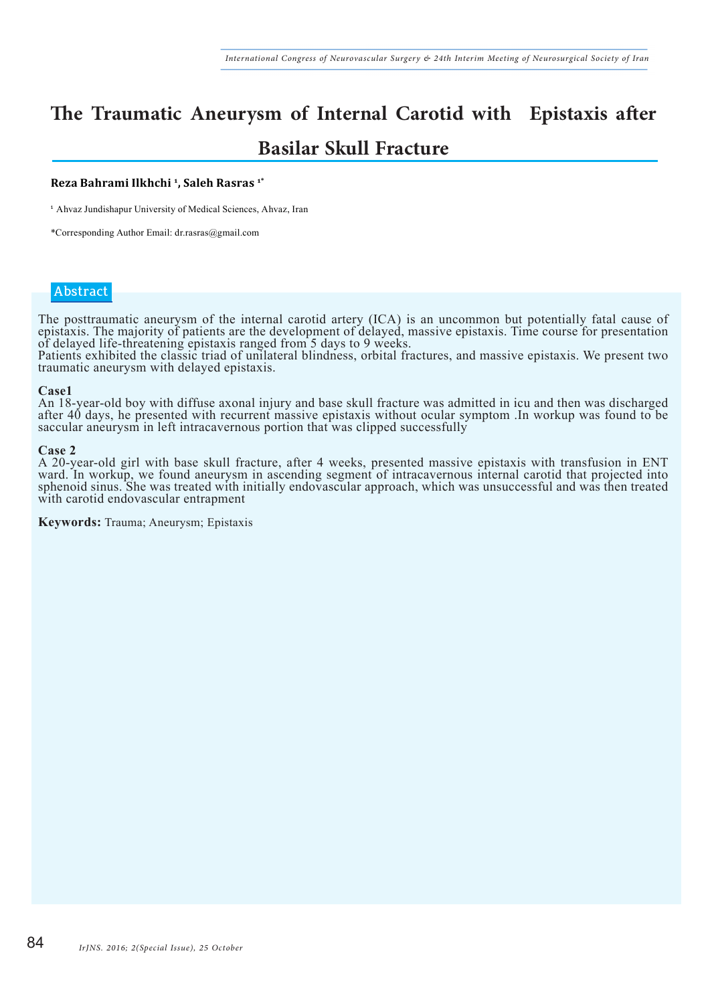### **The Traumatic Aneurysm of Internal Carotid with Epistaxis after Basilar Skull Fracture**

#### **Reza Bahrami Ilkhchi 1, Saleh Rasras 1\***

<sup>1</sup> Ahvaz Jundishapur University of Medical Sciences, Ahvaz, Iran

\*Corresponding Author Email: dr.rasras@gmail.com

#### **Abstract**

The posttraumatic aneurysm of the internal carotid artery (ICA) is an uncommon but potentially fatal cause of epistaxis. The majority of patients are the development of delayed, massive epistaxis. Time course for presentation of delayed life-threatening epistaxis ranged from 5 days to 9 weeks.

Patients exhibited the classic triad of unilateral blindness, orbital fractures, and massive epistaxis. We present two traumatic aneurysm with delayed epistaxis.

#### **Case1**

An 18-year-old boy with diffuse axonal injury and base skull fracture was admitted in icu and then was discharged after 40 days, he presented with recurrent massive epistaxis without ocular symptom .In workup was found to be saccular aneurysm in left intracavernous portion that was clipped successfully

#### **Case 2**

A 20-year-old girl with base skull fracture, after 4 weeks, presented massive epistaxis with transfusion in ENT ward. In workup, we found aneurysm in ascending segment of intracavernous internal carotid that projected into sphenoid sinus. She was treated with initially endovascular approach, which was unsuccessful and was then treated with carotid endovascular entrapment

**Keywords:** Trauma; Aneurysm; Epistaxis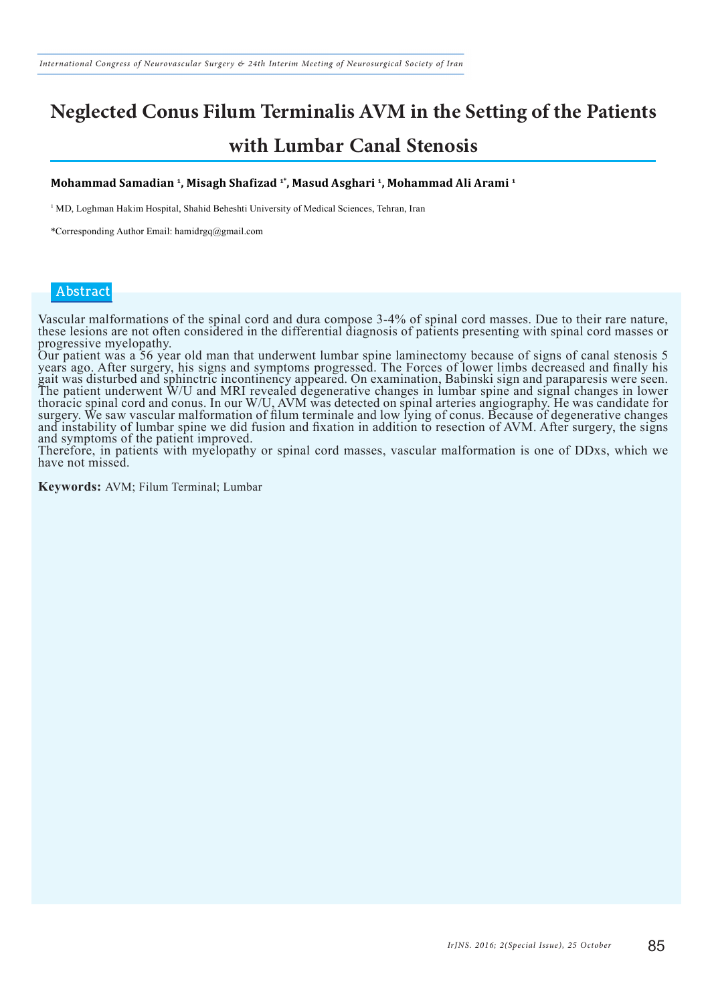### **Neglected Conus Filum Terminalis AVM in the Setting of the Patients with Lumbar Canal Stenosis**

#### **Mohammad Samadian 1, Misagh Shafizad 1\*, Masud Asghari 1, Mohammad Ali Arami 1**

1 MD, Loghman Hakim Hospital, Shahid Beheshti University of Medical Sciences, Tehran, Iran

\*Corresponding Author Email: hamidrgq@gmail.com

#### **Abstract**

Vascular malformations of the spinal cord and dura compose 3-4% of spinal cord masses. Due to their rare nature, these lesions are not often considered in the differential diagnosis of patients presenting with spinal cord masses or progressive myelopathy.

Our patient was a 56 year old man that underwent lumbar spine laminectomy because of signs of canal stenosis 5 years ago. After surgery, his signs and symptoms progressed. The Forces of lower limbs decreased and finally his gait was disturbed and sphinctric incontinency appeared. On examination, Babinski sign and paraparesis were seen. The patient underwent W/U and MRI revealed degenerative changes in lumbar spine and signal changes in lower thoracic spinal cord and conus. In our W/U, AVM was detected on spinal arteries angiography. He was candidate for surgery. We saw vascular malformation of filum terminale and low lying of conus. Because of degenerative changes and instability of lumbar spine we did fusion and fixation in addition to resection of AVM. After surgery, the signs and symptoms of the patient improved.

Therefore, in patients with myelopathy or spinal cord masses, vascular malformation is one of DDxs, which we have not missed.

**Keywords:** AVM; Filum Terminal; Lumbar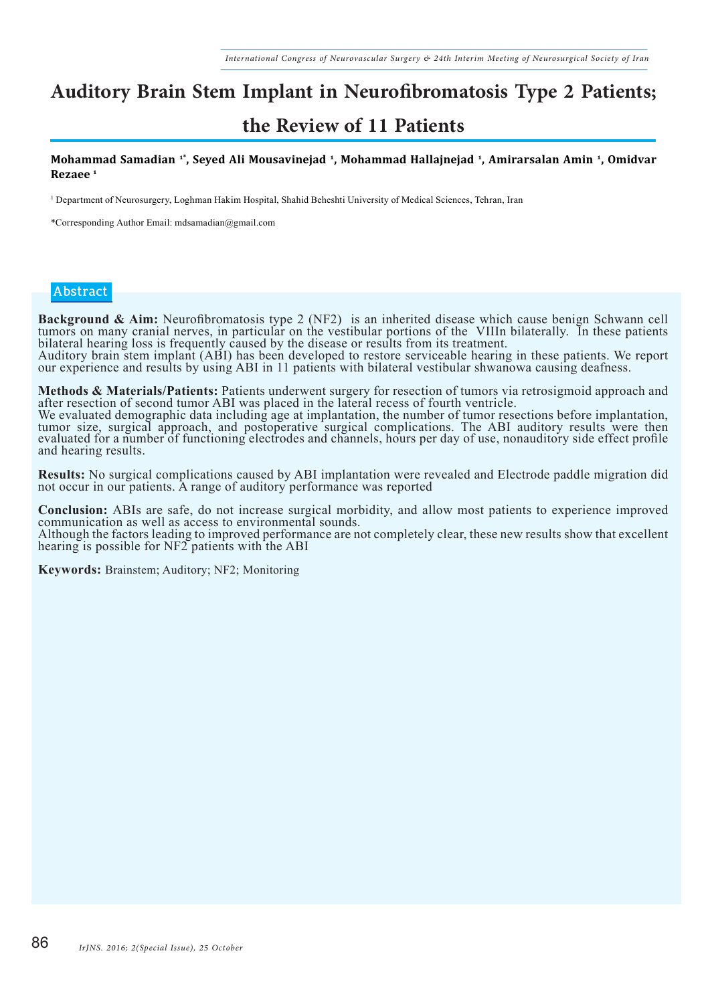# **Auditory Brain Stem Implant in Neurofibromatosis Type 2 Patients;**

### **the Review of 11 Patients**

**Mohammad Samadian 1\*, Seyed Ali Mousavinejad 1, Mohammad Hallajnejad 1, Amirarsalan Amin 1, Omidvar Rezaee 1**

1 Department of Neurosurgery, Loghman Hakim Hospital, Shahid Beheshti University of Medical Sciences, Tehran, Iran

\*Corresponding Author Email: mdsamadian@gmail.com

#### **Abstract**

**Background & Aim:** Neurofibromatosis type 2 (NF2) is an inherited disease which cause benign Schwann cell tumors on many cranial nerves, in particular on the vestibular portions of the VIIIn bilaterally. In these patients bilateral hearing loss is frequently caused by the disease or results from its treatment. Auditory brain stem implant (ABI) has been developed to restore serviceable hearing in these patients. We report our experience and results by using ABI in 11 patients with bilateral vestibular shwanowa causing deafness.

**Methods & Materials/Patients:** Patients underwent surgery for resection of tumors via retrosigmoid approach and after resection of second tumor ABI was placed in the lateral recess of fourth ventricle.

We evaluated demographic data including age at implantation, the number of tumor resections before implantation, tumor size, surgical approach, and postoperative surgical complications. The ABI auditory results were then evaluated for a number of functioning electrodes and channels, hours per day of use, nonauditory side effect profile and hearing results.

**Results:** No surgical complications caused by ABI implantation were revealed and Electrode paddle migration did not occur in our patients. A range of auditory performance was reported

**Conclusion:** ABIs are safe, do not increase surgical morbidity, and allow most patients to experience improved communication as well as access to environmental sounds. Although the factors leading to improved performance are not completely clear, these new results show that excellent hearing is possible for NF2 patients with the ABI

**Keywords:** Brainstem; Auditory; NF2; Monitoring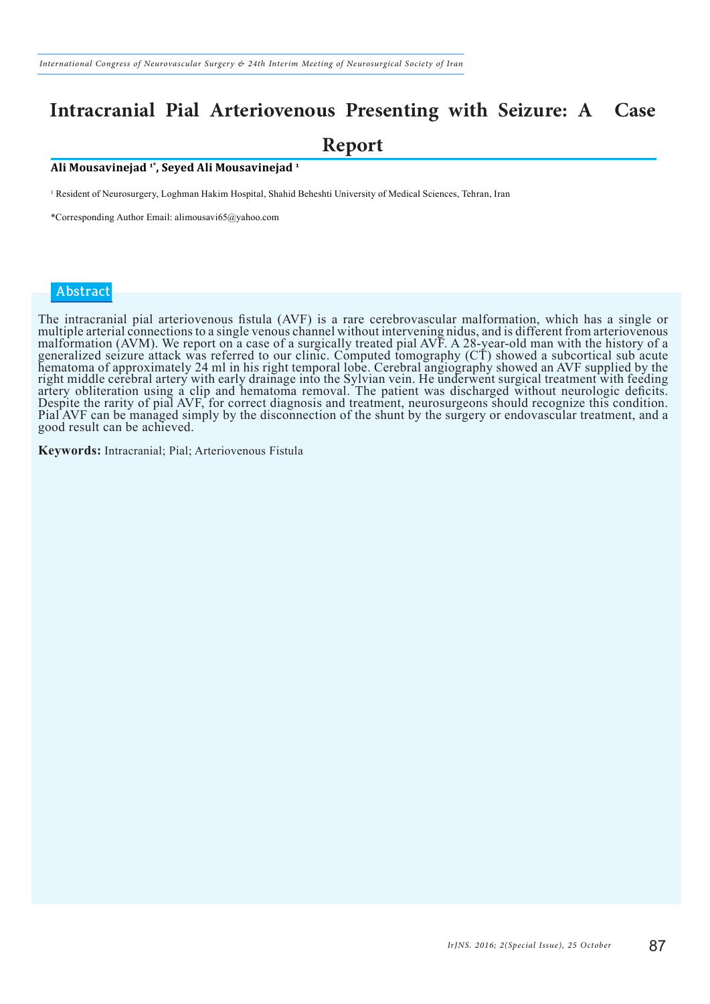### **Intracranial Pial Arteriovenous Presenting with Seizure: A Case Report**

#### **Ali Mousavinejad 1\*, Seyed Ali Mousavinejad 1**

1 Resident of Neurosurgery, Loghman Hakim Hospital, Shahid Beheshti University of Medical Sciences, Tehran, Iran

\*Corresponding Author Email: alimousavi65@yahoo.com

#### **Abstract**

The intracranial pial arteriovenous fistula (AVF) is a rare cerebrovascular malformation, which has a single or multiple arterial connections to a single venous channel without intervening nidus, and is different from arteriovenous malformation (AVM). We report on a case of a surgically treated pial AVF. A 28-year-old man with the history of a generalized seizure attack was referred to our clinic. Computed tomography (CT) showed a subcortical sub acute hematoma of approximately 24 ml in his right temporal lobe. Cerebral angiography showed an AVF supplied by the right middle cerebral artery with early drainage into the Sylvian vein. He underwent surgical treatment with feeding artery obliteration using a clip and hematoma removal. The patient was discharged without neurologic deficits. Despite the rarity of pial AVF, for correct diagnosis and treatment, neurosurgeons should recognize this condition. Pial AVF can be managed simply by the disconnection of the shunt by the surgery or endovascular treatment, and a good result can be achieved.

**Keywords:** Intracranial; Pial; Arteriovenous Fistula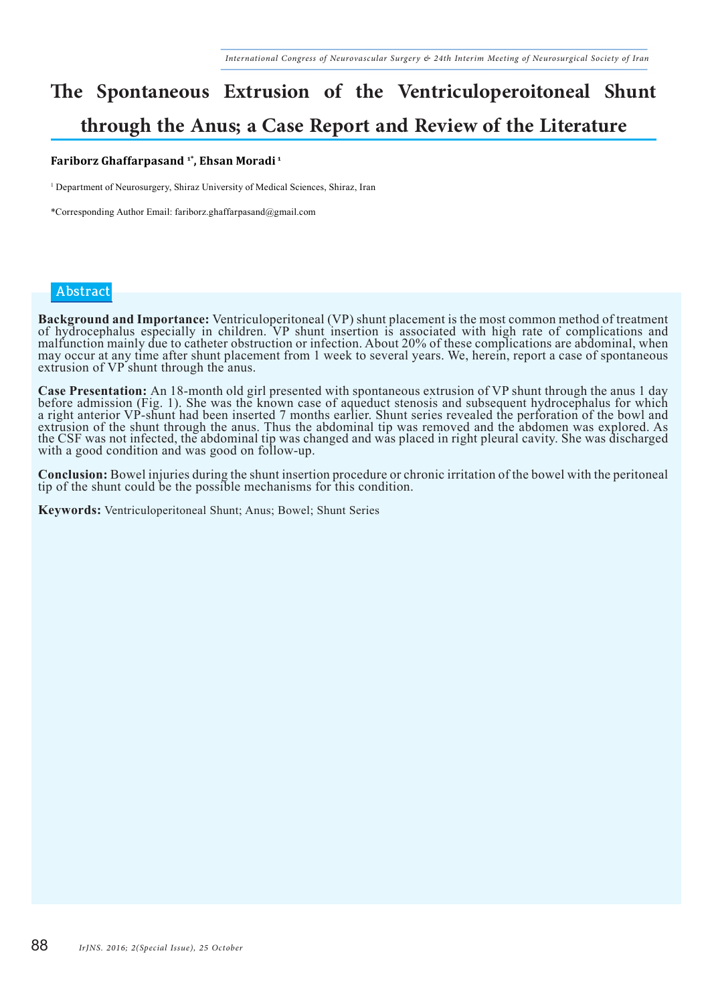### **The Spontaneous Extrusion of the Ventriculoperoitoneal Shunt through the Anus; a Case Report and Review of the Literature**

#### **Fariborz Ghaffarpasand 1\*, Ehsan Moradi 1**

<sup>1</sup> Department of Neurosurgery, Shiraz University of Medical Sciences, Shiraz, Iran

\*Corresponding Author Email: fariborz.ghaffarpasand@gmail.com

#### **Abstract**

**Background and Importance:** Ventriculoperitoneal (VP) shunt placement is the most common method of treatment of hydrocephalus especially in children. VP shunt insertion is associated with high rate of complications and malfunction mainly due to catheter obstruction or infection. About 20% of these complications are abdominal, when may occur at any time after shunt placement from 1 week to several years. We, herein, report a case of spontaneous extrusion of VP shunt through the anus.

**Case Presentation:** An 18-month old girl presented with spontaneous extrusion of VP shunt through the anus 1 day<br>before admission (Fig. 1). She was the known case of aqueduct stenosis and subsequent hydrocephalus for whic a right anterior VP-shunt had been inserted 7 months earlier. Shunt series revealed the perforation of the bowl and extrusion of the shunt through the anus. Thus the abdominal tip was removed and the abdomen was explored. As the CSF was not infected, the abdominal tip was changed and was placed in right pleural cavity. She was discharged with a good condition and was good on follow-up.

**Conclusion:** Bowel injuries during the shunt insertion procedure or chronic irritation of the bowel with the peritoneal tip of the shunt could be the possible mechanisms for this condition.

**Keywords:** Ventriculoperitoneal Shunt; Anus; Bowel; Shunt Series